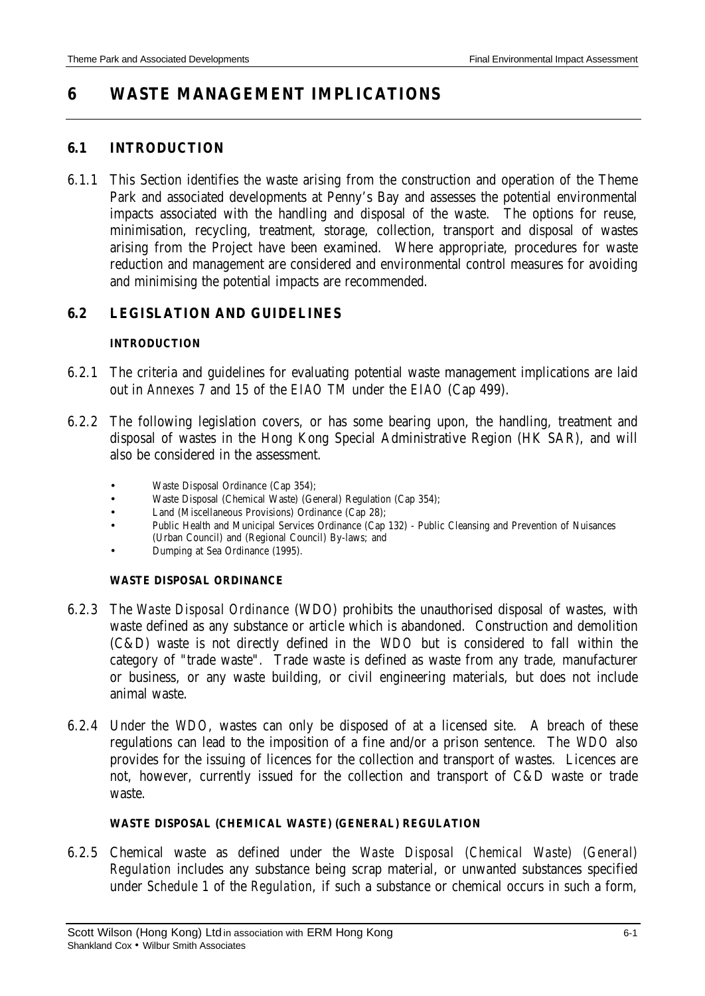# **6 WASTE MANAGEMENT IMPLICATIONS**

### **6.1 INTRODUCTION**

6.1.1 This Section identifies the waste arising from the construction and operation of the Theme Park and associated developments at Penny's Bay and assesses the potential environmental impacts associated with the handling and disposal of the waste. The options for reuse, minimisation, recycling, treatment, storage, collection, transport and disposal of wastes arising from the Project have been examined. Where appropriate, procedures for waste reduction and management are considered and environmental control measures for avoiding and minimising the potential impacts are recommended.

# **6.2 LEGISLATION AND GUIDELINES**

#### **INTRODUCTION**

- 6.2.1 The criteria and guidelines for evaluating potential waste management implications are laid out in *Annexes 7* and *15* of the *EIAO TM* under the *EIAO* (Cap 499).
- 6.2.2 The following legislation covers, or has some bearing upon, the handling, treatment and disposal of wastes in the Hong Kong Special Administrative Region (HK SAR), and will also be considered in the assessment.
	- Waste Disposal Ordinance (Cap 354);
	- Waste Disposal (Chemical Waste) (General) Regulation (Cap 354);
	- Land (Miscellaneous Provisions) Ordinance (Cap 28);
	- Public Health and Municipal Services Ordinance (Cap 132) Public Cleansing and Prevention of Nuisances (Urban Council) and (Regional Council) By-laws; and
	- Dumping at Sea Ordinance (1995).

### **WASTE DISPOSAL ORDINANCE**

- 6.2.3 The *Waste Disposal Ordinance* (WDO) prohibits the unauthorised disposal of wastes, with waste defined as any substance or article which is abandoned. Construction and demolition (C&D) waste is not directly defined in the *WDO* but is considered to fall within the category of "trade waste". Trade waste is defined as waste from any trade, manufacturer or business, or any waste building, or civil engineering materials, but does not include animal waste.
- 6.2.4 Under the *WDO*, wastes can only be disposed of at a licensed site. A breach of these regulations can lead to the imposition of a fine and/or a prison sentence. The *WDO* also provides for the issuing of licences for the collection and transport of wastes. Licences are not, however, currently issued for the collection and transport of C&D waste or trade waste.

### **WASTE DISPOSAL (CHEMICAL WASTE) (GENERAL) REGULATION**

6.2.5 Chemical waste as defined under the *Waste Disposal (Chemical Waste) (General) Regulation* includes any substance being scrap material, or unwanted substances specified under *Schedule 1* of the *Regulation*, if such a substance or chemical occurs in such a form,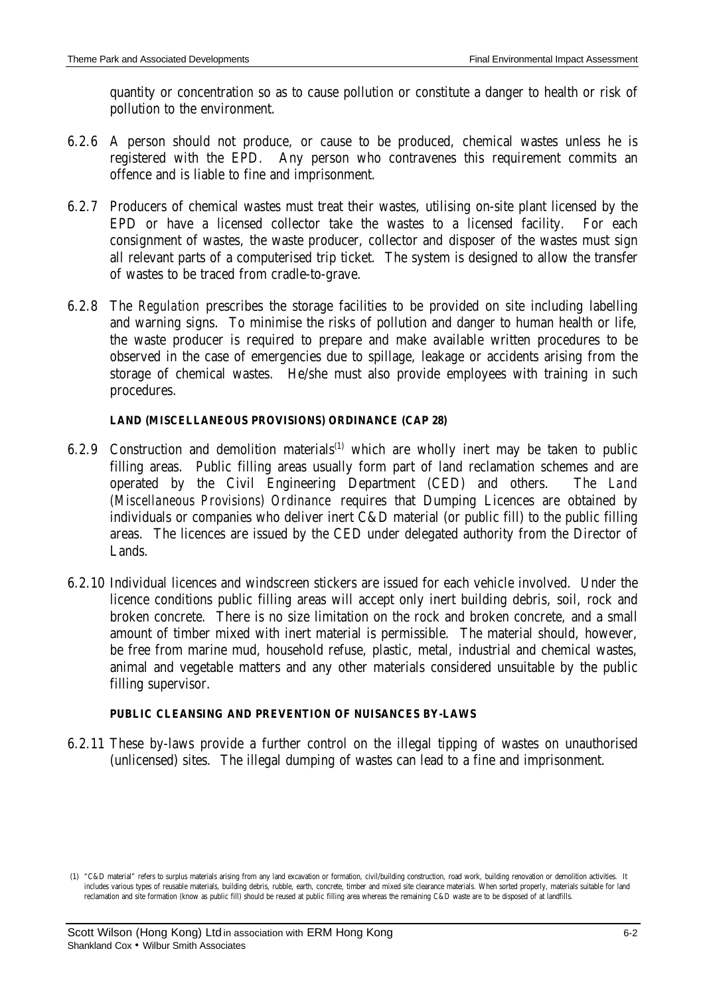quantity or concentration so as to cause pollution or constitute a danger to health or risk of pollution to the environment.

- 6.2.6 A person should not produce, or cause to be produced, chemical wastes unless he is registered with the EPD. Any person who contravenes this requirement commits an offence and is liable to fine and imprisonment.
- 6.2.7 Producers of chemical wastes must treat their wastes, utilising on-site plant licensed by the EPD or have a licensed collector take the wastes to a licensed facility. For each consignment of wastes, the waste producer, collector and disposer of the wastes must sign all relevant parts of a computerised trip ticket. The system is designed to allow the transfer of wastes to be traced from cradle-to-grave.
- 6.2.8 The *Regulation* prescribes the storage facilities to be provided on site including labelling and warning signs. To minimise the risks of pollution and danger to human health or life, the waste producer is required to prepare and make available written procedures to be observed in the case of emergencies due to spillage, leakage or accidents arising from the storage of chemical wastes. He/she must also provide employees with training in such procedures.

### **LAND (MISCELLANEOUS PROVISIONS) ORDINANCE (CAP 28)**

- 6.2.9 Construction and demolition materials<sup>(1)</sup> which are wholly inert may be taken to public filling areas. Public filling areas usually form part of land reclamation schemes and are operated by the Civil Engineering Department (CED) and others. The *Land (Miscellaneous Provisions) Ordinance* requires that Dumping Licences are obtained by individuals or companies who deliver inert C&D material (or public fill) to the public filling areas. The licences are issued by the CED under delegated authority from the Director of Lands.
- 6.2.10 Individual licences and windscreen stickers are issued for each vehicle involved. Under the licence conditions public filling areas will accept only inert building debris, soil, rock and broken concrete. There is no size limitation on the rock and broken concrete, and a small amount of timber mixed with inert material is permissible. The material should, however, be free from marine mud, household refuse, plastic, metal, industrial and chemical wastes, animal and vegetable matters and any other materials considered unsuitable by the public filling supervisor.

### **PUBLIC CLEANSING AND PREVENTION OF NUISANCES BY-LAWS**

6.2.11 These by-laws provide a further control on the illegal tipping of wastes on unauthorised (unlicensed) sites. The illegal dumping of wastes can lead to a fine and imprisonment.

 <sup>(1) &</sup>quot;C&D material" refers to surplus materials arising from any land excavation or formation, civil/building construction, road work, building renovation or demolition activities. It includes various types of reusable materials, building debris, rubble, earth, concrete, timber and mixed site clearance materials. When sorted properly, materials suitable for land reclamation and site formation (know as public fill) should be reused at public filling area whereas the remaining C&D waste are to be disposed of at landfills.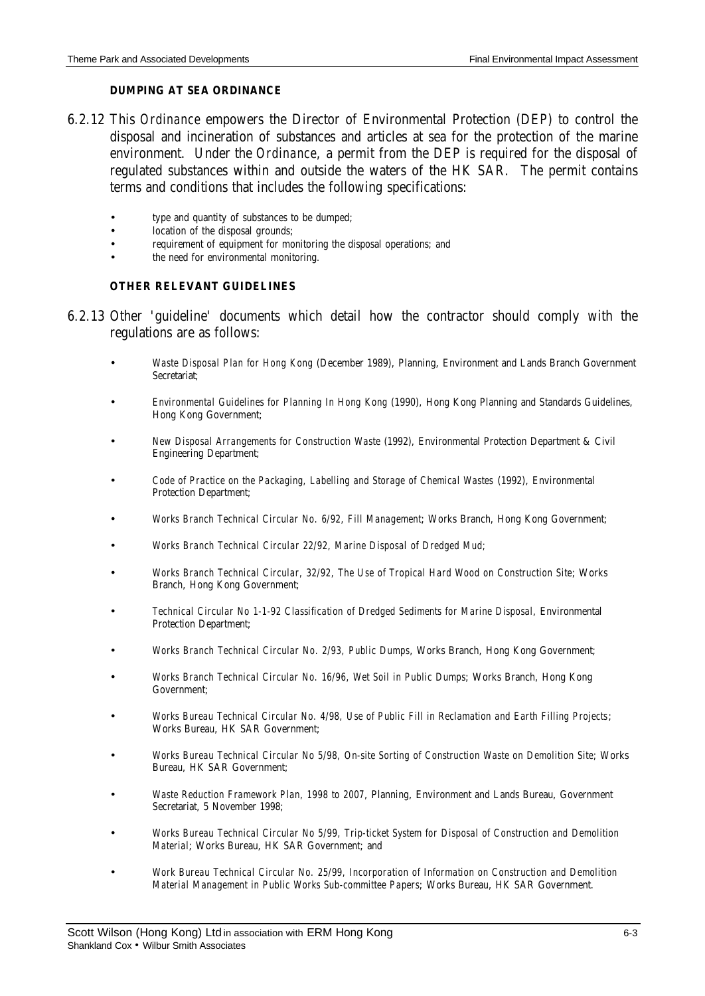#### **DUMPING AT SEA ORDINANCE**

- 6.2.12 This *Ordinance* empowers the Director of Environmental Protection (DEP) to control the disposal and incineration of substances and articles at sea for the protection of the marine environment. Under the *Ordinance*, a permit from the DEP is required for the disposal of regulated substances within and outside the waters of the HK SAR. The permit contains terms and conditions that includes the following specifications:
	- type and quantity of substances to be dumped;
	- location of the disposal grounds;
	- requirement of equipment for monitoring the disposal operations; and
	- the need for environmental monitoring.

#### **OTHER RELEVANT GUIDELINES**

- 6.2.13 Other 'guideline' documents which detail how the contractor should comply with the regulations are as follows:
	- *Waste Disposal Plan for Hong Kong* (December 1989), Planning, Environment and Lands Branch Government Secretariat;
	- *Environmental Guidelines for Planning In Hong Kong* (1990), Hong Kong Planning and Standards Guidelines, Hong Kong Government;
	- *New Disposal Arrangements for Construction Waste* (1992), Environmental Protection Department & Civil Engineering Department;
	- *Code of Practice on the Packaging, Labelling and Storage of Chemical Wastes* (1992), Environmental Protection Department;
	- *Works Branch Technical Circular No. 6/92, Fill Management*; Works Branch, Hong Kong Government;
	- *Works Branch Technical Circular 22/92, Marine Disposal of Dredged Mud;*
	- *Works Branch Technical Circular, 32/92, The Use of Tropical Hard Wood on Construction Site*; Works Branch, Hong Kong Government;
	- *Technical Circular No 1-1-92 Classification of Dredged Sediments for Marine Disposal*, Environmental Protection Department;
	- *Works Branch Technical Circular No. 2/93, Public Dumps*, Works Branch, Hong Kong Government;
	- *Works Branch Technical Circular No. 16/96, Wet Soil in Public Dumps*; Works Branch, Hong Kong Government;
	- *Works Bureau Technical Circular No. 4/98, Use of Public Fill in Reclamation and Earth Filling Projects*; Works Bureau, HK SAR Government;
	- *Works Bureau Technical Circular No 5/98, On-site Sorting of Construction Waste on Demolition Site*; Works Bureau, HK SAR Government;
	- *Waste Reduction Framework Plan, 1998 to 2007*, Planning, Environment and Lands Bureau, Government Secretariat, 5 November 1998;
	- *Works Bureau Technical Circular No 5/99, Trip-ticket System for Disposal of Construction and Demolition Material*; Works Bureau, HK SAR Government; and
	- *Work Bureau Technical Circular No. 25/99, Incorporation of Information on Construction and Demolition Material Management in Public Works Sub-committee Papers*; Works Bureau, HK SAR Government.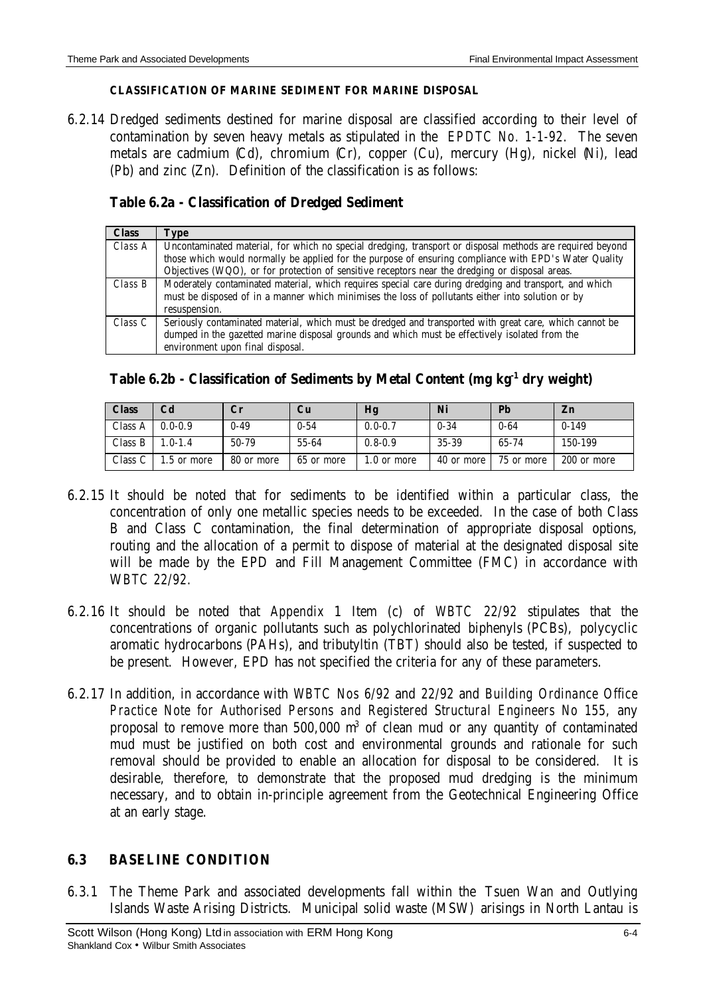#### **CLASSIFICATION OF MARINE SEDIMENT FOR MARINE DISPOSAL**

6.2.14 Dredged sediments destined for marine disposal are classified according to their level of contamination by seven heavy metals as stipulated in the *EPDTC No. 1-1-92*. The seven metals are cadmium (Cd), chromium (Cr), copper (Cu), mercury (Hg), nickel (Ni), lead (Pb) and zinc (Zn). Definition of the classification is as follows:

# **Table 6.2a - Classification of Dredged Sediment**

| <b>Class</b> | Type                                                                                                      |
|--------------|-----------------------------------------------------------------------------------------------------------|
| Class A      | Uncontaminated material, for which no special dredging, transport or disposal methods are required beyond |
|              | those which would normally be applied for the purpose of ensuring compliance with EPD's Water Quality     |
|              | Objectives (WQO), or for protection of sensitive receptors near the dredging or disposal areas.           |
| Class B      | Moderately contaminated material, which requires special care during dredging and transport, and which    |
|              | must be disposed of in a manner which minimises the loss of pollutants either into solution or by         |
|              | resuspension.                                                                                             |
| Class C      | Seriously contaminated material, which must be dredged and transported with great care, which cannot be   |
|              | dumped in the gazetted marine disposal grounds and which must be effectively isolated from the            |
|              | environment upon final disposal.                                                                          |

# **Table 6.2b - Classification of Sediments by Metal Content (mg kg-1 dry weight)**

| <b>Class</b>       | Cd          | $\mathbf{C}\mathbf{r}$ | Cu         | Hg          | Ni         | Pb         | Z <sub>n</sub> |
|--------------------|-------------|------------------------|------------|-------------|------------|------------|----------------|
| Class A            | $0.0 - 0.9$ | $0 - 49$               | $0 - 54$   | $0.0 - 0.7$ | $0 - 34$   | $0 - 64$   | $0-149$        |
| Class B            | $.0 - 1.4$  | 50-79                  | 55-64      | $0.8 - 0.9$ | 35-39      | 65-74      | 150-199        |
| Class <sub>C</sub> | .5 or more  | 80 or more             | 65 or more | 1.0 or more | 40 or more | 75 or more | 200 or more    |

- 6.2.15 It should be noted that for sediments to be identified within a particular class, the concentration of only one metallic species needs to be exceeded. In the case of both Class B and Class C contamination, the final determination of appropriate disposal options, routing and the allocation of a permit to dispose of material at the designated disposal site will be made by the EPD and Fill Management Committee (FMC) in accordance with W*BTC 22/92*.
- 6.2.16 It should be noted that *Appendix* 1 Item (c) of *WBTC 22/92* stipulates that the concentrations of organic pollutants such as polychlorinated biphenyls (PCBs), polycyclic aromatic hydrocarbons (PAHs), and tributyltin (TBT) should also be tested, if suspected to be present. However, EPD has not specified the criteria for any of these parameters.
- 6.2.17 In addition, in accordance with *WBTC Nos 6/92* and *22/92* and *Building Ordinance Office Practice Note for Authorised Persons and Registered Structural Engineers No 155*, any proposal to remove more than  $500,000$   $m<sup>3</sup>$  of clean mud or any quantity of contaminated mud must be justified on both cost and environmental grounds and rationale for such removal should be provided to enable an allocation for disposal to be considered. It is desirable, therefore, to demonstrate that the proposed mud dredging is the minimum necessary, and to obtain in-principle agreement from the Geotechnical Engineering Office at an early stage.

# **6.3 BASELINE CONDITION**

6.3.1 The Theme Park and associated developments fall within the Tsuen Wan and Outlying Islands Waste Arising Districts. Municipal solid waste (MSW) arisings in North Lantau is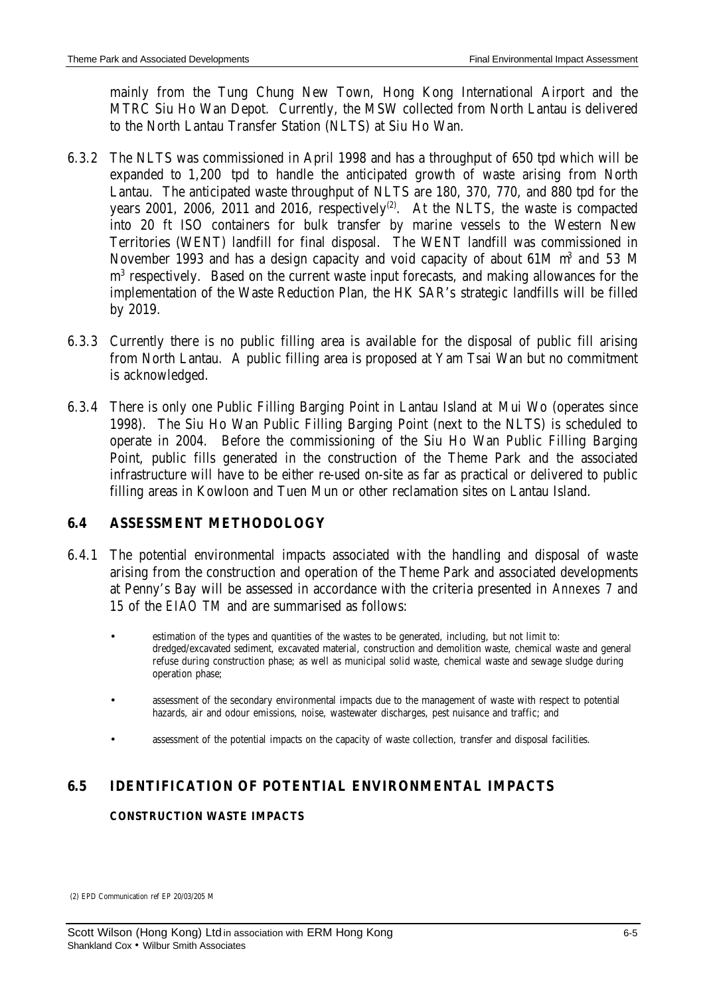mainly from the Tung Chung New Town, Hong Kong International Airport and the MTRC Siu Ho Wan Depot. Currently, the MSW collected from North Lantau is delivered to the North Lantau Transfer Station (NLTS) at Siu Ho Wan.

- 6.3.2 The NLTS was commissioned in April 1998 and has a throughput of 650 tpd which will be expanded to 1,200 tpd to handle the anticipated growth of waste arising from North Lantau. The anticipated waste throughput of NLTS are 180, 370, 770, and 880 tpd for the years 2001, 2006, 2011 and 2016, respectively<sup>(2)</sup>. At the NLTS, the waste is compacted into 20 ft ISO containers for bulk transfer by marine vessels to the Western New Territories (WENT) landfill for final disposal. The WENT landfill was commissioned in November 1993 and has a design capacity and void capacity of about  $61M$  m<sup>3</sup> and 53 M m<sup>3</sup> respectively. Based on the current waste input forecasts, and making allowances for the implementation of the Waste Reduction Plan, the HK SAR's strategic landfills will be filled by 2019.
- 6.3.3 Currently there is no public filling area is available for the disposal of public fill arising from North Lantau. A public filling area is proposed at Yam Tsai Wan but no commitment is acknowledged.
- 6.3.4 There is only one Public Filling Barging Point in Lantau Island at Mui Wo (operates since 1998). The Siu Ho Wan Public Filling Barging Point (next to the NLTS) is scheduled to operate in 2004. Before the commissioning of the Siu Ho Wan Public Filling Barging Point, public fills generated in the construction of the Theme Park and the associated infrastructure will have to be either re-used on-site as far as practical or delivered to public filling areas in Kowloon and Tuen Mun or other reclamation sites on Lantau Island.

# **6.4 ASSESSMENT METHODOLOGY**

- 6.4.1 The potential environmental impacts associated with the handling and disposal of waste arising from the construction and operation of the Theme Park and associated developments at Penny's Bay will be assessed in accordance with the criteria presented in *Annexes 7* and *15* of the *EIAO TM* and are summarised as follows:
	- estimation of the types and quantities of the wastes to be generated, including, but not limit to: dredged/excavated sediment, excavated material, construction and demolition waste, chemical waste and general refuse during construction phase; as well as municipal solid waste, chemical waste and sewage sludge during operation phase;
	- assessment of the secondary environmental impacts due to the management of waste with respect to potential hazards, air and odour emissions, noise, wastewater discharges, pest nuisance and traffic; and
	- assessment of the potential impacts on the capacity of waste collection, transfer and disposal facilities.

# **6.5 IDENTIFICATION OF POTENTIAL ENVIRONMENTAL IMPACTS**

#### **CONSTRUCTION WASTE IMPACTS**

(2) EPD Communication ref EP 20/03/205 M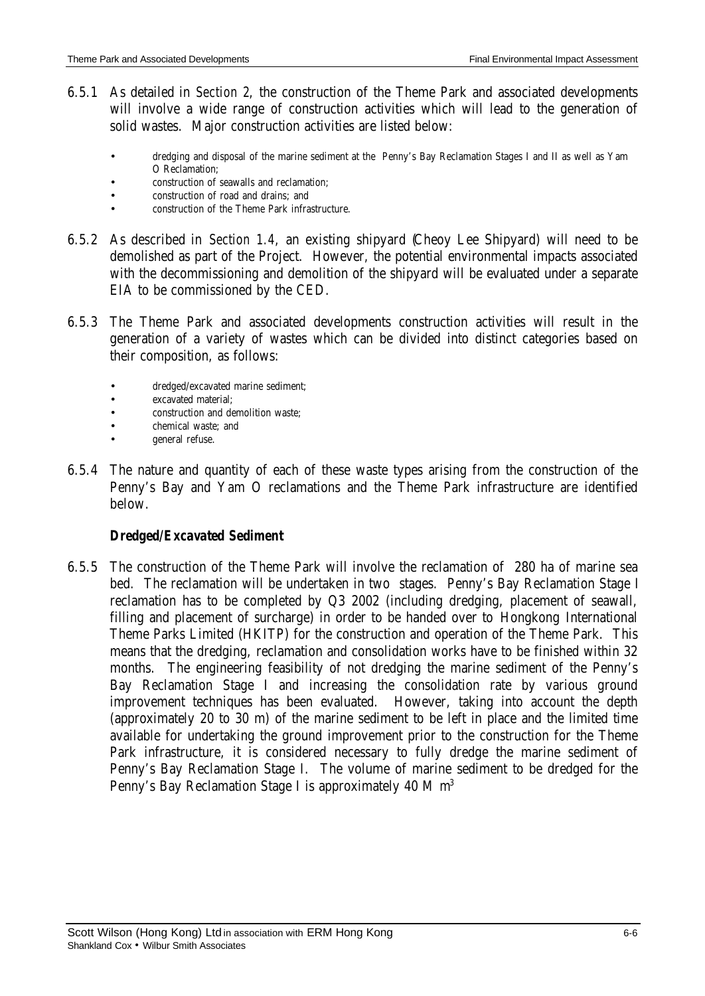- 6.5.1 As detailed in *Section 2*, the construction of the Theme Park and associated developments will involve a wide range of construction activities which will lead to the generation of solid wastes. Major construction activities are listed below:
	- dredging and disposal of the marine sediment at the Penny's Bay Reclamation Stages I and II as well as Yam O Reclamation;
	- construction of seawalls and reclamation;
	- construction of road and drains; and
	- construction of the Theme Park infrastructure.
- 6.5.2 As described in *Section 1.4*, an existing shipyard (Cheoy Lee Shipyard) will need to be demolished as part of the Project. However, the potential environmental impacts associated with the decommissioning and demolition of the shipyard will be evaluated under a separate EIA to be commissioned by the CED.
- 6.5.3 The Theme Park and associated developments construction activities will result in the generation of a variety of wastes which can be divided into distinct categories based on their composition, as follows:
	- dredged/excavated marine sediment;
	- excavated material;
	- construction and demolition waste;
	- chemical waste; and
	- general refuse.
- 6.5.4 The nature and quantity of each of these waste types arising from the construction of the Penny's Bay and Yam O reclamations and the Theme Park infrastructure are identified below.

# *Dredged/Excavated Sediment*

6.5.5 The construction of the Theme Park will involve the reclamation of 280 ha of marine sea bed. The reclamation will be undertaken in two stages. Penny's Bay Reclamation Stage I reclamation has to be completed by Q3 2002 (including dredging, placement of seawall, filling and placement of surcharge) in order to be handed over to Hongkong International Theme Parks Limited (HKITP) for the construction and operation of the Theme Park. This means that the dredging, reclamation and consolidation works have to be finished within 32 months. The engineering feasibility of not dredging the marine sediment of the Penny's Bay Reclamation Stage I and increasing the consolidation rate by various ground improvement techniques has been evaluated. However, taking into account the depth (approximately 20 to 30 m) of the marine sediment to be left in place and the limited time available for undertaking the ground improvement prior to the construction for the Theme Park infrastructure, it is considered necessary to fully dredge the marine sediment of Penny's Bay Reclamation Stage I. The volume of marine sediment to be dredged for the Penny's Bay Reclamation Stage I is approximately 40 M  $m<sup>3</sup>$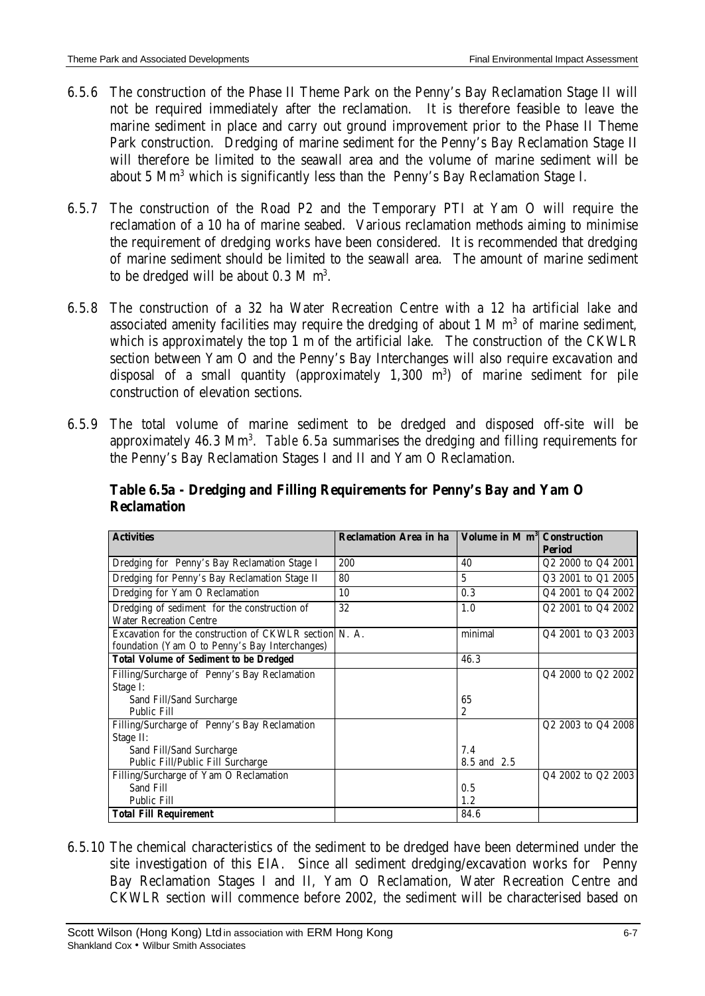- 6.5.6 The construction of the Phase II Theme Park on the Penny's Bay Reclamation Stage II will not be required immediately after the reclamation. It is therefore feasible to leave the marine sediment in place and carry out ground improvement prior to the Phase II Theme Park construction. Dredging of marine sediment for the Penny's Bay Reclamation Stage II will therefore be limited to the seawall area and the volume of marine sediment will be about 5 Mm<sup>3</sup> which is significantly less than the Penny's Bay Reclamation Stage I.
- 6.5.7 The construction of the Road P2 and the Temporary PTI at Yam O will require the reclamation of a 10 ha of marine seabed. Various reclamation methods aiming to minimise the requirement of dredging works have been considered. It is recommended that dredging of marine sediment should be limited to the seawall area. The amount of marine sediment to be dredged will be about  $0.3 M m<sup>3</sup>$ .
- 6.5.8 The construction of a 32 ha Water Recreation Centre with a 12 ha artificial lake and associated amenity facilities may require the dredging of about  $1 \text{ M m}^3$  of marine sediment, which is approximately the top 1 m of the artificial lake. The construction of the CKWLR section between Yam O and the Penny's Bay Interchanges will also require excavation and disposal of a small quantity (approximately  $1,300$  m<sup>3</sup>) of marine sediment for pile construction of elevation sections.
- 6.5.9 The total volume of marine sediment to be dredged and disposed off-site will be approximately 46.3 Mm<sup>3</sup>. Table 6.5a summarises the dredging and filling requirements for the Penny's Bay Reclamation Stages I and II and Yam O Reclamation.

| <b>Activities</b>                                                                                        | <b>Reclamation Area in ha</b> | Volume in M m <sup>3</sup> Construction | <b>Period</b>      |
|----------------------------------------------------------------------------------------------------------|-------------------------------|-----------------------------------------|--------------------|
| Dredging for Penny's Bay Reclamation Stage I                                                             | 200                           | 40                                      | Q2 2000 to Q4 2001 |
| Dredging for Penny's Bay Reclamation Stage II                                                            | 80                            | 5                                       | Q3 2001 to Q1 2005 |
| Dredging for Yam O Reclamation                                                                           | 10                            | 0.3                                     | Q4 2001 to Q4 2002 |
| Dredging of sediment for the construction of<br><b>Water Recreation Centre</b>                           | 32                            | 1.0                                     | Q2 2001 to Q4 2002 |
| Excavation for the construction of CKWLR section N. A.<br>foundation (Yam O to Penny's Bay Interchanges) |                               | minimal                                 | Q4 2001 to Q3 2003 |
| <b>Total Volume of Sediment to be Dredged</b>                                                            |                               | 46.3                                    |                    |
| Filling/Surcharge of Penny's Bay Reclamation                                                             |                               |                                         | Q4 2000 to Q2 2002 |
| Stage I:                                                                                                 |                               |                                         |                    |
| Sand Fill/Sand Surcharge                                                                                 |                               | 65                                      |                    |
| Public Fill                                                                                              |                               | 2                                       |                    |
| Filling/Surcharge of Penny's Bay Reclamation                                                             |                               |                                         | Q2 2003 to Q4 2008 |
| Stage II:                                                                                                |                               |                                         |                    |
| Sand Fill/Sand Surcharge                                                                                 |                               | 7.4                                     |                    |
| Public Fill/Public Fill Surcharge                                                                        |                               | 8.5 and 2.5                             |                    |
| Filling/Surcharge of Yam O Reclamation                                                                   |                               |                                         | Q4 2002 to Q2 2003 |
| Sand Fill                                                                                                |                               | 0.5                                     |                    |
| <b>Public Fill</b>                                                                                       |                               | 1.2                                     |                    |
| <b>Total Fill Requirement</b>                                                                            |                               | 84.6                                    |                    |

**Table 6.5a - Dredging and Filling Requirements for Penny's Bay and Yam O Reclamation**

6.5.10 The chemical characteristics of the sediment to be dredged have been determined under the site investigation of this EIA. Since all sediment dredging/excavation works for Penny Bay Reclamation Stages I and II, Yam O Reclamation, Water Recreation Centre and CKWLR section will commence before 2002, the sediment will be characterised based on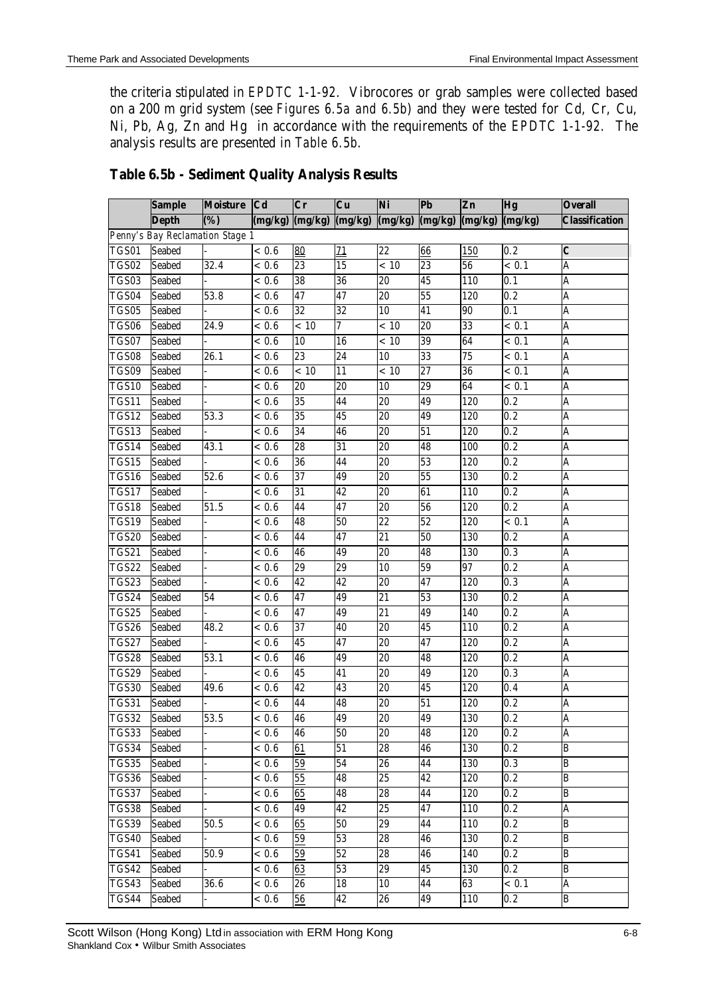the criteria stipulated in *EPDTC 1-1-92*. Vibrocores or grab samples were collected based on a 200 m grid system (see *Figures 6.5a and 6.5b*) and they were tested for Cd, Cr, Cu, Ni, Pb, Ag, Zn and Hg in accordance with the requirements of the *EPDTC 1-1-92*. The analysis results are presented in *Table 6.5b*.

|              | <b>Sample</b>                   | <b>Moisture</b>         | <b>Cd</b>          | $\overline{\mathbf{C}\mathbf{r}}$ | Cu              | Ni              | <b>Pb</b>       | Zn         | <b>Hg</b>        | <b>Overall</b>          |
|--------------|---------------------------------|-------------------------|--------------------|-----------------------------------|-----------------|-----------------|-----------------|------------|------------------|-------------------------|
|              | <b>Depth</b>                    | $\overline{\text{(*)}}$ | (mg/kg)            | (mg/kg)                           | (mg/kg)         | (mg/kg)         | (mg/kg)         | (mg/kg)    | (mg/kg)          | <b>Classification</b>   |
|              | Penny's Bay Reclamation Stage 1 |                         |                    |                                   |                 |                 |                 |            |                  |                         |
| TGS01        | <b>Seabed</b>                   |                         | < 0.6              | 80                                | 71              | $\overline{22}$ | 66              | 150        | 0.2              | $\boldsymbol{c}$        |
| TGS02        | <b>Seabed</b>                   | 32.4                    | ${}< 0.6$          | 23                                | 15              | < 10            | $\overline{23}$ | 56         | < 0.1            | A                       |
| TGS03        | <b>Seabed</b>                   |                         | < 0.6              | 38                                | 36              | 20              | 45              | 110        | 0.1              | A                       |
| TGS04        | <b>Seabed</b>                   | 53.8                    | < 0.6              | 47                                | 47              | 20              | 55              | 120        | $\overline{0.2}$ | $\overline{\mathbf{A}}$ |
| TGS05        | <b>Seabed</b>                   |                         | < 0.6              | $\overline{32}$                   | $\overline{32}$ | 10              | 41              | 90         | 0.1              | A                       |
| TGS06        | <b>Seabed</b>                   | 24.9                    | < 0.6              | < 10                              | 7               | < 10            | $\overline{20}$ | 33         | < 0.1            | A                       |
| TGS07        | <b>Seabed</b>                   |                         | < 0.6              | 10                                | 16              | < 10            | 39              | 64         | < 0.1            | A                       |
| <b>TGS08</b> | <b>Seabed</b>                   | 26.1                    | < 0.6              | 23                                | 24              | 10              | 33              | 75         | < 0.1            | A                       |
| TGS09        | <b>Seabed</b>                   |                         | < 0.6              | < 10                              | 11              | < 10            | $\overline{27}$ | 36         | < 0.1            | A                       |
| TGS10        | <b>Seabed</b>                   |                         | < 0.6              | 20                                | 20              | 10              | 29              | 64         | < 0.1            | A                       |
| TGS11        | <b>Seabed</b>                   |                         | ~< 0.6             | 35                                | 44              | 20              | 49              | 120        | 0.2              | A                       |
| TGS12        | <b>Seabed</b>                   | 53.3                    | ${}< 0.6$          | 35                                | $\overline{45}$ | 20              | 49              | 120        | $\overline{0.2}$ | Ā                       |
| TGS13        | <b>Seabed</b>                   |                         | < 0.6              | 34                                | 46              | $\overline{20}$ | $\overline{51}$ | 120        | $\overline{0.2}$ | A                       |
| TGS14        | <b>Seabed</b>                   | $\overline{43.1}$       | < 0.6              | 28                                | 31              | $\overline{20}$ | 48              | 100        | $\overline{0.2}$ | A                       |
| TGS15        | <b>Seabed</b>                   |                         | < 0.6              | 36                                | 44              | $20\,$          | 53              | 120        | 0.2              | A                       |
| TGS16        | <b>Seabed</b>                   | 52.6                    | < 0.6              | 37                                | 49              | 20              | 55              | 130        | 0.2              | A                       |
| TGS17        | <b>Seabed</b>                   |                         | < 0.6              | 31                                | 42              | 20              | 61              | 110        | 0.2              | A                       |
| TGS18        | <b>Seabed</b>                   | 51.5                    | < 0.6              | 44                                | 47              | 20              | 56              | 120        | 0.2              | A                       |
| TGS19        | <b>Seabed</b>                   |                         | < 0.6              | 48                                | 50              | $\overline{22}$ | $\overline{52}$ | 120        | < 0.1            | A                       |
| TGS20        | <b>Seabed</b>                   |                         | < 0.6              | 44                                | $\overline{47}$ | $\overline{21}$ | 50              | 130        | $\overline{0.2}$ | $\overline{\mathbf{A}}$ |
| <b>TGS21</b> | <b>Seabed</b>                   |                         | < 0.6              | 46                                | 49              | $\overline{20}$ | 48              | 130        | 0.3              | A                       |
| <b>TGS22</b> | <b>Seabed</b>                   |                         | < 0.6              | 29                                | 29              | 10              | 59              | 97         | 0.2              | A                       |
| TGS23        | <b>Seabed</b>                   |                         | < 0.6              | 42                                | 42              | $20\,$          | 47              | 120        | 0.3              | A                       |
| TGS24        | <b>Seabed</b>                   | 54                      | $\overline{<}$ 0.6 | 47                                | 49              | 21              | 53              | 130        | 0.2              | A                       |
| TGS25        | <b>Seabed</b>                   |                         | < 0.6              | 47                                | 49              | 21              | 49              | 140        | 0.2              | A                       |
| TGS26        | <b>Seabed</b>                   | $\overline{48.2}$       | < 0.6              | 37                                | 40              | 20              | 45              | <b>110</b> | 0.2              | A                       |
| TGS27        | <b>Seabed</b>                   |                         | < 0.6              | 45                                | 47              | $\overline{20}$ | 47              | 120        | 0.2              | A                       |
| TGS28        | <b>Seabed</b>                   | 53.1                    | < 0.6              | 46                                | 49              | 20              | 48              | 120        | $\overline{0.2}$ | Ā                       |
| <b>TGS29</b> | <b>Seabed</b>                   |                         | < 0.6              | $\overline{45}$                   | 41              | $\overline{20}$ | 49              | 120        | 0.3              | A                       |
| <b>TGS30</b> | <b>Seabed</b>                   | 49.6                    | < 0.6              | 42                                | 43              | $\overline{20}$ | 45              | 120        | 0.4              | A                       |
| TGS31        | <b>Seabed</b>                   |                         | < 0.6              | 44                                | 48              | $20\,$          | $51\,$          | 120        | 0.2              | A                       |
| <b>TGS32</b> | <b>Seabed</b>                   | 53.5                    | < 0.6              | 46                                | 49              | 20              | 49              | 130        | 0.2              | $\overline{\mathbf{A}}$ |
| TGS33        | <b>Seabed</b>                   |                         | < 0.6              | 46                                | 50              | 20              | 48              | 120        | 0.2              | A                       |
| TGS34        | Seabed                          |                         | < 0.6              | 61                                | 51              | 28              | 46              | 130        | 0.2              | B                       |
| TGS35        | <b>Seabed</b>                   |                         | < 0.6              | 59                                | 54              | 26              | 44              | 130        | 0.3              | B                       |
| TGS36        | Seabed                          |                         | < 0.6              | 55                                | 48              | $\overline{25}$ | 42              | 120        | 0.2              | B                       |
| TGS37        | <b>Seabed</b>                   |                         | < 0.6              | 65                                | 48              | $\overline{28}$ | 44              | 120        | 0.2              | B                       |
| <b>TGS38</b> | <b>Seabed</b>                   |                         | < 0.6              | 49                                | 42              | $\overline{25}$ | 47              | 110        | 0.2              | A                       |
| TGS39        | Seabed                          | 50.5                    | < 0.6              | 65                                | 50              | 29              | 44              | 110        | 0.2              | B                       |
| <b>TGS40</b> | Seabed                          |                         | < 0.6              | 59                                | 53              | 28              | 46              | 130        | 0.2              | B                       |
| <b>TGS41</b> | Seabed                          | 50.9                    | < 0.6              | 59                                | 52              | 28              | 46              | 140        | 0.2              | B                       |
| <b>TGS42</b> | <b>Seabed</b>                   |                         | < 0.6              | 63                                | 53              | 29              | 45              | 130        | 0.2              | B                       |
| TGS43        | <b>Seabed</b>                   | 36.6                    | < 0.6              | 26                                | 18              | 10              | 44              | 63         | < 0.1            | A                       |
| TGS44        | Seabed                          |                         | < 0.6              | $56\phantom{.}$                   | 42              | 26              | 49              | 110        | 0.2              | B                       |

# **Table 6.5b - Sediment Quality Analysis Results**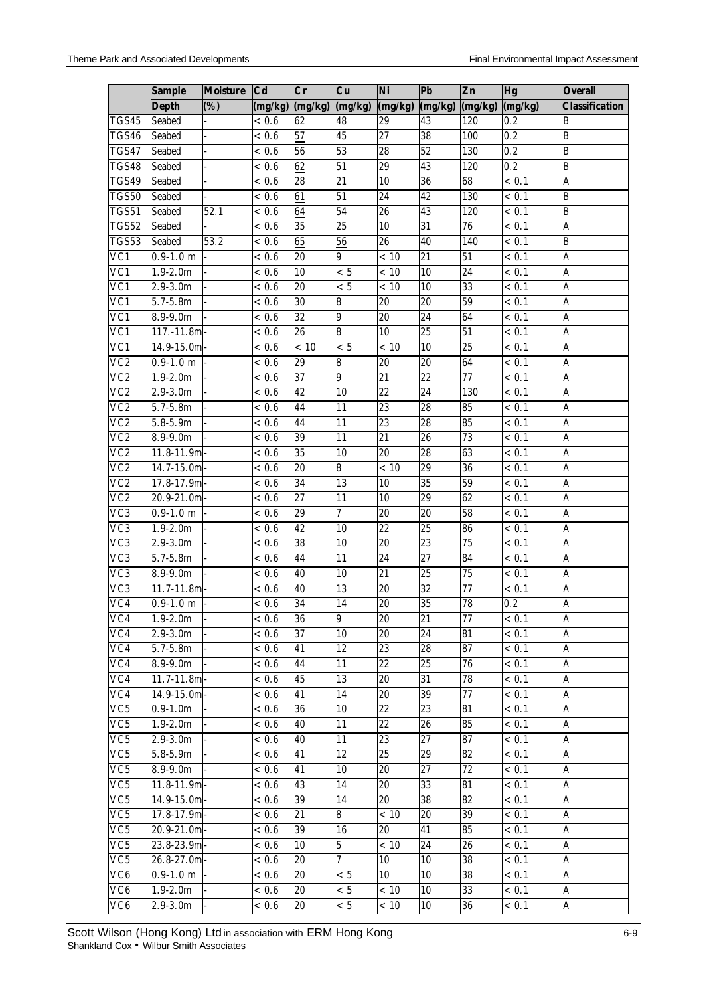|                          | <b>Sample</b>       | <b>Moisture</b>  | C <sub>d</sub>    | $\overline{\mathbf{C}\mathbf{r}}$ | Cu                 | Ni              | Pb              | Zn               | <b>Hg</b>          | <b>Overall</b>          |
|--------------------------|---------------------|------------------|-------------------|-----------------------------------|--------------------|-----------------|-----------------|------------------|--------------------|-------------------------|
|                          | <b>Depth</b>        | $\overline{(%)}$ | (mg/kg)           | (mg/kg)                           | (mg/kg)            | (mg/kg)         | (mg/kg)         | (mg/kg)          | (mg/kg)            | <b>Classification</b>   |
| TGS45                    | <b>Seabed</b>       |                  | < 0.6             | 62                                | 48                 | 29              | 43              | 120              | 0.2                | B                       |
| TGS46                    | Seabed              |                  | < 0.6             | 57                                | $\overline{45}$    | $\overline{27}$ | $\overline{38}$ | 100              | 0.2                | $\overline{B}$          |
| TGS47                    | <b>Seabed</b>       |                  | < 0.6             | $\overline{56}$                   | 53                 | $\overline{28}$ | 52              | 130              | 0.2                | B                       |
| <b>TGS48</b>             | <b>Seabed</b>       |                  | < 0.6             | 62                                | 51                 | $\overline{29}$ | $\overline{43}$ | $\overline{120}$ | 0.2                | B                       |
| TGS49                    | <b>Seabed</b>       |                  | < 0.6             | $\overline{28}$                   | $\overline{21}$    | 10              | 36              | 68               | < 0.1              | Ā                       |
| TGS50                    | Seabed              |                  | < 0.6             | 61                                | $\overline{51}$    | 24              | $\overline{42}$ | 130              | < 0.1              | $\overline{B}$          |
| TGS51                    | <b>Seabed</b>       | 52.1             | < 0.6             | 64                                | 54                 | $\overline{26}$ | 43              | 120              | < 0.1              | B                       |
| <b>TGS52</b>             | Seabed              |                  | < 0.6             | 35                                | $\overline{25}$    | 10              | $\overline{31}$ | $\overline{76}$  | $\overline{<0.1}$  | A                       |
| TGS53                    | <b>Seabed</b>       | 53.2             | < 0.6             | 65                                | 56                 | 26              | $\overline{40}$ | 140              | < 0.1              | B                       |
| $\overline{\text{VC}}$ 1 | $0.9 - 1.0$ m       |                  | < 0.6             | $\overline{20}$                   | 9                  | < 10            | $\overline{21}$ | $\overline{51}$  | < 0.1              | A                       |
| $\overline{VC1}$         | $1.9 - 2.0m$        |                  | < 0.6             | 10                                | < 5                | < 10            | $\overline{10}$ | 24               | < 0.1              | $\overline{\mathbf{A}}$ |
| VC1                      | $2.9 - 3.0m$        |                  | < 0.6             | 20                                | < 5                | < 10            | 10              | 33               | < 0.1              | A                       |
| $\overline{VC1}$         | $5.7 - 5.8m$        |                  | < 0.6             | 30                                | 8                  | 20              | 20              | 59               | $\overline{< 0.1}$ | A                       |
| VC1                      | $8.9 - 9.0m$        |                  | < 0.6             | 32                                | 9                  | 20              | 24              | 64               | < 0.1              | A                       |
| $\overline{VC1}$         | $117.-11.8m$        |                  | < 0.6             | 26                                | 8                  | 10              | $\overline{25}$ | $\overline{51}$  | < 0.1              | $\overline{\mathbf{A}}$ |
| VC1                      | $14.9 - 15.0m$      |                  | < 0.6             | < 10                              | < 5                | < 10            | 10              | $\overline{25}$  | < 0.1              | $\overline{A}$          |
| VC2                      | $0.9 - 1.0$ m       |                  | < 0.6             | 29                                | 8                  | 20              | 20              | 64               | < 0.1              | $\overline{\mathsf{A}}$ |
| $\overline{VC2}$         | $1.9 - 2.0m$        |                  | < 0.6             | 37                                | 9                  | $\overline{21}$ | $\overline{22}$ | 77               | < 0.1              | $\overline{A}$          |
| $\overline{VC2}$         | $2.9 - 3.0m$        |                  | < 0.6             | $\overline{42}$                   | 10                 | $\overline{22}$ | $\overline{24}$ | 130              | < 0.1              | $\overline{\mathbf{A}}$ |
| VC2                      | $5.7 - 5.8m$        |                  | < 0.6             | 44                                | 11                 | 23              | 28              | 85               | < 0.1              | A                       |
| VC2                      | $5.8 - 5.9m$        |                  | < 0.6             | 44                                | 11                 | 23              | 28              | 85               | < 0.1              | A                       |
| VC <sub>2</sub>          | 8.9-9.0m            |                  | < 0.6             | 39                                | 11                 | 21              | 26              | 73               | < 0.1              | A                       |
| $\overline{VC2}$         | 11.8-11.9m          |                  | $\frac{1}{6}$ 0.6 | $35\overline{)}$                  | 10                 | 20              | $\overline{28}$ | 63               | < 0.1              | $\overline{\mathbf{A}}$ |
| $\overline{VC2}$         | 14.7-15.0m          |                  | < 0.6             | 20                                | $\overline{\bf 8}$ | < 10            | 29              | 36               | < 0.1              | $\overline{A}$          |
| $\overline{VC2}$         | 17.8-17.9m          |                  | < 0.6             | 34                                | 13                 | 10              | $\overline{35}$ | $\overline{59}$  | < 0.1              | $\overline{\mathsf{A}}$ |
| $\overline{VC2}$         | $20.9 - 21.0m$      |                  | < 0.6             | $\overline{27}$                   | $\overline{11}$    | 10              | 29              | 62               | < 0.1              | A                       |
| VC3                      | $0.9 - 1.0$ m       |                  | < 0.6             | $\overline{29}$                   | 7                  | $\overline{20}$ | $\overline{20}$ | $\overline{58}$  | < 0.1              | $\overline{\mathbf{A}}$ |
| VC <sub>3</sub>          | $1.9 - 2.0m$        |                  | < 0.6             | 42                                | 10                 | 22              | 25              | 86               | < 0.1              | A                       |
| VC <sub>3</sub>          | $2.9 - 3.0m$        |                  | < 0.6             | 38                                | $10\,$             | 20              | 23              | 75               | < 0.1              | A                       |
| VC <sub>3</sub>          | $5.7 - 5.8m$        |                  | < 0.6             | 44                                | 11                 | 24              | 27              | 84               | < 0.1              | A                       |
| $\overline{\text{VC3}}$  | $8.9 - 9.0m$        |                  | < 0.6             | 40                                | 10                 | $\overline{21}$ | $\overline{25}$ | $\overline{75}$  | < 0.1              | Ā                       |
| VC <sub>3</sub>          | 11.7-11.8m          |                  | < 0.6             | 40                                | 13                 | 20              | 32              | 77               | < 0.1              | A                       |
| VC4                      | $0.9-1.0 \text{ m}$ |                  | < 0.6             | 34                                | $\overline{14}$    | 20              | $\overline{35}$ | 78               | 0.2                | A                       |
| VC4                      | $1.9 - 2.0m$        |                  | < 0.6             | 36                                | 9                  | 20              | 21              | 77               | < 0.1              | A                       |
| VC4                      | $2.9 - 3.0m$        |                  | < 0.6             | 37                                | 10                 | 20              | $\overline{24}$ | 81               | < 0.1              | $\overline{\mathbf{A}}$ |
| VC4                      | $5.7 - 5.8m$        |                  | < 0.6             | 41                                | 12                 | 23              | 28              | 87               | < 0.1              | A                       |
| VC4                      | $8.9 - 9.0m$        |                  | < 0.6             | 44                                | 11                 | 22              | 25              | 76               | < 0.1              | A                       |
| VC4                      | 11.7-11.8m          |                  | < 0.6             | 45                                | 13                 | 20              | 31              | 78               | < 0.1              | A                       |
| VC4                      | 14.9-15.0m          |                  | < 0.6             | 41                                | 14                 | 20              | 39              | 77               | < 0.1              | A                       |
| VC <sub>5</sub>          | $0.9 - 1.0m$        |                  | < 0.6             | 36                                | 10                 | 22              | 23              | 81               | < 0.1              | A                       |
| VC <sub>5</sub>          | $1.9 - 2.0m$        |                  | < 0.6             | 40                                | 11                 | 22              | 26              | 85               | < 0.1              | $\overline{A}$          |
| VC <sub>5</sub>          | $2.9 - 3.0m$        |                  | < 0.6             | 40                                | 11                 | 23              | 27              | 87               | < 0.1              | $\overline{A}$          |
| VC5                      | $5.8 - 5.9m$        |                  | < 0.6             | 41                                | 12                 | 25              | 29              | 82               | < 0.1              | $\overline{\mathbf{A}}$ |
| VC <sub>5</sub>          | 8.9-9.0m            |                  | < 0.6             | 41                                | 10                 | 20              | 27              | 72               | < 0.1              | A                       |
| VC <sub>5</sub>          | 11.8-11.9m-         |                  | < 0.6             | 43                                | 14                 | 20              | 33              | 81               | < 0.1              | A                       |
| VC <sub>5</sub>          | 14.9-15.0m          |                  | < 0.6             | 39                                | 14                 | 20              | 38              | 82               | < 0.1              | A                       |
| VC <sub>5</sub>          | 17.8-17.9m          |                  | < 0.6             | 21                                | 8                  | < 10            | 20              | 39               | < 0.1              | $\overline{A}$          |
| VC <sub>5</sub>          | $20.9 - 21.0m -$    |                  | < 0.6             | 39                                | 16                 | 20              | 41              | 85               | < 0.1              | $\overline{A}$          |
| VC <sub>5</sub>          | 23.8-23.9m-         |                  | < 0.6             | 10                                | $\overline{5}$     | < 10            | 24              | 26               | < 0.1              | $\overline{A}$          |
| VC <sub>5</sub>          | 26.8-27.0m          |                  | < 0.6             | 20                                | 7                  | 10              | 10              | 38               | < 0.1              | $\overline{A}$          |
| $\overline{\text{VC}}6$  | $0.9 - 1.0$ m       |                  | < 0.6             | 20                                | < 5                | 10              | 10              | 38               | < 0.1              | A                       |
| VC <sub>6</sub>          | $1.9 - 2.0m$        |                  | < 0.6             | 20                                | < 5                | < 10            | 10              | 33               | < 0.1              | A                       |
| VC <sub>6</sub>          | $2.9 - 3.0m$        |                  | < 0.6             | 20                                | < 5                | < 10            | 10              | 36               | < 0.1              | A                       |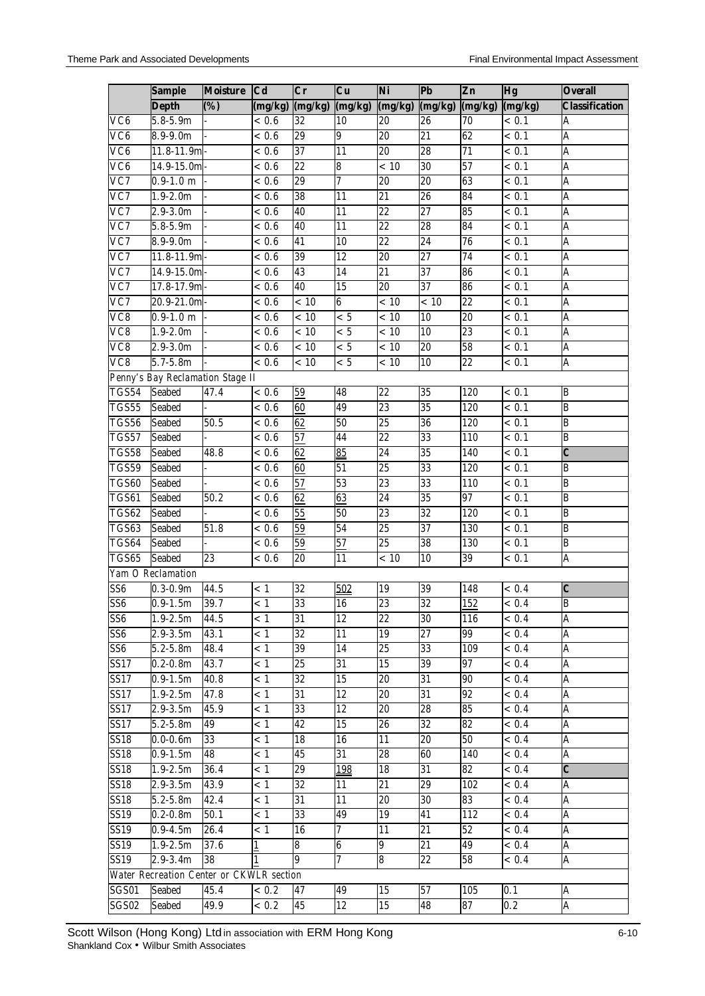|                   | <b>Sample</b>                            | <b>Moisture</b> | <b>Cd</b>         | $\overline{\mathbf{C}\mathbf{r}}$ | Cu              | Ni              | <b>Pb</b>       | Zn              | Hg                 | <b>Overall</b>        |
|-------------------|------------------------------------------|-----------------|-------------------|-----------------------------------|-----------------|-----------------|-----------------|-----------------|--------------------|-----------------------|
|                   | <b>Depth</b>                             | (%)             | (mg/kg)           | (mg/kg)                           | (mg/kg)         | (mg/kg)         | (mg/kg)         | (mg/kg)         | (mg/kg)            | <b>Classification</b> |
| VC6               | $5.8 - 5.9m$                             |                 | < 0.6             | 32                                | 10              | 20              | 26              | 70              | < 0.1              | A                     |
| VC6               | $8.9 - 9.0m$                             |                 | < 0.6             | 29                                | 9               | $\overline{20}$ | 21              | 62              | < 0.1              | A                     |
| VC6               | 11.8-11.9m                               |                 | < 0.6             | 37                                | $\overline{11}$ | $\overline{20}$ | 28              | $\overline{71}$ | < 0.1              | A                     |
| VC6               | $14.9 - 15.0m$                           |                 | < 0.6             | $\overline{22}$                   | 8               | < 10            | 30              | 57              | < 0.1              | Ā                     |
| VC7               | $0.9 - 1.0$ m                            |                 | < 0.6             | 29                                | 7               | $\overline{20}$ | $\overline{20}$ | 63              | < 0.1              | A                     |
| VC7               | $1.9 - 2.0m$                             |                 | < 0.6             | $\overline{38}$                   | 11              | $\overline{21}$ | 26              | 84              | < 0.1              | A                     |
| $\overline{VC7}$  | $2.9 - 3.0m$                             |                 | < 0.6             | 40                                | 11              | $\overline{22}$ | $\overline{27}$ | 85              | < 0.1              | A                     |
| VC7               | $5.8 - 5.9m$                             |                 | < 0.6             | 40                                | $\overline{11}$ | $\overline{22}$ | $\overline{28}$ | 84              | < 0.1              | A                     |
| VC7               | $8.9 - 9.0m$                             |                 | < 0.6             | 41                                | $\overline{10}$ | $\overline{22}$ | $\overline{24}$ | $\overline{76}$ | < 0.1              | A                     |
| VC7               | 11.8-11.9m                               |                 | < 0.6             | 39                                | $\overline{12}$ | $\overline{20}$ | $\overline{27}$ | $\overline{74}$ | < 0.1              | A                     |
| VC7               | 14.9-15.0m                               |                 | < 0.6             | 43                                | 14              | $\overline{21}$ | $\overline{37}$ | 86              | < 0.1              | $\overline{A}$        |
| $\overline{VC7}$  | 17.8-17.9m                               |                 | < 0.6             | $\overline{40}$                   | 15              | 20              | 37              | 86              | < 0.1              | Ā                     |
| VC7               | $20.9 - 21.0m$                           |                 | < 0.6             | < 10                              | $\overline{6}$  | < 10            | < 10            | 22              | < 0.1              | A                     |
| VC8               | $0.9 - 1.0$ m                            |                 | < 0.6             | < 10                              | < 5             | < 10            | 10              | $\overline{20}$ | < 0.1              | $\mathsf A$           |
| VC8               | $1.9 - 2.0m$                             |                 | $\frac{1}{6}$ 0.6 | < 10                              | < 5             | < 10            | 10              | 23              | < 0.1              | A                     |
| $\overline{VC8}$  | $2.9 - 3.0m$                             |                 | ${}< 0.6$         | < 10                              | < 5             | < 10            | 20              | $\overline{58}$ | < 0.1              | A                     |
| $\overline{VC8}$  | $5.7 - 5.8$ m                            |                 | < 0.6             | < 10                              | < 5             | < 10            | 10              | $\overline{22}$ | < 0.1              | A                     |
|                   | Penny's Bay Reclamation Stage II         |                 |                   |                                   |                 |                 |                 |                 |                    |                       |
| <b>TGS54</b>      | <b>Seabed</b>                            | 47.4            | ${}< 0.6$         | 59                                | 48              | $\overline{22}$ | 35              | 120             | $\overline{<}$ 0.1 | B                     |
| TGS55             | <b>Seabed</b>                            |                 | < 0.6             | 60                                | 49              | 23              | 35              | 120             | < 0.1              | $\overline{B}$        |
| TGS56             | <b>Seabed</b>                            | 50.5            | < 0.6             | 62                                | 50              | $\overline{25}$ | 36              | 120             | < 0.1              | $\overline{B}$        |
| TGS57             | <b>Seabed</b>                            |                 | < 0.6             | 57                                | 44              | $\overline{22}$ | 33              | 110             | < 0.1              | B                     |
| <b>TGS58</b>      | <b>Seabed</b>                            | 48.8            | < 0.6             | 62                                | 85              | 24              | 35              | 140             | < 0.1              | $\overline{c}$        |
| TGS59             | <b>Seabed</b>                            |                 | < 0.6             | 60                                | 51              | 25              | 33              | 120             | < 0.1              | B                     |
| TGS60             | <b>Seabed</b>                            |                 | ${}< 0.6$         | 57                                | 53              | $\overline{23}$ | 33              | 110             | < 0.1              | $\overline{B}$        |
| TGS61             | <b>Seabed</b>                            | 50.2            | < 0.6             | 62                                | 63              | $\overline{24}$ | $\overline{35}$ | $\overline{97}$ | < 0.1              | $\overline{B}$        |
| <b>TGS62</b>      | <b>Seabed</b>                            |                 | < 0.6             | 55                                | $\overline{50}$ | 23              | $\overline{32}$ | 120             | $\overline{<}$ 0.1 | $\overline{B}$        |
| TGS63             | <b>Seabed</b>                            | 51.8            | < 0.6             | 59                                | $\overline{54}$ | 25              | 37              | 130             | < 0.1              | $\overline{B}$        |
| TGS64             | <b>Seabed</b>                            |                 | < 0.6             | 59                                | 57              | $\overline{25}$ | 38              | 130             | < 0.1              | $\overline{B}$        |
| TGS65             | <b>Seabed</b>                            | 23              | $\approx 0.6$     | 20                                | $\overline{11}$ | < 10            | 10              | 39              | < 0.1              | Ā                     |
|                   | Yam O Reclamation                        |                 |                   |                                   |                 |                 |                 |                 |                    |                       |
| SS <sub>6</sub>   | $0.3 - 0.9m$                             | 44.5            | < 1               | 32                                | 502             | 19              | 39              | 148             | < 0.4              | $\boldsymbol{C}$      |
| SS <sub>6</sub>   | $0.9 - 1.5m$                             | 39.7            | < 1               | 33                                | 16              | $\overline{23}$ | 32              | 152             | ${}< 0.4$          | B                     |
| SS6               | $1.9 - 2.5m$                             | 44.5            | < 1               | 31                                | 12              | 22              | 30              | 116             | < 0.4              | A                     |
| SS <sub>6</sub>   | $2.9 - 3.5m$                             | 43.1            | $\leq 1$          | $\overline{32}$                   | 11              | 19              | 27              | 99              | $\overline{<}$ 0.4 | A                     |
| SS <sub>6</sub>   | $5.2 - 5.8m$                             | 48.4            | < 1               | 39                                | 14              | 25              | 33              | 109             | < 0.4              | $\mathsf{A}$          |
| SS17              | $0.2 - 0.8$ m                            | 43.7            | < 1               | 25                                | 31              | 15              | 39              | 97              | < 0.4              | A                     |
| SS17              | $0.9 - 1.5m$                             | 40.8            | < 1               | 32                                | 15              | 20              | 31              | 90              | < 0.4              | A                     |
| SS17              | $1.9 - 2.5m$                             | 47.8            | < 1               | 31                                | 12              | 20              | 31              | 92              | < 0.4              | A                     |
| SS17              | $2.9 - 3.5m$                             | 45.9            | < 1               | 33                                | 12              | 20              | 28              | 85              | < 0.4              | A                     |
| <b>SS17</b>       | $5.2 - 5.8m$                             | 49              | < 1               | 42                                | 15              | 26              | 32              | 82              | < 0.4              | A                     |
| <b>SS18</b>       | $0.0 - 0.6m$                             | 33              | < 1               | 18                                | 16              | 11              | 20              | 50              | < 0.4              | A                     |
| <b>SS18</b>       | $0.9 - 1.5m$                             | 48              | < 1               | 45                                | 31              | 28              | 60              | 140             | < 0.4              | A                     |
| <b>SS18</b>       | $1.9 - 2.5m$                             | 36.4            | < 1               | $\overline{29}$                   | 198             | 18              | 31              | 82              | < 0.4              | $\overline{c}$        |
| <b>SS18</b>       | $2.9 - 3.5m$                             | 43.9            | < 1               | 32                                | 11              | 21              | 29              | 102             | < 0.4              | A                     |
| <b>SS18</b>       | $5.2 - 5.8m$                             | 42.4            | < 1               | 31                                | 11              | 20              | 30              | 83              | < 0.4              | A                     |
| <b>SS19</b>       | $0.2-0.8m$                               | 50.1            | < 1               | 33                                | 49              | 19              | 41              | 112             | < 0.4              | A                     |
| $\overline{SS}19$ | $0.9 - 4.5m$                             | 26.4            | < 1               | 16                                | 7               | 11              | 21              | 52              | < 0.4              | A                     |
| SS19              | $1.9 - 2.5m$                             | 37.6            | $\mathbf{1}$      | 8                                 | 6               | 9               | 21              | 49              | < 0.4              | A                     |
| SS19              | $2.9 - 3.4m$                             | 38              |                   | 9                                 | 7               | 8               | 22              | 58              | < 0.4              | A                     |
|                   | Water Recreation Center or CKWLR section |                 |                   |                                   |                 |                 |                 |                 |                    |                       |
| SGS01             | Seabed                                   | 45.4            | < 0.2             | 47                                | 49              | 15              | 57              | 105             | 0.1                | A                     |
| SGS02             | Seabed                                   | 49.9            | < 0.2             | 45                                | 12              | 15              | 48              | 87              | 0.2                | A                     |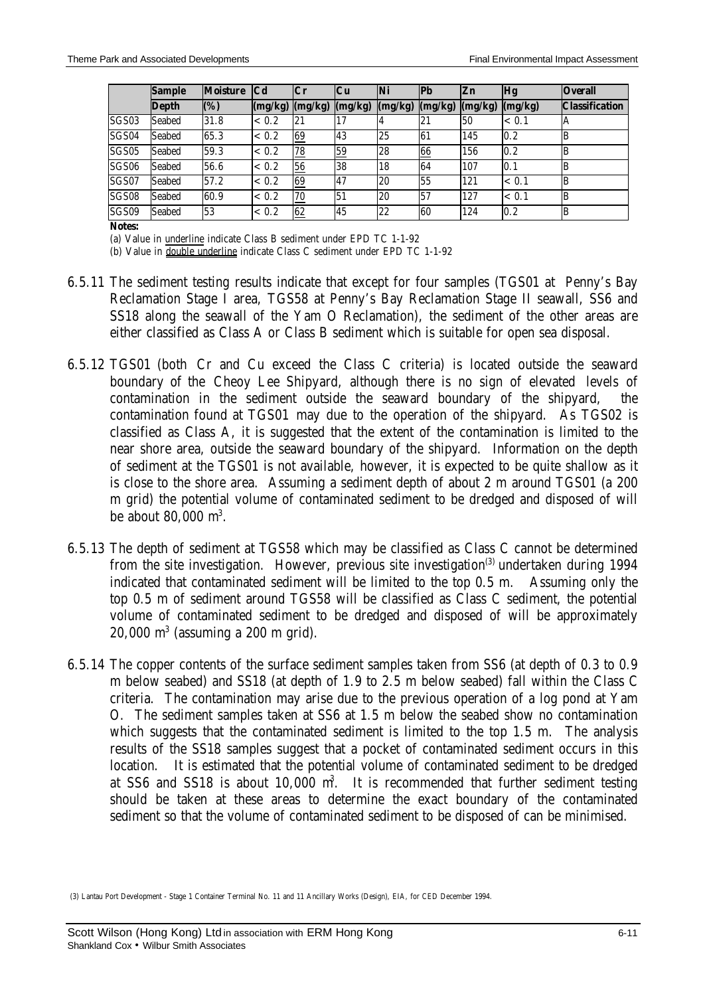|       | <b>Sample</b> | <b>Moisture</b> | <b>Cd</b> | $ C_{r} $ | Cu        | <b>Ni</b> | lPb     | Zn      | <b>Hg</b> | <b>Overall</b>        |
|-------|---------------|-----------------|-----------|-----------|-----------|-----------|---------|---------|-----------|-----------------------|
|       | Depth         | (%)             | (mg/kg)   | (mg/kg)   | (mg/kg)   | (mg/kg)   | (mg/kg) | (mg/kg) | (mg/kg)   | <b>Classification</b> |
| SGS03 | Seabed        | 31.8            | < 0.2     | 21        | 17        |           | 21      | 50      | < 0.1     | A                     |
| SGS04 | Seabed        | 65.3            | < 0.2     | 69        | 43        | 25        | 61      | 145     | 0.2       | B                     |
| SGS05 | Seabed        | 59.3            | < 0.2     | 78        | 59        | 28        | 66      | 156     | 0.2       | B                     |
| SGS06 | Seabed        | 56.6            | < 0.2     | 56        | 38        | 18        | 64      | 107     | 0.1       | B                     |
| SGS07 | Seabed        | 57.2            | ${}< 0.2$ | 69        | <b>47</b> | 20        | 55      | 121     | < 0.1     | B                     |
| SGS08 | Seabed        | 60.9            | < 0.2     | 70        | 51        | 20        | 57      | 127     | < 0.1     | B                     |
| SGS09 | Seabed        | 53              | < 0.2     | 62        | 45        | 22        | 60      | 124     | 0.2       | B                     |

**Notes:**

(a) Value in underline indicate Class B sediment under EPD TC 1-1-92

(b) Value in double underline indicate Class C sediment under EPD TC 1-1-92

- 6.5.11 The sediment testing results indicate that except for four samples (TGS01 at Penny's Bay Reclamation Stage I area, TGS58 at Penny's Bay Reclamation Stage II seawall, SS6 and SS18 along the seawall of the Yam O Reclamation), the sediment of the other areas are either classified as Class A or Class B sediment which is suitable for open sea disposal.
- 6.5.12 TGS01 (both Cr and Cu exceed the Class C criteria) is located outside the seaward boundary of the Cheoy Lee Shipyard, although there is no sign of elevated levels of contamination in the sediment outside the seaward boundary of the shipyard, the contamination found at TGS01 may due to the operation of the shipyard. As TGS02 is classified as Class A, it is suggested that the extent of the contamination is limited to the near shore area, outside the seaward boundary of the shipyard. Information on the depth of sediment at the TGS01 is not available, however, it is expected to be quite shallow as it is close to the shore area. Assuming a sediment depth of about 2 m around TGS01 (a 200 m grid) the potential volume of contaminated sediment to be dredged and disposed of will be about 80,000 m<sup>3</sup>.
- 6.5.13 The depth of sediment at TGS58 which may be classified as Class C cannot be determined from the site investigation. However, previous site investigation<sup>(3)</sup> undertaken during 1994 indicated that contaminated sediment will be limited to the top 0.5 m. Assuming only the top 0.5 m of sediment around TGS58 will be classified as Class C sediment, the potential volume of contaminated sediment to be dredged and disposed of will be approximately  $20,000$  m<sup>3</sup> (assuming a  $200$  m grid).
- 6.5.14 The copper contents of the surface sediment samples taken from SS6 (at depth of 0.3 to 0.9 m below seabed) and SS18 (at depth of 1.9 to 2.5 m below seabed) fall within the Class C criteria. The contamination may arise due to the previous operation of a log pond at Yam O. The sediment samples taken at SS6 at 1.5 m below the seabed show no contamination which suggests that the contaminated sediment is limited to the top 1.5 m. The analysis results of the SS18 samples suggest that a pocket of contaminated sediment occurs in this location. It is estimated that the potential volume of contaminated sediment to be dredged at SS6 and SS18 is about 10,000 m<sup>3</sup>. It is recommended that further sediment testing should be taken at these areas to determine the exact boundary of the contaminated sediment so that the volume of contaminated sediment to be disposed of can be minimised.

 <sup>(3)</sup> Lantau Port Development - Stage 1 Container Terminal No. 11 and 11 Ancillary Works (Design), EIA, for CED December 1994.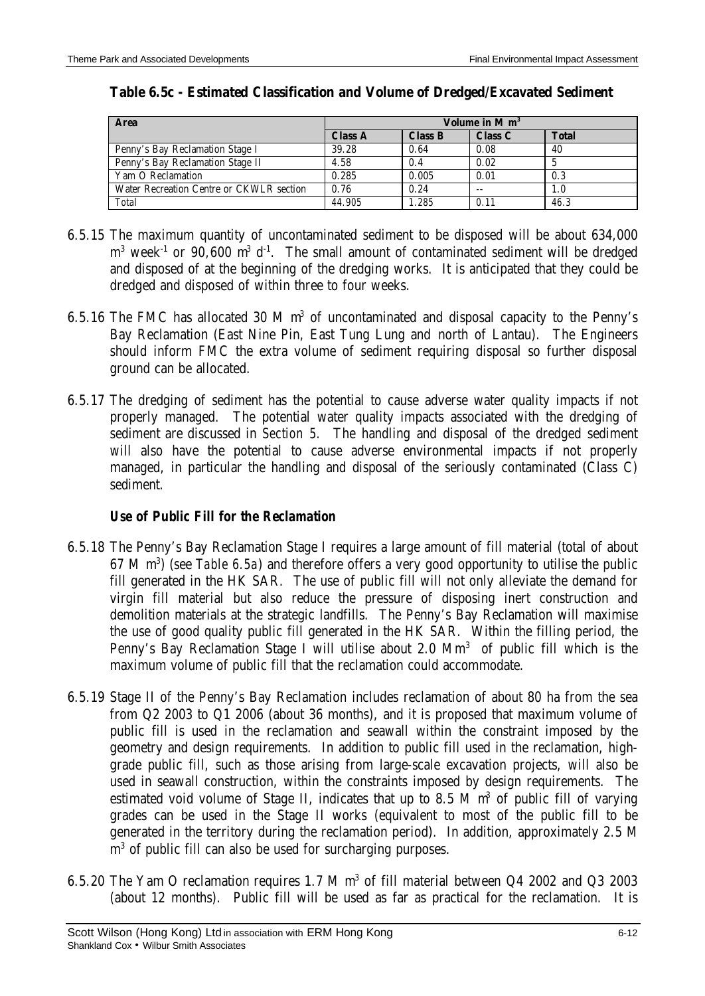| <b>Area</b>                              |                | Volume in $M m3$ |         |              |  |  |  |
|------------------------------------------|----------------|------------------|---------|--------------|--|--|--|
|                                          | <b>Class A</b> | <b>Class B</b>   | Class C | <b>Total</b> |  |  |  |
| Penny's Bay Reclamation Stage I          | 39.28          | 0.64             | 0.08    | 40           |  |  |  |
| Penny's Bay Reclamation Stage II         | 4.58           | 0.4              | 0.02    |              |  |  |  |
| Yam O Reclamation                        | 0.285          | 0.005            | 0.01    | 0.3          |  |  |  |
| Water Recreation Centre or CKWLR section | 0.76           | 0.24             | $-$     | 1.0          |  |  |  |
| <b>Total</b>                             | 44.905         | 1.285            | 0.11    | 46.3         |  |  |  |

### **Table 6.5c - Estimated Classification and Volume of Dredged/Excavated Sediment**

- 6.5.15 The maximum quantity of uncontaminated sediment to be disposed will be about 634,000  $m<sup>3</sup>$  week<sup>-1</sup> or 90,600  $m<sup>3</sup>$  d<sup>-1</sup>. The small amount of contaminated sediment will be dredged and disposed of at the beginning of the dredging works. It is anticipated that they could be dredged and disposed of within three to four weeks.
- 6.5.16 The FMC has allocated 30 M  $m<sup>3</sup>$  of uncontaminated and disposal capacity to the Penny's Bay Reclamation (East Nine Pin, East Tung Lung and north of Lantau). The Engineers should inform FMC the extra volume of sediment requiring disposal so further disposal ground can be allocated.
- 6.5.17 The dredging of sediment has the potential to cause adverse water quality impacts if not properly managed. The potential water quality impacts associated with the dredging of sediment are discussed in *Section 5.* The handling and disposal of the dredged sediment will also have the potential to cause adverse environmental impacts if not properly managed, in particular the handling and disposal of the seriously contaminated (Class C) sediment.

# *Use of Public Fill for the Reclamation*

- 6.5.18 The Penny's Bay Reclamation Stage I requires a large amount of fill material (total of about 67 M m<sup>3</sup>) (see *Table 6.5a*) and therefore offers a very good opportunity to utilise the public fill generated in the HK SAR. The use of public fill will not only alleviate the demand for virgin fill material but also reduce the pressure of disposing inert construction and demolition materials at the strategic landfills. The Penny's Bay Reclamation will maximise the use of good quality public fill generated in the HK SAR. Within the filling period, the Penny's Bay Reclamation Stage I will utilise about  $2.0 \text{ Mm}^3$  of public fill which is the maximum volume of public fill that the reclamation could accommodate.
- 6.5.19 Stage II of the Penny's Bay Reclamation includes reclamation of about 80 ha from the sea from Q2 2003 to Q1 2006 (about 36 months), and it is proposed that maximum volume of public fill is used in the reclamation and seawall within the constraint imposed by the geometry and design requirements. In addition to public fill used in the reclamation, highgrade public fill, such as those arising from large-scale excavation projects, will also be used in seawall construction, within the constraints imposed by design requirements. The estimated void volume of Stage II, indicates that up to 8.5 M  $m<sup>3</sup>$  of public fill of varying grades can be used in the Stage II works (equivalent to most of the public fill to be generated in the territory during the reclamation period). In addition, approximately 2.5 M m<sup>3</sup> of public fill can also be used for surcharging purposes.
- 6.5.20 The Yam O reclamation requires 1.7 M  $m<sup>3</sup>$  of fill material between Q4 2002 and Q3 2003 (about 12 months). Public fill will be used as far as practical for the reclamation. It is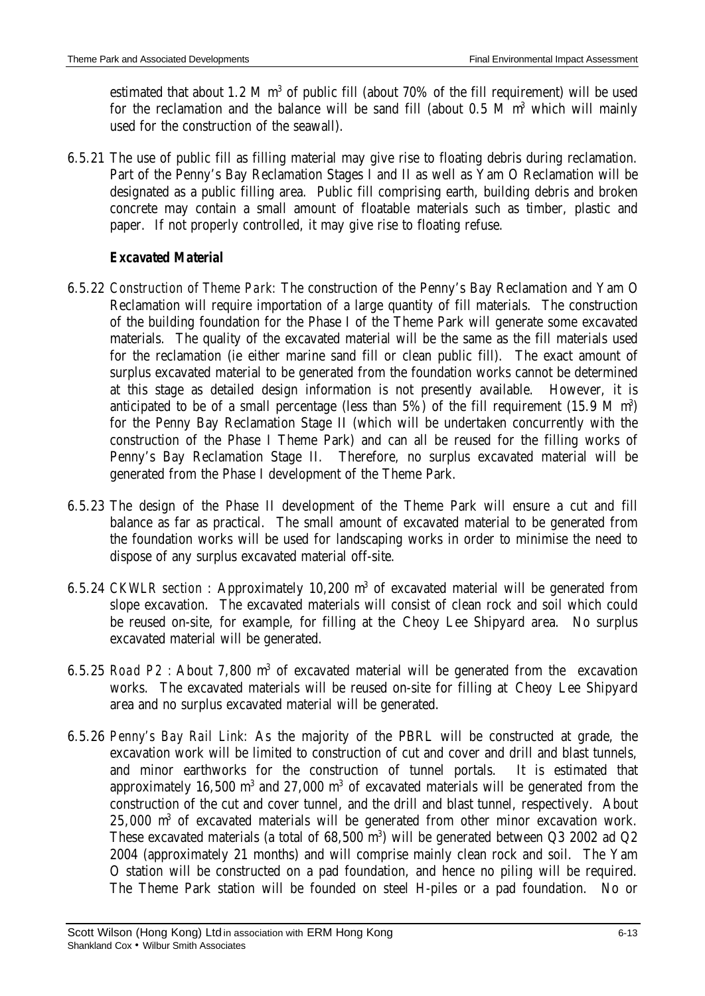estimated that about 1.2 M  $m<sup>3</sup>$  of public fill (about 70% of the fill requirement) will be used for the reclamation and the balance will be sand fill (about  $0.5$  M  $m<sup>3</sup>$  which will mainly used for the construction of the seawall).

6.5.21 The use of public fill as filling material may give rise to floating debris during reclamation. Part of the Penny's Bay Reclamation Stages I and II as well as Yam O Reclamation will be designated as a public filling area. Public fill comprising earth, building debris and broken concrete may contain a small amount of floatable materials such as timber, plastic and paper. If not properly controlled, it may give rise to floating refuse.

# *Excavated Material*

- 6.5.22 *Construction of Theme Park:* The construction of the Penny's Bay Reclamation and Yam O Reclamation will require importation of a large quantity of fill materials. The construction of the building foundation for the Phase I of the Theme Park will generate some excavated materials. The quality of the excavated material will be the same as the fill materials used for the reclamation (ie either marine sand fill or clean public fill). The exact amount of surplus excavated material to be generated from the foundation works cannot be determined at this stage as detailed design information is not presently available. However, it is anticipated to be of a small percentage (less than  $5\%$ ) of the fill requirement (15.9 M m<sup>3</sup>) for the Penny Bay Reclamation Stage II (which will be undertaken concurrently with the construction of the Phase I Theme Park) and can all be reused for the filling works of Penny's Bay Reclamation Stage II. Therefore, no surplus excavated material will be generated from the Phase I development of the Theme Park.
- 6.5.23 The design of the Phase II development of the Theme Park will ensure a cut and fill balance as far as practical. The small amount of excavated material to be generated from the foundation works will be used for landscaping works in order to minimise the need to dispose of any surplus excavated material off-site.
- 6.5.24 *CKWLR section*: Approximately 10,200 m<sup>3</sup> of excavated material will be generated from slope excavation. The excavated materials will consist of clean rock and soil which could be reused on-site, for example, for filling at the Cheoy Lee Shipyard area. No surplus excavated material will be generated.
- 6.5.25 *Road P2 :* About 7,800 m<sup>3</sup> of excavated material will be generated from the excavation works. The excavated materials will be reused on-site for filling at Cheoy Lee Shipyard area and no surplus excavated material will be generated.
- 6.5.26 *Penny's Bay Rail Link:* As the majority of the PBRL will be constructed at grade, the excavation work will be limited to construction of cut and cover and drill and blast tunnels, and minor earthworks for the construction of tunnel portals. It is estimated that approximately 16,500  $m^3$  and 27,000  $m^3$  of excavated materials will be generated from the construction of the cut and cover tunnel, and the drill and blast tunnel, respectively. About 25,000 m<sup>3</sup> of excavated materials will be generated from other minor excavation work. These excavated materials (a total of  $68,500$  m<sup>3</sup>) will be generated between Q3 2002 ad Q2 2004 (approximately 21 months) and will comprise mainly clean rock and soil. The Yam O station will be constructed on a pad foundation, and hence no piling will be required. The Theme Park station will be founded on steel H-piles or a pad foundation. No or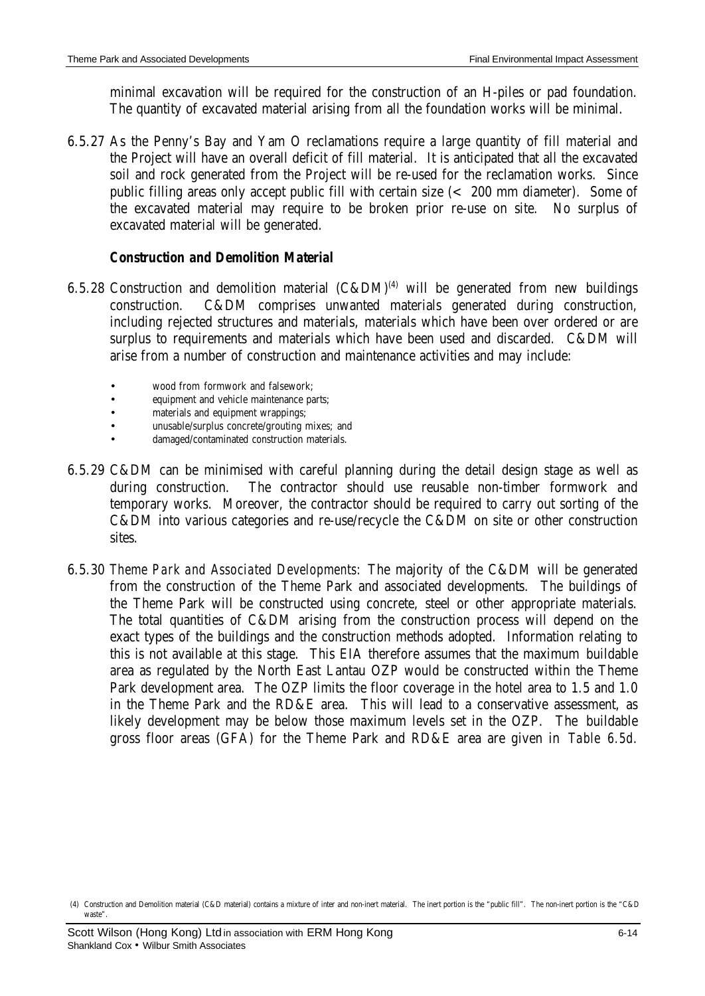minimal excavation will be required for the construction of an H-piles or pad foundation. The quantity of excavated material arising from all the foundation works will be minimal.

6.5.27 As the Penny's Bay and Yam O reclamations require a large quantity of fill material and the Project will have an overall deficit of fill material. It is anticipated that all the excavated soil and rock generated from the Project will be re-used for the reclamation works. Since public filling areas only accept public fill with certain size (< 200 mm diameter). Some of the excavated material may require to be broken prior re-use on site. No surplus of excavated material will be generated.

#### *Construction and Demolition Material*

- 6.5.28 Construction and demolition material  $(C&DM)^{(4)}$  will be generated from new buildings construction. C&DM comprises unwanted materials generated during construction, including rejected structures and materials, materials which have been over ordered or are surplus to requirements and materials which have been used and discarded. C&DM will arise from a number of construction and maintenance activities and may include:
	- wood from formwork and falsework:
	- equipment and vehicle maintenance parts;
	- materials and equipment wrappings;
	- unusable/surplus concrete/grouting mixes; and
	- damaged/contaminated construction materials.
- 6.5.29 C&DM can be minimised with careful planning during the detail design stage as well as during construction. The contractor should use reusable non-timber formwork and temporary works. Moreover, the contractor should be required to carry out sorting of the C&DM into various categories and re-use/recycle the C&DM on site or other construction sites.
- 6.5.30 *Theme Park and Associated Developments:* The majority of the C&DM will be generated from the construction of the Theme Park and associated developments. The buildings of the Theme Park will be constructed using concrete, steel or other appropriate materials. The total quantities of C&DM arising from the construction process will depend on the exact types of the buildings and the construction methods adopted. Information relating to this is not available at this stage. This EIA therefore assumes that the maximum buildable area as regulated by the North East Lantau OZP would be constructed within the Theme Park development area. The OZP limits the floor coverage in the hotel area to 1.5 and 1.0 in the Theme Park and the RD&E area. This will lead to a conservative assessment, as likely development may be below those maximum levels set in the OZP. The buildable gross floor areas (GFA) for the Theme Park and RD&E area are given in *Table 6.5d*.

 <sup>(4)</sup> Construction and Demolition material (C&D material) contains a mixture of inter and non-inert material. The inert portion is the "public fill". The non-inert portion is the "C&D waste".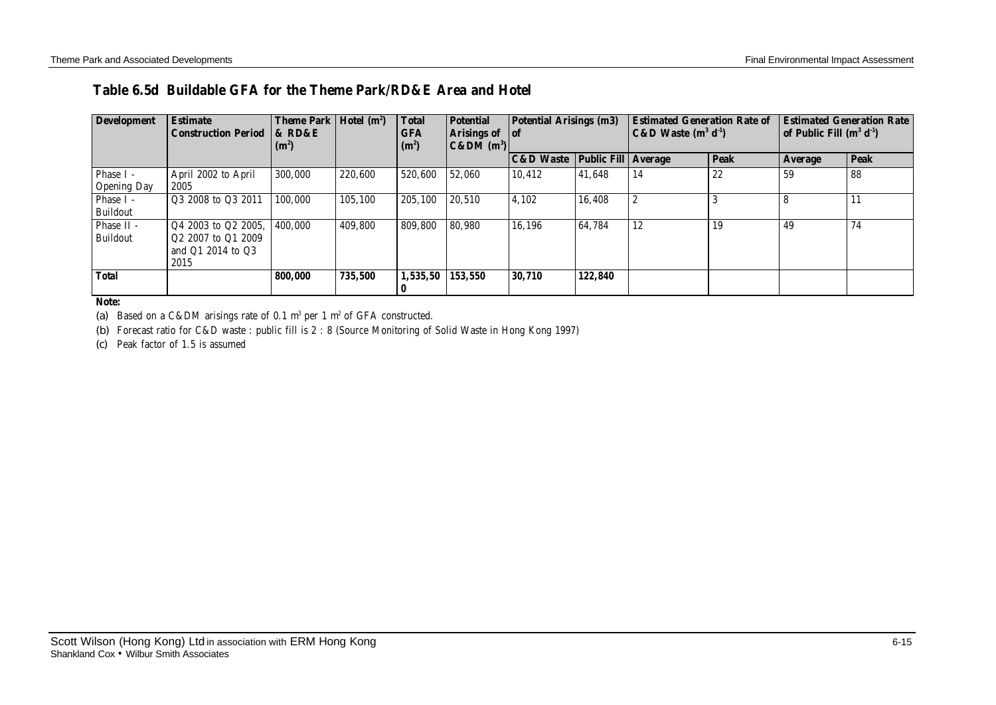# **Table 6.5d Buildable GFA for the Theme Park/RD&E Area and Hotel**

| <b>Development</b>              | <b>Estimate</b><br><b>Construction Period</b>                                | Theme Park   Hotel (m <sup>2</sup> )<br><b>&amp; RD&amp;E</b><br>(m <sup>2</sup> ) |         | <b>Total</b><br><b>GFA</b><br>$(m^2)$ | <b>Potential</b><br>Arisings of of<br>$ C\&DM(m^3) $ | <b>Potential Arisings (m3)</b>             |         | <b>Estimated Generation Rate of</b><br>$C&D$ Waste $(m^3 d^1)$ |             | <b>Estimated Generation Rate</b><br>of Public Fill $(m^3 d^1)$ |             |
|---------------------------------|------------------------------------------------------------------------------|------------------------------------------------------------------------------------|---------|---------------------------------------|------------------------------------------------------|--------------------------------------------|---------|----------------------------------------------------------------|-------------|----------------------------------------------------------------|-------------|
|                                 |                                                                              |                                                                                    |         |                                       |                                                      | <b>C&amp;D Waste Public Fill   Average</b> |         |                                                                | <b>Peak</b> | <b>Average</b>                                                 | <b>Peak</b> |
| Phase I -<br><b>Opening Day</b> | April 2002 to April<br>2005                                                  | 300,000                                                                            | 220.600 | 520,600                               | 52.060                                               | 10,412                                     | 41,648  | 14                                                             | 22          | 59                                                             | 88          |
| Phase I -<br>Buildout           | Q3 2008 to Q3 2011                                                           | 100.000                                                                            | 105,100 | 205,100                               | 20.510                                               | 4,102                                      | 16,408  |                                                                |             |                                                                | 11          |
| Phase II -<br><b>Buildout</b>   | Q4 2003 to Q2 2005,<br>$Q2\,2007$ to $Q1\,2009$<br>and Q1 2014 to Q3<br>2015 | 400.000                                                                            | 409,800 | 809,800                               | 80.980                                               | 16,196                                     | 64,784  | 12                                                             | 19          | 49                                                             | 74          |
| <b>Total</b>                    |                                                                              | 800.000                                                                            | 735,500 | 1,535,50                              | 153,550                                              | 30,710                                     | 122,840 |                                                                |             |                                                                |             |

**Note:**

(a) Based on a C&DM arisings rate of  $0.1 \text{ m}^3$  per  $1 \text{ m}^2$  of GFA constructed.

(b) Forecast ratio for C&D waste : public fill is 2 : 8 (Source Monitoring of Solid Waste in Hong Kong 1997)

(c) Peak factor of 1.5 is assumed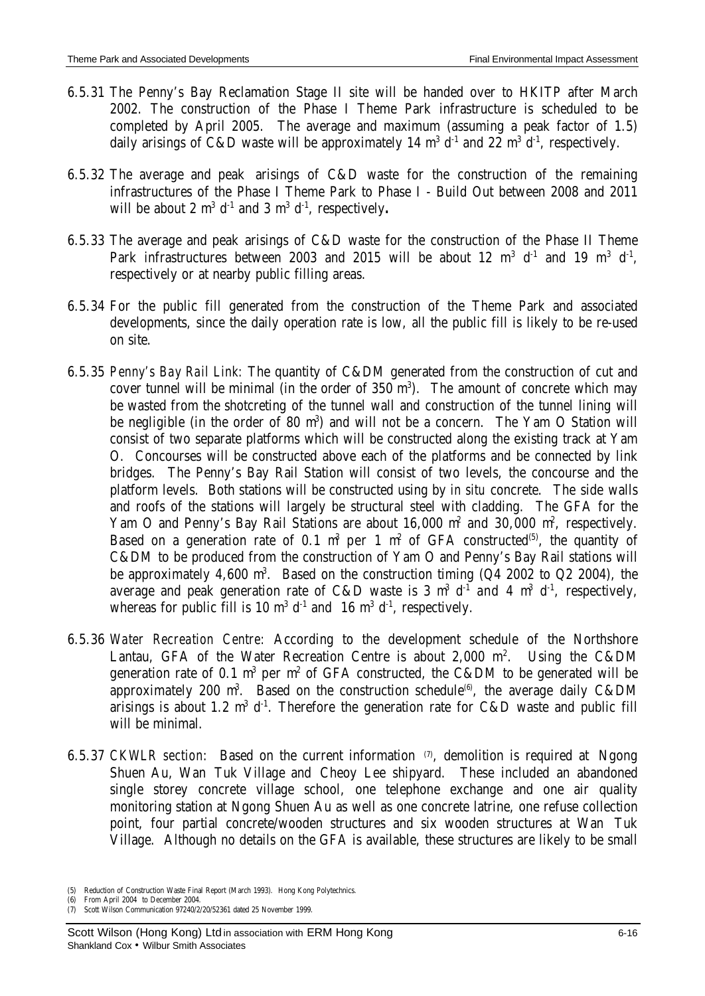- 6.5.31 The Penny's Bay Reclamation Stage II site will be handed over to HKITP after March 2002. The construction of the Phase I Theme Park infrastructure is scheduled to be completed by April 2005. The average and maximum (assuming a peak factor of 1.5) daily arisings of C&D waste will be approximately 14  $m<sup>3</sup> d<sup>-1</sup>$  and 22  $m<sup>3</sup> d<sup>-1</sup>$ , respectively.
- 6.5.32 The average and peak arisings of C&D waste for the construction of the remaining infrastructures of the Phase I Theme Park to Phase I - Build Out between 2008 and 2011 will be about 2  $m^3$   $d^{\text{-}1}$  and 3  $m^3$   $d^{\text{-}1}$ , respectively.
- 6.5.33 The average and peak arisings of C&D waste for the construction of the Phase II Theme Park infrastructures between 2003 and 2015 will be about 12  $m^3$  d<sup>-1</sup> and 19  $m^3$  d<sup>-1</sup>, respectively or at nearby public filling areas.
- 6.5.34 For the public fill generated from the construction of the Theme Park and associated developments, since the daily operation rate is low, all the public fill is likely to be re-used on site.
- 6.5.35 *Penny's Bay Rail Link:* The quantity of C&DM generated from the construction of cut and cover tunnel will be minimal (in the order of  $350 \text{ m}^3$ ). The amount of concrete which may be wasted from the shotcreting of the tunnel wall and construction of the tunnel lining will be negligible (in the order of 80 m<sup>3</sup>) and will not be a concern. The Yam O Station will consist of two separate platforms which will be constructed along the existing track at Yam O. Concourses will be constructed above each of the platforms and be connected by link bridges. The Penny's Bay Rail Station will consist of two levels, the concourse and the platform levels. Both stations will be constructed using by *in situ* concrete. The side walls and roofs of the stations will largely be structural steel with cladding. The GFA for the Yam O and Penny's Bay Rail Stations are about 16,000 m<sup>2</sup> and 30,000 m<sup>2</sup>, respectively. Based on a generation rate of 0.1  $m^3$  per 1  $m^2$  of GFA constructed<sup>(5)</sup>, the quantity of C&DM to be produced from the construction of Yam O and Penny's Bay Rail stations will be approximately 4,600 m<sup>3</sup>. Based on the construction timing (Q4 2002 to Q2 2004), the average and peak generation rate of C&D waste is 3  $m^3$  d<sup>-1</sup> and 4  $m^3$  d<sup>-1</sup>, respectively, whereas for public fill is 10  $m^3 d^{-1}$  and 16  $m^3 d^{-1}$ , respectively.
- 6.5.36 *Water Recreation Centre:* According to the development schedule of the Northshore Lantau, GFA of the Water Recreation Centre is about  $2,000$  m<sup>2</sup>. Using the C&DM generation rate of 0.1  $m^3$  per  $m^2$  of GFA constructed, the C&DM to be generated will be approximately 200 m<sup>3</sup>. Based on the construction schedule<sup>(6)</sup>, the average daily C&DM arisings is about 1.2  $m^3$  d<sup>-1</sup>. Therefore the generation rate for C&D waste and public fill will be minimal.
- 6.5.37 *CKWLR section*: Based on the current information  $\varnothing$ , demolition is required at Ngong Shuen Au, Wan Tuk Village and Cheoy Lee shipyard. These included an abandoned single storey concrete village school, one telephone exchange and one air quality monitoring station at Ngong Shuen Au as well as one concrete latrine, one refuse collection point, four partial concrete/wooden structures and six wooden structures at Wan Tuk Village. Although no details on the GFA is available, these structures are likely to be small

(6) From April 2004 to December 2004.

<sup>(5)</sup> Reduction of Construction Waste Final Report (March 1993). Hong Kong Polytechnics.

<sup>(7)</sup> Scott Wilson Communication 97240/2/20/52361 dated 25 November 1999.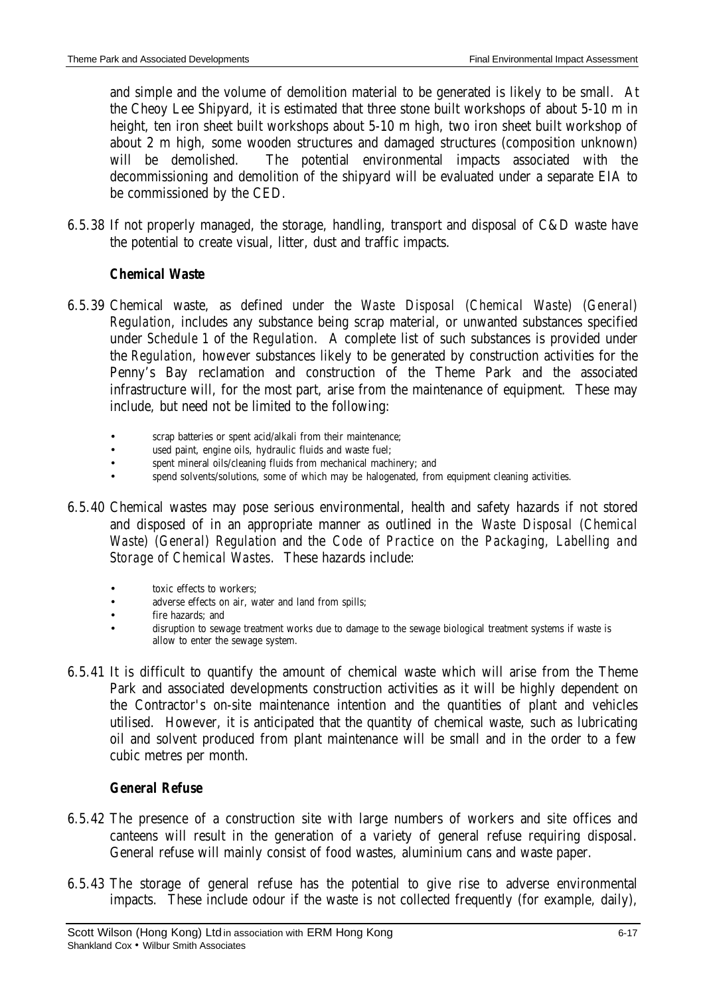and simple and the volume of demolition material to be generated is likely to be small. At the Cheoy Lee Shipyard, it is estimated that three stone built workshops of about 5-10 m in height, ten iron sheet built workshops about 5-10 m high, two iron sheet built workshop of about 2 m high, some wooden structures and damaged structures (composition unknown) will be demolished. The potential environmental impacts associated with the decommissioning and demolition of the shipyard will be evaluated under a separate EIA to be commissioned by the CED.

6.5.38 If not properly managed, the storage, handling, transport and disposal of C&D waste have the potential to create visual, litter, dust and traffic impacts.

# *Chemical Waste*

- 6.5.39 Chemical waste, as defined under the *Waste Disposal (Chemical Waste) (General) Regulation*, includes any substance being scrap material, or unwanted substances specified under *Schedule 1* of the *Regulation*. A complete list of such substances is provided under the *Regulation*, however substances likely to be generated by construction activities for the Penny's Bay reclamation and construction of the Theme Park and the associated infrastructure will, for the most part, arise from the maintenance of equipment. These may include, but need not be limited to the following:
	- scrap batteries or spent acid/alkali from their maintenance;
	- used paint, engine oils, hydraulic fluids and waste fuel;
	- spent mineral oils/cleaning fluids from mechanical machinery; and
	- spend solvents/solutions, some of which may be halogenated, from equipment cleaning activities.
- 6.5.40 Chemical wastes may pose serious environmental, health and safety hazards if not stored and disposed of in an appropriate manner as outlined in the *Waste Disposal (Chemical Waste) (General) Regulation* and the *Code of Practice on the Packaging, Labelling and Storage of Chemical Wastes*. These hazards include:
	- toxic effects to workers:
	- adverse effects on air, water and land from spills;
	- fire hazards; and
	- disruption to sewage treatment works due to damage to the sewage biological treatment systems if waste is allow to enter the sewage system.
- 6.5.41 It is difficult to quantify the amount of chemical waste which will arise from the Theme Park and associated developments construction activities as it will be highly dependent on the Contractor's on-site maintenance intention and the quantities of plant and vehicles utilised. However, it is anticipated that the quantity of chemical waste, such as lubricating oil and solvent produced from plant maintenance will be small and in the order to a few cubic metres per month.

# *General Refuse*

- 6.5.42 The presence of a construction site with large numbers of workers and site offices and canteens will result in the generation of a variety of general refuse requiring disposal. General refuse will mainly consist of food wastes, aluminium cans and waste paper.
- 6.5.43 The storage of general refuse has the potential to give rise to adverse environmental impacts. These include odour if the waste is not collected frequently (for example, daily),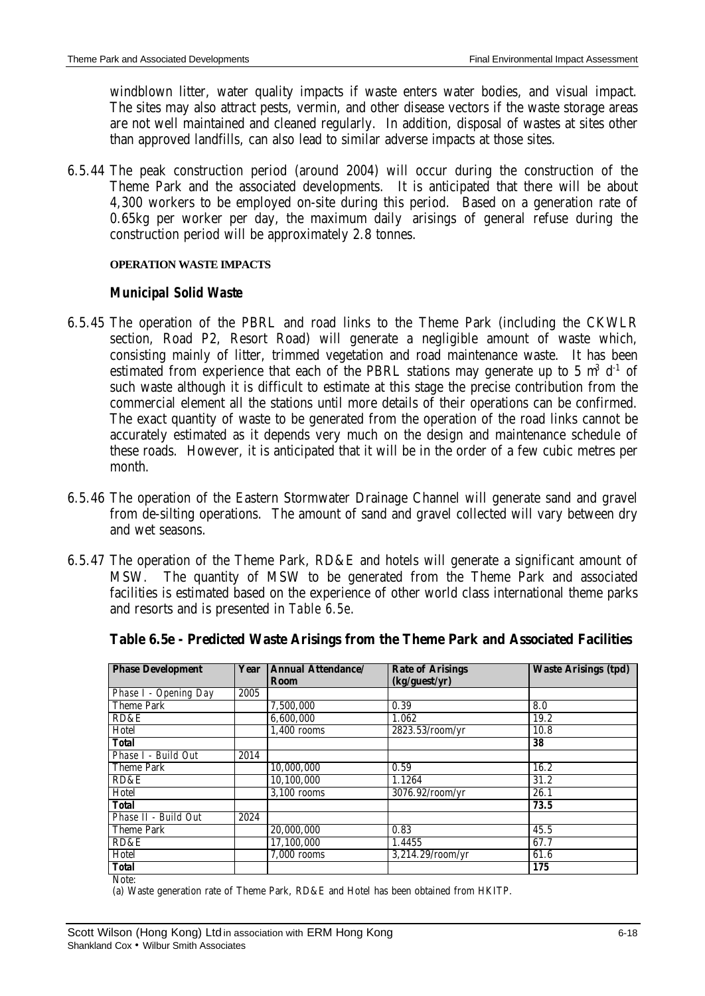windblown litter, water quality impacts if waste enters water bodies, and visual impact. The sites may also attract pests, vermin, and other disease vectors if the waste storage areas are not well maintained and cleaned regularly. In addition, disposal of wastes at sites other than approved landfills, can also lead to similar adverse impacts at those sites.

6.5.44 The peak construction period (around 2004) will occur during the construction of the Theme Park and the associated developments. It is anticipated that there will be about 4,300 workers to be employed on-site during this period. Based on a generation rate of 0.65kg per worker per day, the maximum daily arisings of general refuse during the construction period will be approximately 2.8 tonnes.

#### **OPERATION WASTE IMPACTS**

#### *Municipal Solid Waste*

- 6.5.45 The operation of the PBRL and road links to the Theme Park (including the CKWLR section, Road P2, Resort Road) will generate a negligible amount of waste which, consisting mainly of litter, trimmed vegetation and road maintenance waste. It has been estimated from experience that each of the PBRL stations may generate up to 5  $m^3$  d<sup>-1</sup> of such waste although it is difficult to estimate at this stage the precise contribution from the commercial element all the stations until more details of their operations can be confirmed. The exact quantity of waste to be generated from the operation of the road links cannot be accurately estimated as it depends very much on the design and maintenance schedule of these roads. However, it is anticipated that it will be in the order of a few cubic metres per month.
- 6.5.46 The operation of the Eastern Stormwater Drainage Channel will generate sand and gravel from de-silting operations. The amount of sand and gravel collected will vary between dry and wet seasons.
- 6.5.47 The operation of the Theme Park, RD&E and hotels will generate a significant amount of MSW. The quantity of MSW to be generated from the Theme Park and associated facilities is estimated based on the experience of other world class international theme parks and resorts and is presented in *Table 6.5e*.

| <b>Phase Development</b>     | Year | <b>Annual Attendance/</b> | <b>Rate of Arisings</b> | <b>Waste Arisings (tpd)</b> |
|------------------------------|------|---------------------------|-------------------------|-----------------------------|
|                              |      | Room                      | (kg/guest/yr)           |                             |
| Phase I - Opening Day        | 2005 |                           |                         |                             |
| <b>Theme Park</b>            |      | 7.500.000                 | 0.39                    | 8.0                         |
| RD&E                         |      | 6.600.000                 | 1.062                   | 19.2                        |
| Hotel                        |      | $1,400$ rooms             | 2823.53/room/yr         | 10.8                        |
| <b>Total</b>                 |      |                           |                         | 38                          |
| Phase I - Build Out          | 2014 |                           |                         |                             |
| <b>Theme Park</b>            |      | 10,000,000                | 0.59                    | 16.2                        |
| RD&E                         |      | 10,100,000                | 1.1264                  | 31.2                        |
| Hotel                        |      | $\overline{3,100}$ rooms  | 3076.92/room/vr         | 26.1                        |
| <b>Total</b>                 |      |                           |                         | 73.5                        |
| Phase II - Build Out         | 2024 |                           |                         |                             |
| <b>Theme Park</b>            |      | 20,000,000                | 0.83                    | 45.5                        |
| RD&E                         |      | 17,100,000                | 1.4455                  | 67.7                        |
| Hotel                        |      | $7,000$ rooms             | $3,214.29$ /room/yr     | 61.6                        |
| <b>Total</b><br>$NT - 1 - 1$ |      |                           |                         | 175                         |

**Table 6.5e - Predicted Waste Arisings from the Theme Park and Associated Facilities**

Note:

(a) Waste generation rate of Theme Park, RD&E and Hotel has been obtained from HKITP.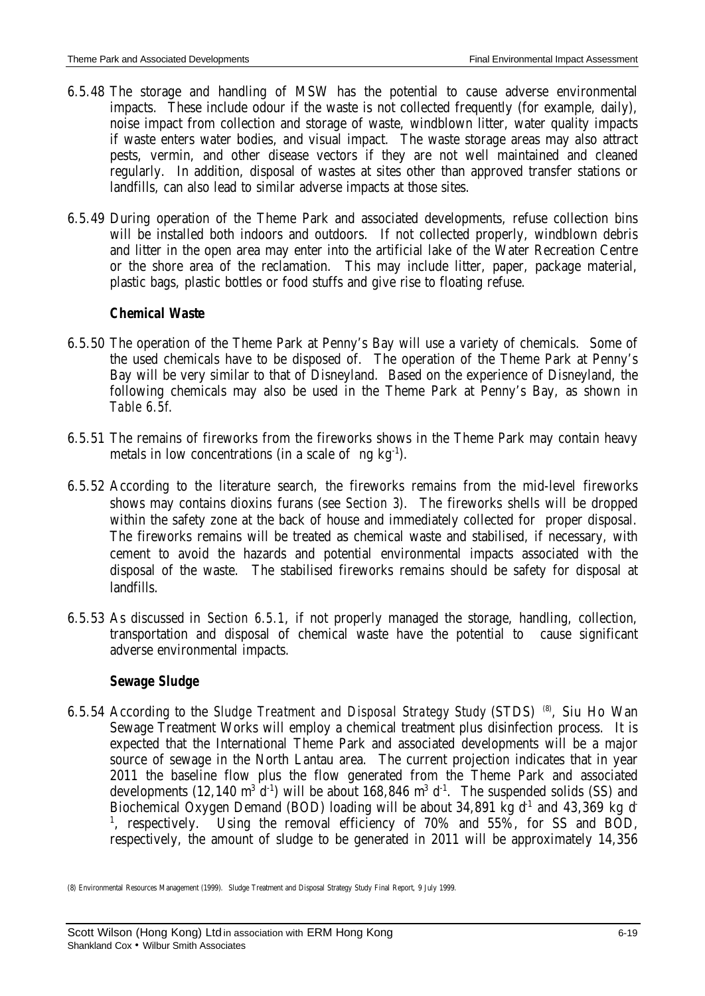- 6.5.48 The storage and handling of MSW has the potential to cause adverse environmental impacts. These include odour if the waste is not collected frequently (for example, daily), noise impact from collection and storage of waste, windblown litter, water quality impacts if waste enters water bodies, and visual impact. The waste storage areas may also attract pests, vermin, and other disease vectors if they are not well maintained and cleaned regularly. In addition, disposal of wastes at sites other than approved transfer stations or landfills, can also lead to similar adverse impacts at those sites.
- 6.5.49 During operation of the Theme Park and associated developments, refuse collection bins will be installed both indoors and outdoors. If not collected properly, windblown debris and litter in the open area may enter into the artificial lake of the Water Recreation Centre or the shore area of the reclamation. This may include litter, paper, package material, plastic bags, plastic bottles or food stuffs and give rise to floating refuse.

# *Chemical Waste*

- 6.5.50 The operation of the Theme Park at Penny's Bay will use a variety of chemicals. Some of the used chemicals have to be disposed of. The operation of the Theme Park at Penny's Bay will be very similar to that of Disneyland. Based on the experience of Disneyland, the following chemicals may also be used in the Theme Park at Penny's Bay, as shown in *Table 6.5f*.
- 6.5.51 The remains of fireworks from the fireworks shows in the Theme Park may contain heavy metals in low concentrations (in a scale of ng  $kg^{-1}$ ).
- 6.5.52 According to the literature search, the fireworks remains from the mid-level fireworks shows may contains dioxins furans (see *Section 3*). The fireworks shells will be dropped within the safety zone at the back of house and immediately collected for proper disposal. The fireworks remains will be treated as chemical waste and stabilised, if necessary, with cement to avoid the hazards and potential environmental impacts associated with the disposal of the waste. The stabilised fireworks remains should be safety for disposal at landfills.
- 6.5.53 As discussed in *Section 6.5.1*, if not properly managed the storage, handling, collection, transportation and disposal of chemical waste have the potential to cause significant adverse environmental impacts.

# *Sewage Sludge*

6.5.54 According to the *Sludge Treatment and Disposal Strategy Study* (STDS)<sup>(8)</sup>, Siu Ho Wan Sewage Treatment Works will employ a chemical treatment plus disinfection process. It is expected that the International Theme Park and associated developments will be a major source of sewage in the North Lantau area. The current projection indicates that in year 2011 the baseline flow plus the flow generated from the Theme Park and associated developments (12,140  $\text{m}^3$  d<sup>-1</sup>) will be about 168,846  $\text{m}^3$  d<sup>-1</sup>. The suspended solids (SS) and Biochemical Oxygen Demand (BOD) loading will be about 34,891 kg  $d^1$  and 43,369 kg d <sup>1</sup>, respectively. Using the removal efficiency of 70% and 55%, for SS and BOD, respectively, the amount of sludge to be generated in 2011 will be approximately 14,356

<sup>(8)</sup> Environmental Resources Management (1999). Sludge Treatment and Disposal Strategy Study Final Report, 9 July 1999.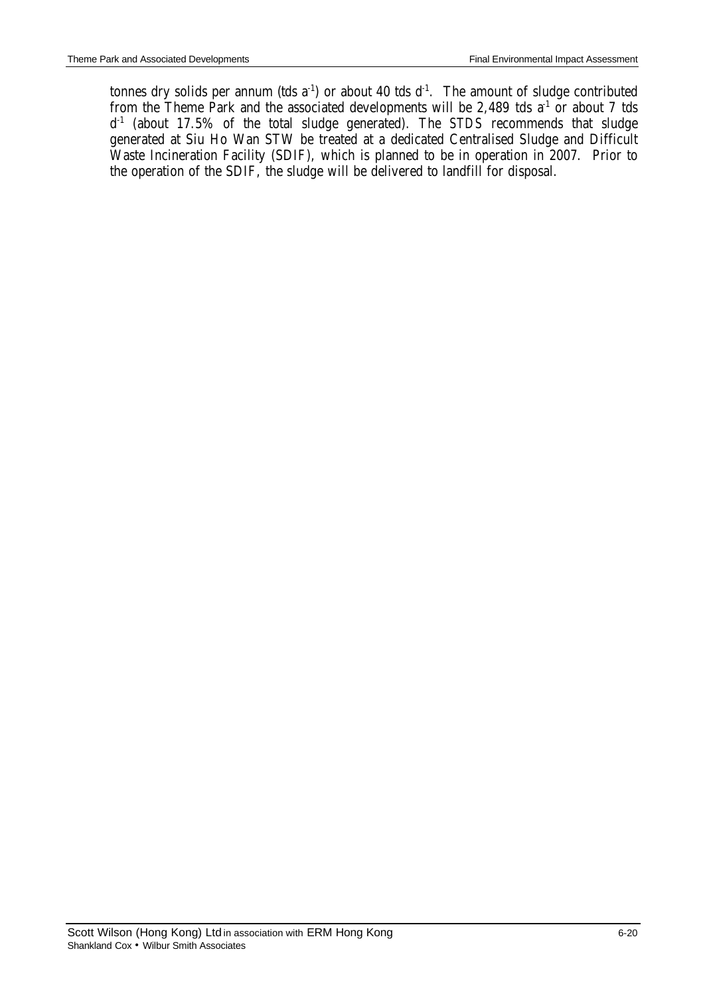tonnes dry solids per annum (tds  $a^{-1}$ ) or about 40 tds  $d^{-1}$ . The amount of sludge contributed from the Theme Park and the associated developments will be 2,489 tds  $a<sup>-1</sup>$  or about 7 tds d -1 (about 17.5% of the total sludge generated). The *STDS* recommends that sludge generated at Siu Ho Wan STW be treated at a dedicated Centralised Sludge and Difficult Waste Incineration Facility (SDIF), which is planned to be in operation in 2007. Prior to the operation of the SDIF, the sludge will be delivered to landfill for disposal.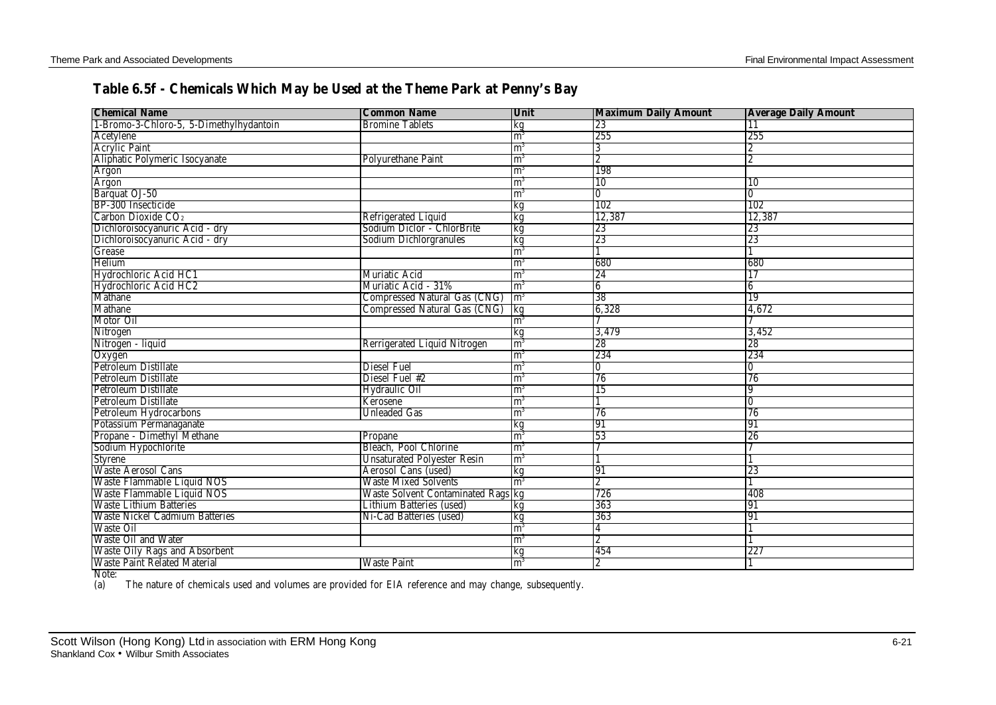# **Table 6.5f - Chemicals Which May be Used at the Theme Park at Penny's Bay**

| <b>Chemical Name</b>                    | <b>Common Name</b>                        | Unit           | <b>Maximum Daily Amount</b> | <b>Average Daily Amount</b> |
|-----------------------------------------|-------------------------------------------|----------------|-----------------------------|-----------------------------|
| 1-Bromo-3-Chloro-5, 5-Dimethylhydantoin | <b>Bromine Tablets</b>                    | kg             | 23                          | 11                          |
| Acetylene                               |                                           | m <sup>3</sup> | 255                         | 255                         |
| <b>Acrylic Paint</b>                    |                                           | m <sup>3</sup> | 3                           |                             |
| Aliphatic Polymeric Isocyanate          | <b>Polyurethane Paint</b>                 | m <sup>3</sup> | 2                           | 2                           |
| Argon                                   |                                           | m <sup>3</sup> | 198                         |                             |
| Argon                                   |                                           | $\mathbf{m}^3$ | 10                          | 10                          |
| Barquat OJ-50                           |                                           | m <sup>3</sup> | 0                           | $\overline{0}$              |
| BP-300 Insecticide                      |                                           | kg             | 102                         | 102                         |
| Carbon Dioxide CO <sub>2</sub>          | Refrigerated Liquid                       | kg             | 12,387                      | 12,387                      |
| Dichloroisocyanuric Acid - dry          | Sodium Diclor - ChlorBrite                | kg             | 23                          | 23                          |
| Dichloroisocyanuric Acid - dry          | Sodium Dichlorgranules                    | kg             | 23                          | 23                          |
| Grease                                  |                                           | m <sup>3</sup> |                             |                             |
| Helium                                  |                                           | m <sup>3</sup> | 680                         | 680                         |
| Hydrochloric Acid HC1                   | Muriatic Acid                             | m <sup>3</sup> | 24                          | 17                          |
| Hydrochloric Acid HC2                   | Muriatic Acid - 31%                       | $\mathrm{m}^3$ | $6\phantom{.}6$             | 6                           |
| Mathane                                 | Compressed Natural Gas (CNG)              | $\rm{Im}^3$    | 38                          | 19                          |
| <b>Mathane</b>                          | Compressed Natural Gas (CNG) kg           |                | 6,328                       | 4,672                       |
| Motor Oil                               |                                           | $\mathrm{m}^3$ |                             |                             |
| Nitrogen                                |                                           | kg             | 3,479                       | 3,452                       |
| Nitrogen - liquid                       | Rerrigerated Liquid Nitrogen              | $\mathbf{m}^3$ | 28                          | 28                          |
| Oxygen                                  |                                           | $\mathrm{m}^3$ | 234                         | 234                         |
| Petroleum Distillate                    | Diesel Fuel                               | m <sup>3</sup> | $\overline{0}$              | $\overline{0}$              |
| <b>Petroleum Distillate</b>             | Diesel Fuel #2                            | m <sup>3</sup> | 76                          | 76                          |
| Petroleum Distillate                    | Hydraulic Oil                             | m <sup>3</sup> | 15                          | <b>9</b>                    |
| Petroleum Distillate                    | Kerosene                                  | $\mathbf{m}^3$ |                             | IO.                         |
| <b>Petroleum Hydrocarbons</b>           | <b>Unleaded Gas</b>                       | m <sup>3</sup> | 76                          | 76                          |
| Potassium Permanaganate                 |                                           | kg             | 91                          | 91                          |
| Propane - Dimethyl Methane              | Propane                                   | m <sup>3</sup> | 53                          | 26                          |
| Sodium Hypochlorite                     | Bleach, Pool Chlorine                     | m <sup>3</sup> |                             |                             |
| <b>Styrene</b>                          | <b>Unsaturated Polyester Resin</b>        | $\mathrm{m}^3$ |                             |                             |
| Waste Aerosol Cans                      | Aerosol Cans (used)                       | kg             | 91                          | 23                          |
| Waste Flammable Liquid NOS              | <b>Waste Mixed Solvents</b>               | $\mathbf{m}^3$ | $\overline{2}$              |                             |
| Waste Flammable Liquid NOS              | <b>Waste Solvent Contaminated Rags kg</b> |                | 726                         | 408                         |
| <b>Waste Lithium Batteries</b>          | Lithium Batteries (used)                  | kg             | 363                         | 91                          |
| <b>Waste Nickel Cadmium Batteries</b>   | Ni-Cad Batteries (used)                   | kg             | 363                         | 91                          |
| <b>Waste Oil</b>                        |                                           | m <sup>3</sup> | 4                           |                             |
| <b>Waste Oil and Water</b>              |                                           | m <sup>3</sup> | $\overline{2}$              |                             |
| <b>Waste Oily Rags and Absorbent</b>    |                                           | kg             | 454                         | 227                         |
| <b>Waste Paint Related Material</b>     | <b>Waste Paint</b>                        | m <sup>3</sup> | $\overline{2}$              |                             |

Note:<br>(a) The nature of chemicals used and volumes are provided for EIA reference and may change, subsequently.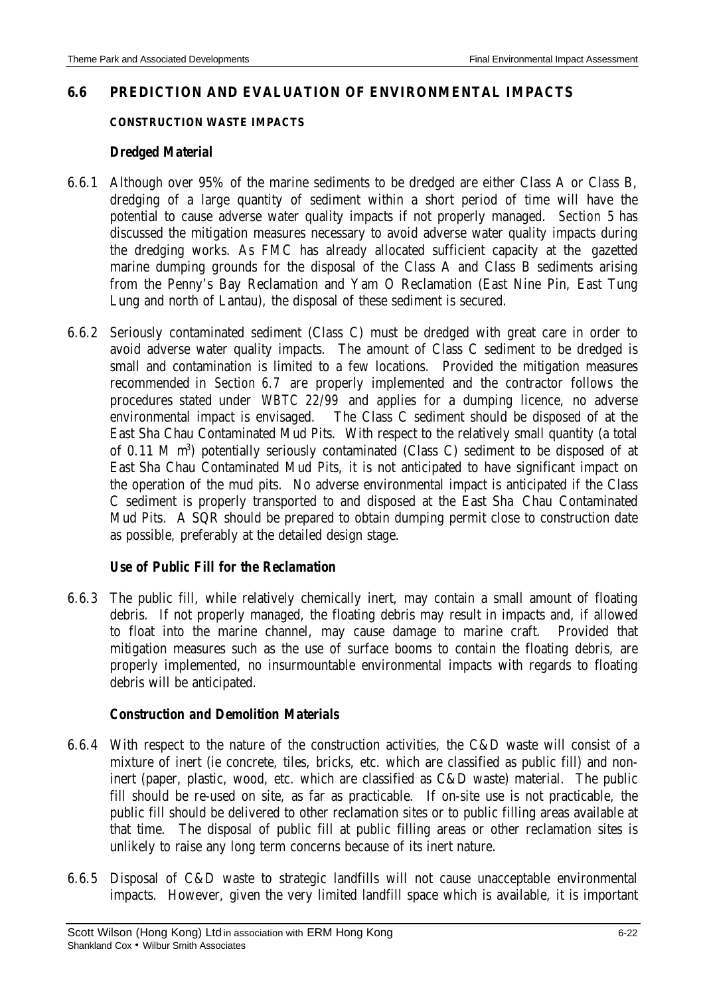### **6.6 PREDICTION AND EVALUATION OF ENVIRONMENTAL IMPACTS**

#### **CONSTRUCTION WASTE IMPACTS**

#### *Dredged Material*

- 6.6.1 Although over 95% of the marine sediments to be dredged are either Class A or Class B, dredging of a large quantity of sediment within a short period of time will have the potential to cause adverse water quality impacts if not properly managed. *Section 5* has discussed the mitigation measures necessary to avoid adverse water quality impacts during the dredging works. As FMC has already allocated sufficient capacity at the gazetted marine dumping grounds for the disposal of the Class A and Class B sediments arising from the Penny's Bay Reclamation and Yam O Reclamation (East Nine Pin, East Tung Lung and north of Lantau), the disposal of these sediment is secured.
- 6.6.2 Seriously contaminated sediment (Class C) must be dredged with great care in order to avoid adverse water quality impacts. The amount of Class C sediment to be dredged is small and contamination is limited to a few locations. Provided the mitigation measures recommended in *Section 6.7* are properly implemented and the contractor follows the procedures stated under *WBTC 22/99* and applies for a dumping licence, no adverse environmental impact is envisaged. The Class C sediment should be disposed of at the East Sha Chau Contaminated Mud Pits. With respect to the relatively small quantity (a total of 0.11 M m<sup>3</sup>) potentially seriously contaminated (Class C) sediment to be disposed of at East Sha Chau Contaminated Mud Pits, it is not anticipated to have significant impact on the operation of the mud pits. No adverse environmental impact is anticipated if the Class C sediment is properly transported to and disposed at the East Sha Chau Contaminated Mud Pits. A SQR should be prepared to obtain dumping permit close to construction date as possible, preferably at the detailed design stage.

### *Use of Public Fill for the Reclamation*

6.6.3 The public fill, while relatively chemically inert, may contain a small amount of floating debris. If not properly managed, the floating debris may result in impacts and, if allowed to float into the marine channel, may cause damage to marine craft. Provided that mitigation measures such as the use of surface booms to contain the floating debris, are properly implemented, no insurmountable environmental impacts with regards to floating debris will be anticipated.

#### *Construction and Demolition Materials*

- 6.6.4 With respect to the nature of the construction activities, the C&D waste will consist of a mixture of inert (ie concrete, tiles, bricks, etc. which are classified as public fill) and noninert (paper, plastic, wood, etc. which are classified as C&D waste) material. The public fill should be re-used on site, as far as practicable. If on-site use is not practicable, the public fill should be delivered to other reclamation sites or to public filling areas available at that time. The disposal of public fill at public filling areas or other reclamation sites is unlikely to raise any long term concerns because of its inert nature.
- 6.6.5 Disposal of C&D waste to strategic landfills will not cause unacceptable environmental impacts. However, given the very limited landfill space which is available, it is important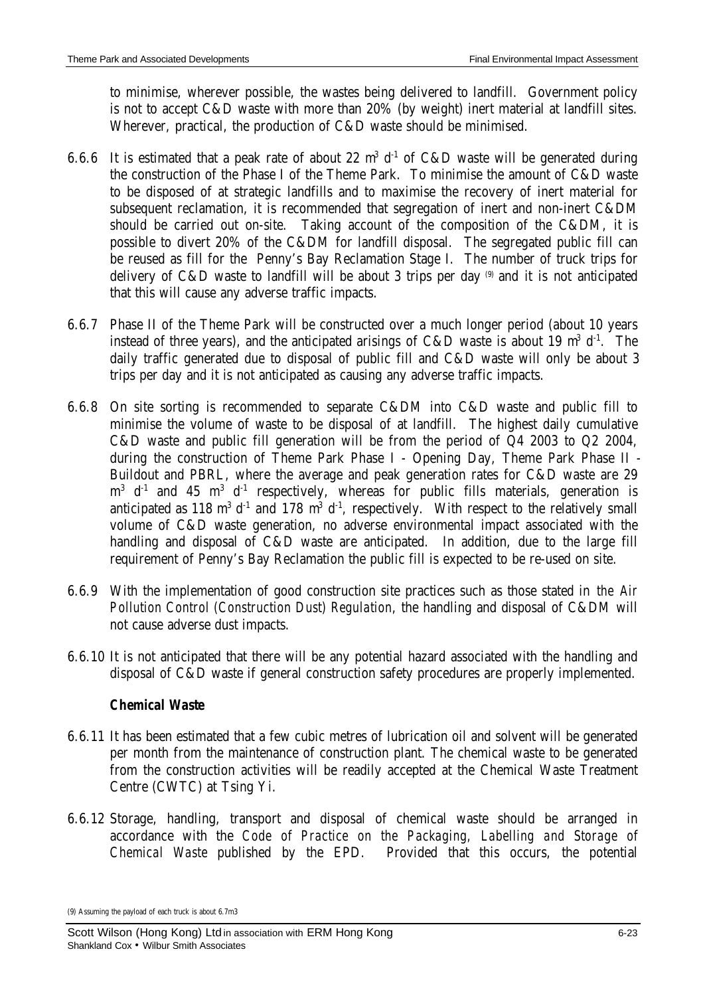to minimise, wherever possible, the wastes being delivered to landfill. Government policy is not to accept C&D waste with more than 20% (by weight) inert material at landfill sites. Wherever, practical, the production of C&D waste should be minimised.

- 6.6.6 It is estimated that a peak rate of about 22  $m^3$  d<sup>-1</sup> of C&D waste will be generated during the construction of the Phase I of the Theme Park. To minimise the amount of C&D waste to be disposed of at strategic landfills and to maximise the recovery of inert material for subsequent reclamation, it is recommended that segregation of inert and non-inert C&DM should be carried out on-site. Taking account of the composition of the C&DM, it is possible to divert 20% of the C&DM for landfill disposal. The segregated public fill can be reused as fill for the Penny's Bay Reclamation Stage I. The number of truck trips for delivery of  $C&D$  waste to landfill will be about 3 trips per day  $\circ$  and it is not anticipated that this will cause any adverse traffic impacts.
- 6.6.7 Phase II of the Theme Park will be constructed over a much longer period (about 10 years instead of three years), and the anticipated arisings of C&D waste is about 19  $m^3$  d<sup>-1</sup>. The daily traffic generated due to disposal of public fill and C&D waste will only be about 3 trips per day and it is not anticipated as causing any adverse traffic impacts.
- 6.6.8 On site sorting is recommended to separate C&DM into C&D waste and public fill to minimise the volume of waste to be disposal of at landfill. The highest daily cumulative C&D waste and public fill generation will be from the period of Q4 2003 to Q2 2004, during the construction of Theme Park Phase I - Opening Day, Theme Park Phase II - Buildout and PBRL, where the average and peak generation rates for C&D waste are 29  $m^3$  d<sup>-1</sup> and 45  $m^3$  d<sup>-1</sup> respectively, whereas for public fills materials, generation is anticipated as 118 m<sup>3</sup> d<sup>-1</sup> and 178 m<sup>3</sup> d<sup>-1</sup>, respectively. With respect to the relatively small volume of C&D waste generation, no adverse environmental impact associated with the handling and disposal of C&D waste are anticipated. In addition, due to the large fill requirement of Penny's Bay Reclamation the public fill is expected to be re-used on site.
- 6.6.9 With the implementation of good construction site practices such as those stated in *the Air Pollution Control (Construction Dust) Regulation*, the handling and disposal of C&DM will not cause adverse dust impacts.
- 6.6.10 It is not anticipated that there will be any potential hazard associated with the handling and disposal of C&D waste if general construction safety procedures are properly implemented.

# *Chemical Waste*

- 6.6.11 It has been estimated that a few cubic metres of lubrication oil and solvent will be generated per month from the maintenance of construction plant. The chemical waste to be generated from the construction activities will be readily accepted at the Chemical Waste Treatment Centre (CWTC) at Tsing Yi.
- 6.6.12 Storage, handling, transport and disposal of chemical waste should be arranged in accordance with the *Code of Practice on the Packaging, Labelling and Storage of Chemical Waste* published by the EPD. Provided that this occurs, the potential

<sup>(9)</sup> Assuming the payload of each truck is about 6.7m3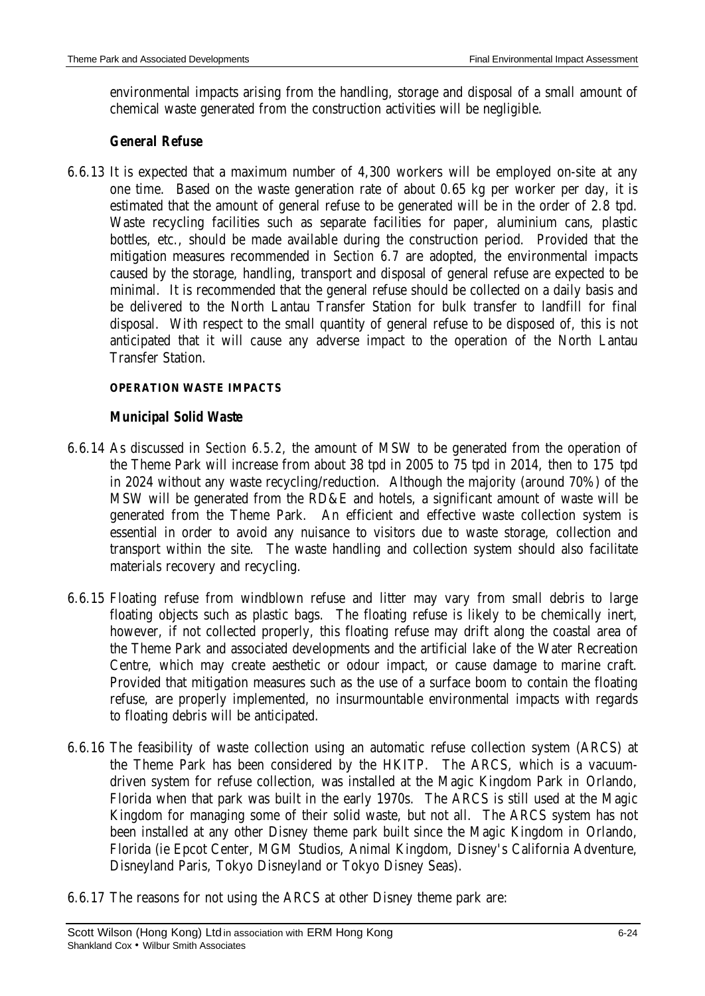environmental impacts arising from the handling, storage and disposal of a small amount of chemical waste generated from the construction activities will be negligible.

# *General Refuse*

6.6.13 It is expected that a maximum number of 4,300 workers will be employed on-site at any one time. Based on the waste generation rate of about 0.65 kg per worker per day, it is estimated that the amount of general refuse to be generated will be in the order of 2.8 tpd. Waste recycling facilities such as separate facilities for paper, aluminium cans, plastic bottles, etc., should be made available during the construction period. Provided that the mitigation measures recommended in *Section 6.7* are adopted, the environmental impacts caused by the storage, handling, transport and disposal of general refuse are expected to be minimal. It is recommended that the general refuse should be collected on a daily basis and be delivered to the North Lantau Transfer Station for bulk transfer to landfill for final disposal. With respect to the small quantity of general refuse to be disposed of, this is not anticipated that it will cause any adverse impact to the operation of the North Lantau Transfer Station.

# **OPERATION WASTE IMPACTS**

# *Municipal Solid Waste*

- 6.6.14 As discussed in *Section 6.5.2*, the amount of MSW to be generated from the operation of the Theme Park will increase from about 38 tpd in 2005 to 75 tpd in 2014, then to 175 tpd in 2024 without any waste recycling/reduction. Although the majority (around 70%) of the MSW will be generated from the RD&E and hotels, a significant amount of waste will be generated from the Theme Park. An efficient and effective waste collection system is essential in order to avoid any nuisance to visitors due to waste storage, collection and transport within the site. The waste handling and collection system should also facilitate materials recovery and recycling.
- 6.6.15 Floating refuse from windblown refuse and litter may vary from small debris to large floating objects such as plastic bags. The floating refuse is likely to be chemically inert, however, if not collected properly, this floating refuse may drift along the coastal area of the Theme Park and associated developments and the artificial lake of the Water Recreation Centre, which may create aesthetic or odour impact, or cause damage to marine craft. Provided that mitigation measures such as the use of a surface boom to contain the floating refuse, are properly implemented, no insurmountable environmental impacts with regards to floating debris will be anticipated.
- 6.6.16 The feasibility of waste collection using an automatic refuse collection system (ARCS) at the Theme Park has been considered by the HKITP. The ARCS, which is a vacuumdriven system for refuse collection, was installed at the Magic Kingdom Park in Orlando, Florida when that park was built in the early 1970s. The ARCS is still used at the Magic Kingdom for managing some of their solid waste, but not all. The ARCS system has not been installed at any other Disney theme park built since the Magic Kingdom in Orlando, Florida (ie Epcot Center, MGM Studios, Animal Kingdom, Disney's California Adventure, Disneyland Paris, Tokyo Disneyland or Tokyo Disney Seas).
- 6.6.17 The reasons for not using the ARCS at other Disney theme park are: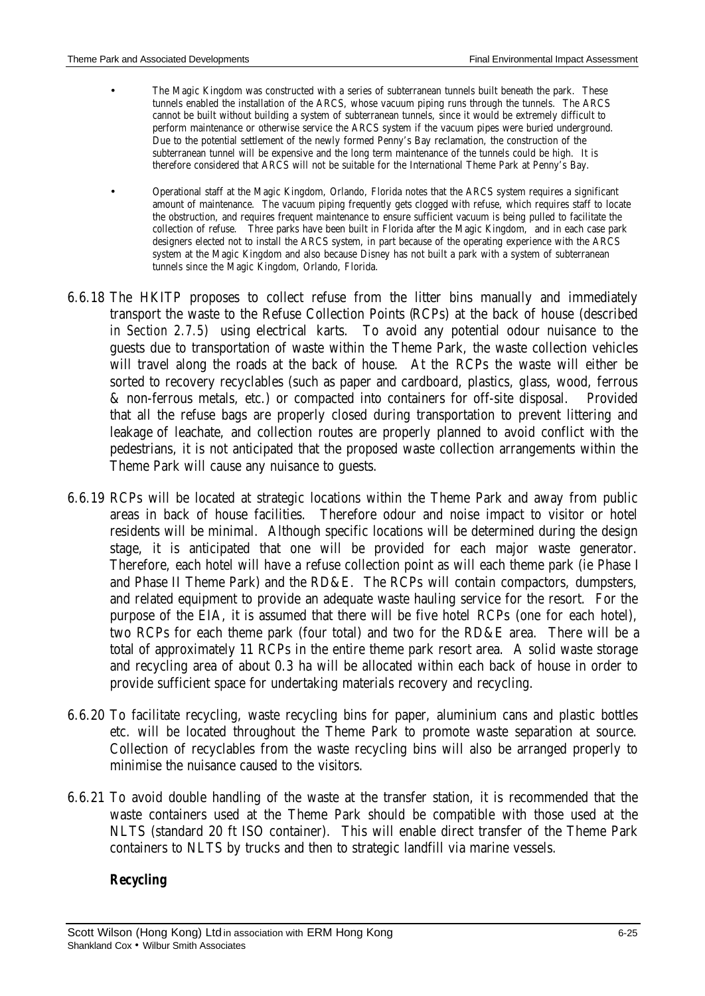- The Magic Kingdom was constructed with a series of subterranean tunnels built beneath the park. These tunnels enabled the installation of the ARCS, whose vacuum piping runs through the tunnels. The ARCS cannot be built without building a system of subterranean tunnels, since it would be extremely difficult to perform maintenance or otherwise service the ARCS system if the vacuum pipes were buried underground. Due to the potential settlement of the newly formed Penny's Bay reclamation, the construction of the subterranean tunnel will be expensive and the long term maintenance of the tunnels could be high. It is therefore considered that ARCS will not be suitable for the International Theme Park at Penny's Bay.
- Operational staff at the Magic Kingdom, Orlando, Florida notes that the ARCS system requires a significant amount of maintenance. The vacuum piping frequently gets clogged with refuse, which requires staff to locate the obstruction, and requires frequent maintenance to ensure sufficient vacuum is being pulled to facilitate the collection of refuse. Three parks have been built in Florida after the Magic Kingdom, and in each case park designers elected not to install the ARCS system, in part because of the operating experience with the ARCS system at the Magic Kingdom and also because Disney has not built a park with a system of subterranean tunnels since the Magic Kingdom, Orlando, Florida.
- 6.6.18 The HKITP proposes to collect refuse from the litter bins manually and immediately transport the waste to the Refuse Collection Points (RCPs) at the back of house (described *in Section 2.7.5*) using electrical karts. To avoid any potential odour nuisance to the guests due to transportation of waste within the Theme Park, the waste collection vehicles will travel along the roads at the back of house. At the RCPs the waste will either be sorted to recovery recyclables (such as paper and cardboard, plastics, glass, wood, ferrous & non-ferrous metals, etc.) or compacted into containers for off-site disposal. Provided that all the refuse bags are properly closed during transportation to prevent littering and leakage of leachate, and collection routes are properly planned to avoid conflict with the pedestrians, it is not anticipated that the proposed waste collection arrangements within the Theme Park will cause any nuisance to guests.
- 6.6.19 RCPs will be located at strategic locations within the Theme Park and away from public areas in back of house facilities. Therefore odour and noise impact to visitor or hotel residents will be minimal. Although specific locations will be determined during the design stage, it is anticipated that one will be provided for each major waste generator. Therefore, each hotel will have a refuse collection point as will each theme park (ie Phase I and Phase II Theme Park) and the RD&E. The RCPs will contain compactors, dumpsters, and related equipment to provide an adequate waste hauling service for the resort. For the purpose of the EIA, it is assumed that there will be five hotel RCPs (one for each hotel), two RCPs for each theme park (four total) and two for the RD&E area. There will be a total of approximately 11 RCPs in the entire theme park resort area. A solid waste storage and recycling area of about 0.3 ha will be allocated within each back of house in order to provide sufficient space for undertaking materials recovery and recycling.
- 6.6.20 To facilitate recycling, waste recycling bins for paper, aluminium cans and plastic bottles etc. will be located throughout the Theme Park to promote waste separation at source. Collection of recyclables from the waste recycling bins will also be arranged properly to minimise the nuisance caused to the visitors.
- 6.6.21 To avoid double handling of the waste at the transfer station, it is recommended that the waste containers used at the Theme Park should be compatible with those used at the NLTS (standard 20 ft ISO container). This will enable direct transfer of the Theme Park containers to NLTS by trucks and then to strategic landfill via marine vessels.

#### *Recycling*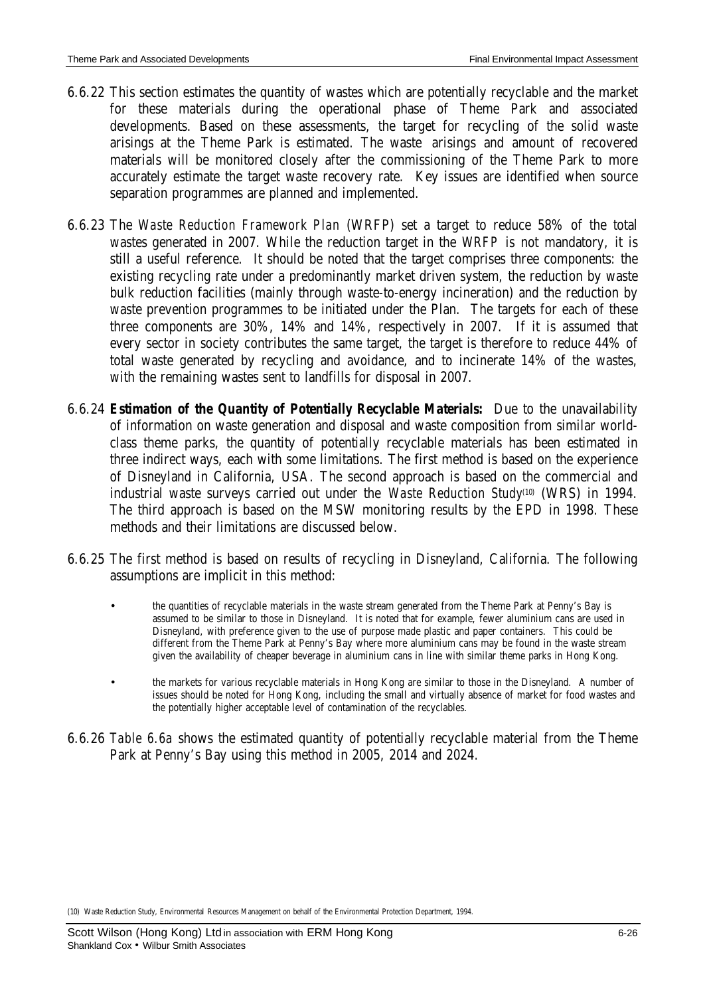- 6.6.22 This section estimates the quantity of wastes which are potentially recyclable and the market for these materials during the operational phase of Theme Park and associated developments. Based on these assessments, the target for recycling of the solid waste arisings at the Theme Park is estimated. The waste arisings and amount of recovered materials will be monitored closely after the commissioning of the Theme Park to more accurately estimate the target waste recovery rate. Key issues are identified when source separation programmes are planned and implemented.
- 6.6.23 The *Waste Reduction Framework Plan* (WRFP) set a target to reduce 58% of the total wastes generated in 2007. While the reduction target in the *WRFP* is not mandatory, it is still a useful reference. It should be noted that the target comprises three components: the existing recycling rate under a predominantly market driven system, the reduction by waste bulk reduction facilities (mainly through waste-to-energy incineration) and the reduction by waste prevention programmes to be initiated under the Plan. The targets for each of these three components are 30%, 14% and 14%, respectively in 2007. If it is assumed that every sector in society contributes the same target, the target is therefore to reduce 44% of total waste generated by recycling and avoidance, and to incinerate 14% of the wastes, with the remaining wastes sent to landfills for disposal in 2007.
- 6.6.24 *Estimation of the Quantity of Potentially Recyclable Materials:* Due to the unavailability of information on waste generation and disposal and waste composition from similar worldclass theme parks, the quantity of potentially recyclable materials has been estimated in three indirect ways, each with some limitations. The first method is based on the experience of Disneyland in California, USA. The second approach is based on the commercial and industrial waste surveys carried out under the *Waste Reduction Study*(10) (WRS) in 1994. The third approach is based on the MSW monitoring results by the EPD in 1998. These methods and their limitations are discussed below.
- 6.6.25 The first method is based on results of recycling in Disneyland, California. The following assumptions are implicit in this method:
	- the quantities of recyclable materials in the waste stream generated from the Theme Park at Penny's Bay is assumed to be similar to those in Disneyland. It is noted that for example, fewer aluminium cans are used in Disneyland, with preference given to the use of purpose made plastic and paper containers. This could be different from the Theme Park at Penny's Bay where more aluminium cans may be found in the waste stream given the availability of cheaper beverage in aluminium cans in line with similar theme parks in Hong Kong.
	- the markets for various recyclable materials in Hong Kong are similar to those in the Disneyland. A number of issues should be noted for Hong Kong, including the small and virtually absence of market for food wastes and the potentially higher acceptable level of contamination of the recyclables.
- 6.6.26 *Table 6.6a* shows the estimated quantity of potentially recyclable material from the Theme Park at Penny's Bay using this method in 2005, 2014 and 2024.

(10) Waste Reduction Study, Environmental Resources Management on behalf of the Environmental Protection Department, 1994.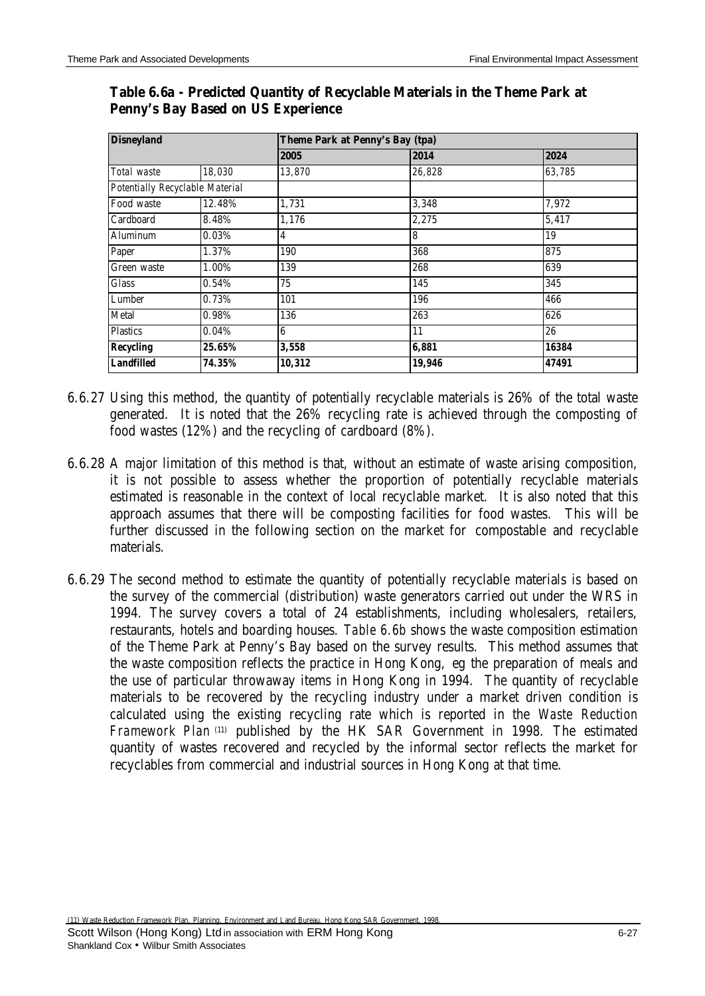| <b>Disneyland</b>               |        |        | Theme Park at Penny's Bay (tpa) |        |  |  |  |  |  |
|---------------------------------|--------|--------|---------------------------------|--------|--|--|--|--|--|
|                                 |        | 2005   | 2014                            | 2024   |  |  |  |  |  |
| Total waste                     | 18,030 | 13,870 | 26,828                          | 63,785 |  |  |  |  |  |
| Potentially Recyclable Material |        |        |                                 |        |  |  |  |  |  |
| Food waste                      | 12.48% | 1,731  | 3,348                           | 7,972  |  |  |  |  |  |
| Cardboard                       | 8.48%  | 1,176  | 2,275                           | 5,417  |  |  |  |  |  |
| Aluminum                        | 0.03%  | 4      | 8                               | 19     |  |  |  |  |  |
| Paper                           | 1.37%  | 190    | 368                             | 875    |  |  |  |  |  |
| Green waste                     | 1.00%  | 139    | 268                             | 639    |  |  |  |  |  |
| Glass                           | 0.54%  | 75     | 145                             | 345    |  |  |  |  |  |
| Lumber                          | 0.73%  | 101    | 196                             | 466    |  |  |  |  |  |
| Metal                           | 0.98%  | 136    | 263                             | 626    |  |  |  |  |  |
| <b>Plastics</b>                 | 0.04%  | 6      | 11                              | 26     |  |  |  |  |  |
| <b>Recycling</b>                | 25.65% | 3,558  | 6,881                           | 16384  |  |  |  |  |  |
| <b>Landfilled</b>               | 74.35% | 10,312 | 19,946                          | 47491  |  |  |  |  |  |

# **Table 6.6a - Predicted Quantity of Recyclable Materials in the Theme Park at Penny's Bay Based on US Experience**

- 6.6.27 Using this method, the quantity of potentially recyclable materials is 26% of the total waste generated. It is noted that the 26% recycling rate is achieved through the composting of food wastes (12%) and the recycling of cardboard (8%).
- 6.6.28 A major limitation of this method is that, without an estimate of waste arising composition, it is not possible to assess whether the proportion of potentially recyclable materials estimated is reasonable in the context of local recyclable market. It is also noted that this approach assumes that there will be composting facilities for food wastes. This will be further discussed in the following section on the market for compostable and recyclable materials.
- 6.6.29 The second method to estimate the quantity of potentially recyclable materials is based on the survey of the commercial (distribution) waste generators carried out under the WRS in 1994. The survey covers a total of 24 establishments, including wholesalers, retailers, restaurants, hotels and boarding houses. *Table 6.6b* shows the waste composition estimation of the Theme Park at Penny's Bay based on the survey results. This method assumes that the waste composition reflects the practice in Hong Kong, eg the preparation of meals and the use of particular throwaway items in Hong Kong in 1994. The quantity of recyclable materials to be recovered by the recycling industry under a market driven condition is calculated using the existing recycling rate which is reported in the *Waste Reduction Framework Plan* (11) published by the HK SAR Government in 1998. The estimated quantity of wastes recovered and recycled by the informal sector reflects the market for recyclables from commercial and industrial sources in Hong Kong at that time.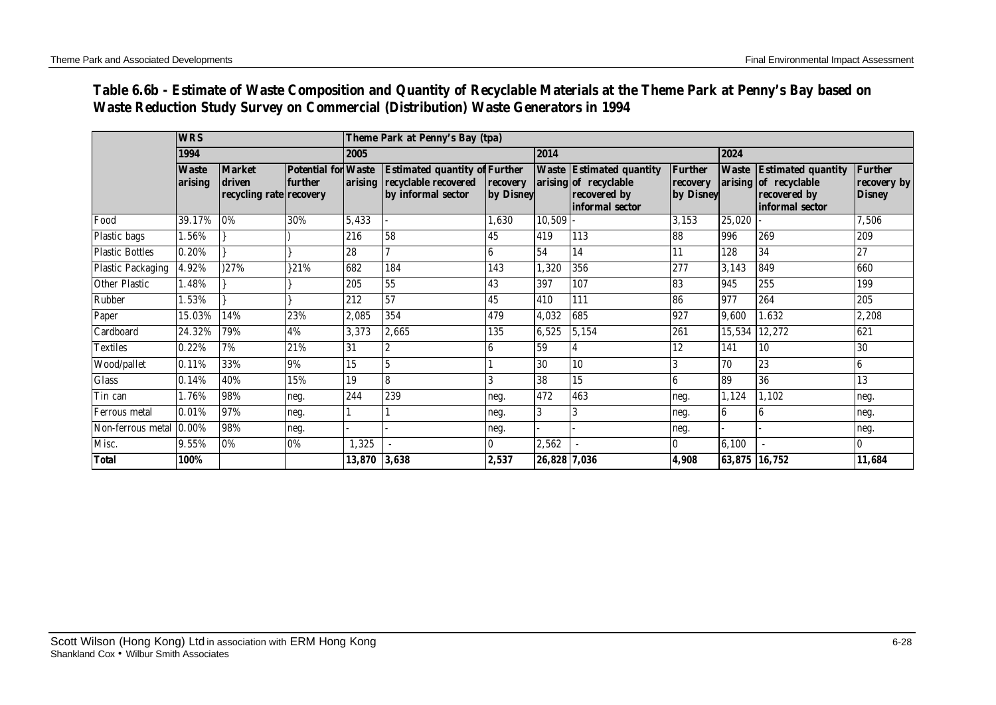# **Table 6.6b - Estimate of Waste Composition and Quantity of Recyclable Materials at the Theme Park at Penny's Bay based on Waste Reduction Study Survey on Commercial (Distribution) Waste Generators in 1994**

|                          | <b>WRS</b>              |                                                    | Theme Park at Penny's Bay (tpa)       |              |                                                                                    |                       |              |                                                                                             |                                         |                  |                                                                                       |                                                |
|--------------------------|-------------------------|----------------------------------------------------|---------------------------------------|--------------|------------------------------------------------------------------------------------|-----------------------|--------------|---------------------------------------------------------------------------------------------|-----------------------------------------|------------------|---------------------------------------------------------------------------------------|------------------------------------------------|
|                          | 1994                    |                                                    | 2005                                  |              |                                                                                    | 2014                  |              |                                                                                             | 2024                                    |                  |                                                                                       |                                                |
|                          | <b>Waste</b><br>arising | <b>Market</b><br>driven<br>recycling rate recovery | <b>Potential for Waste</b><br>further | arising      | <b>Estimated quantity of Further</b><br>recyclable recovered<br>by informal sector | recovery<br>by Disney |              | <b>Waste Estimated quantity</b><br>arising of recyclable<br>recovered by<br>informal sector | <b>Further</b><br>recovery<br>by Disney | <b>Waste</b>     | <b>Estimated quantity</b><br>arising of recyclable<br>recovered by<br>informal sector | <b>Further</b><br>recovery by<br><b>Disney</b> |
| Food                     | 39.17%                  | 0%                                                 | 30%                                   | 5,433        |                                                                                    | 1,630                 | 10,509       |                                                                                             | 3,153                                   | 25,020           |                                                                                       | 7,506                                          |
| Plastic bags             | $.56\%$                 |                                                    |                                       | 216          | 58                                                                                 | 45                    | 419          | 113                                                                                         | 88                                      | 996              | 269                                                                                   | 209                                            |
| <b>Plastic Bottles</b>   | 0.20%                   |                                                    |                                       | 28           |                                                                                    | 6                     | 54           | 14                                                                                          | 11                                      | 128              | 34                                                                                    | 27                                             |
| <b>Plastic Packaging</b> | 4.92%                   | )27%                                               | 321%                                  | 682          | 184                                                                                | 143                   | 1,320        | 356                                                                                         | 277                                     | 3,143            | 849                                                                                   | 660                                            |
| <b>Other Plastic</b>     | 1.48%                   |                                                    |                                       | 205          | 55                                                                                 | 43                    | 397          | 107                                                                                         | 83                                      | 945              | 255                                                                                   | 199                                            |
| Rubber                   | $.53\%$                 |                                                    |                                       | 212          | 57                                                                                 | 45                    | 410          | 111                                                                                         | 86                                      | 977              | 264                                                                                   | 205                                            |
| Paper                    | 15.03%                  | 14%                                                | 23%                                   | 2,085        | 354                                                                                | 479                   | 4,032        | 685                                                                                         | 927                                     | 9,600            | .632                                                                                  | 2,208                                          |
| Cardboard                | 24.32%                  | 79%                                                | 4%                                    | 3,373        | 2,665                                                                              | 135                   | 6,525        | 5,154                                                                                       | 261                                     | 15,534           | 12,272                                                                                | 621                                            |
| <b>Textiles</b>          | 0.22%                   | 7%                                                 | 21%                                   | 31           |                                                                                    | 6                     | 59           |                                                                                             | 12                                      | 141              | 10                                                                                    | 30                                             |
| Wood/pallet              | 0.11%                   | 33%                                                | 9%                                    | 15           |                                                                                    |                       | 30           | 10                                                                                          | 3                                       | 70               | 23                                                                                    | 6                                              |
| <b>Glass</b>             | 0.14%                   | 40%                                                | 15%                                   | 19           | 8                                                                                  |                       | 38           | 15                                                                                          | $\boldsymbol{6}$                        | 89               | 36                                                                                    | 13                                             |
| Tin can                  | 1.76%                   | 98%                                                | neg.                                  | 244          | 239                                                                                | neg.                  | 472          | 463                                                                                         | neg.                                    | 1,124            | 1,102                                                                                 | neg.                                           |
| Ferrous metal            | 0.01%                   | 97%                                                | neg.                                  |              |                                                                                    | neg.                  | 3            | 3                                                                                           | neg.                                    | $\boldsymbol{6}$ | 6                                                                                     | neg.                                           |
| Non-ferrous metal        | $0.00\%$                | 98%                                                | neg.                                  |              |                                                                                    | neg.                  |              |                                                                                             | neg.                                    |                  |                                                                                       | neg.                                           |
| Misc.                    | 9.55%                   | 0%                                                 | 0%                                    | 1,325        |                                                                                    | $\bf{0}$              | 2,562        |                                                                                             | $\bf{0}$                                | 6,100            |                                                                                       | 10                                             |
| <b>Total</b>             | 100%                    |                                                    |                                       | 13,870 3,638 |                                                                                    | 2,537                 | 26,828 7,036 |                                                                                             | 4,908                                   |                  | 63,875 16,752                                                                         | 11,684                                         |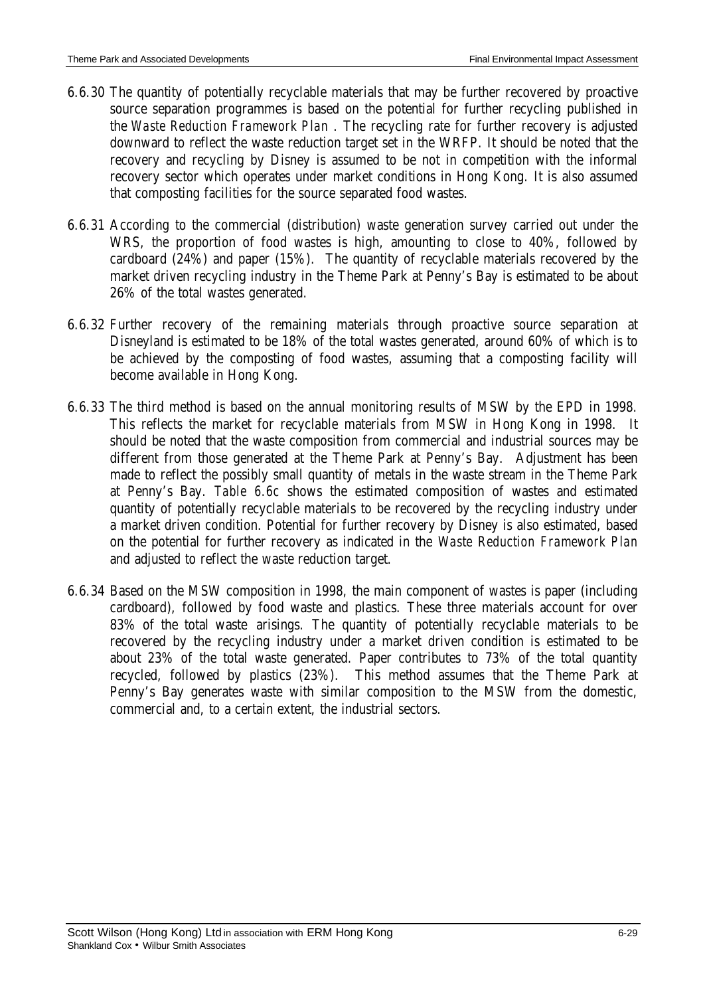- 6.6.30 The quantity of potentially recyclable materials that may be further recovered by proactive source separation programmes is based on the potential for further recycling published in the *Waste Reduction Framework Plan* . The recycling rate for further recovery is adjusted downward to reflect the waste reduction target set in the WRFP. It should be noted that the recovery and recycling by Disney is assumed to be not in competition with the informal recovery sector which operates under market conditions in Hong Kong. It is also assumed that composting facilities for the source separated food wastes.
- 6.6.31 According to the commercial (distribution) waste generation survey carried out under the WRS, the proportion of food wastes is high, amounting to close to 40%, followed by cardboard (24%) and paper (15%). The quantity of recyclable materials recovered by the market driven recycling industry in the Theme Park at Penny's Bay is estimated to be about 26% of the total wastes generated.
- 6.6.32 Further recovery of the remaining materials through proactive source separation at Disneyland is estimated to be 18% of the total wastes generated, around 60% of which is to be achieved by the composting of food wastes, assuming that a composting facility will become available in Hong Kong.
- 6.6.33 The third method is based on the annual monitoring results of MSW by the EPD in 1998. This reflects the market for recyclable materials from MSW in Hong Kong in 1998. It should be noted that the waste composition from commercial and industrial sources may be different from those generated at the Theme Park at Penny's Bay. Adjustment has been made to reflect the possibly small quantity of metals in the waste stream in the Theme Park at Penny's Bay. *Table 6.6c* shows the estimated composition of wastes and estimated quantity of potentially recyclable materials to be recovered by the recycling industry under a market driven condition. Potential for further recovery by Disney is also estimated, based on the potential for further recovery as indicated in the *Waste Reduction Framework Plan* and adjusted to reflect the waste reduction target.
- 6.6.34 Based on the MSW composition in 1998, the main component of wastes is paper (including cardboard), followed by food waste and plastics. These three materials account for over 83% of the total waste arisings. The quantity of potentially recyclable materials to be recovered by the recycling industry under a market driven condition is estimated to be about 23% of the total waste generated. Paper contributes to 73% of the total quantity recycled, followed by plastics (23%). This method assumes that the Theme Park at Penny's Bay generates waste with similar composition to the MSW from the domestic, commercial and, to a certain extent, the industrial sectors.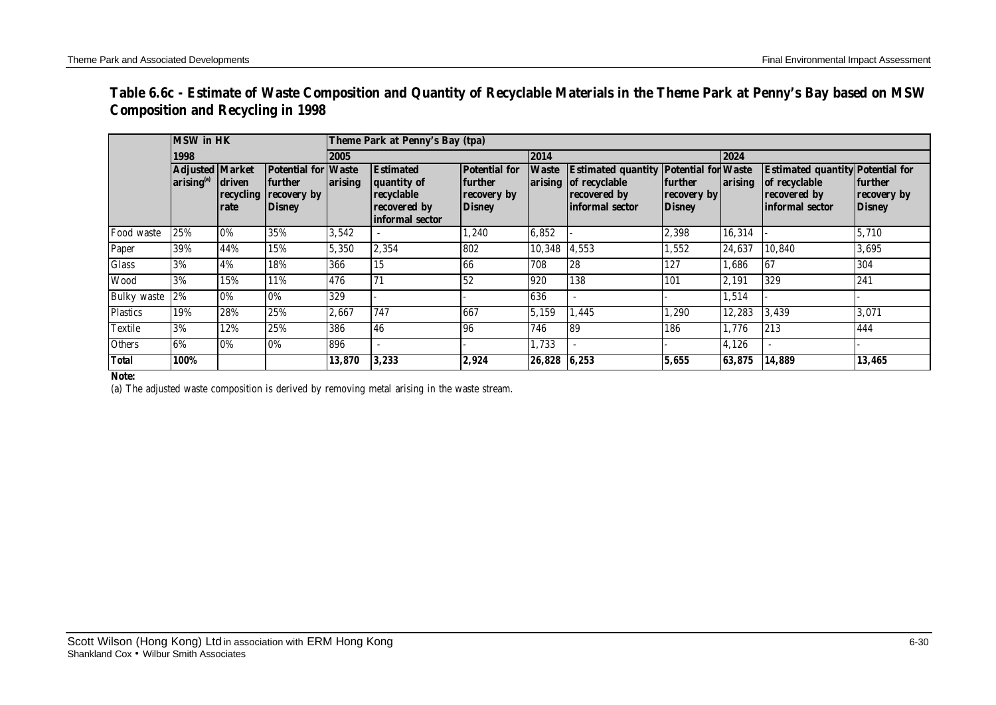| Table 6.6c - Estimate of Waste Composition and Quantity of Recyclable Materials in the Theme Park at Penny's Bay based on MSW |  |
|-------------------------------------------------------------------------------------------------------------------------------|--|
| <b>Composition and Recycling in 1998</b>                                                                                      |  |

|                    | <b>MSW</b> in HK                                 |                             |                                                                       | Theme Park at Penny's Bay (tpa) |                                                                                  |                                                                        |              |                                                                                                           |                                                       |         |                                                                                             |                                                |  |
|--------------------|--------------------------------------------------|-----------------------------|-----------------------------------------------------------------------|---------------------------------|----------------------------------------------------------------------------------|------------------------------------------------------------------------|--------------|-----------------------------------------------------------------------------------------------------------|-------------------------------------------------------|---------|---------------------------------------------------------------------------------------------|------------------------------------------------|--|
|                    | 1998                                             |                             |                                                                       | 2005                            |                                                                                  |                                                                        | 2014         |                                                                                                           |                                                       | 2024    |                                                                                             |                                                |  |
|                    | <b>Adjusted Market</b><br>arising <sup>(a)</sup> | driven<br>recycling<br>rate | <b>Potential for Waste</b><br>further<br>recovery by<br><b>Disney</b> | arising                         | <b>Estimated</b><br>quantity of<br>recyclable<br>recovered by<br>informal sector | <b>Potential for</b><br><b>further</b><br>recovery by<br><b>Disney</b> | <b>Waste</b> | <b>Estimated quantity Potential for Waste</b><br>arising of recyclable<br>recovered by<br>informal sector | <b>further</b><br><b>recovery</b> by<br><b>Disney</b> | arising | <b>Estimated quantity Potential for</b><br>of recyclable<br>recovered by<br>informal sector | <b>further</b><br>recovery by<br><b>Disney</b> |  |
| Food waste         | 25%                                              | 0%                          | 35%                                                                   | 3,542                           |                                                                                  | 1,240                                                                  | 6,852        |                                                                                                           | 2,398                                                 | 16,314  |                                                                                             | 5,710                                          |  |
| Paper              | 39%                                              | 44%                         | 15%                                                                   | 5,350                           | 2,354                                                                            | 802                                                                    | 10,348       | 4,553                                                                                                     | 1,552                                                 | 24,637  | 10,840                                                                                      | 3,695                                          |  |
| <b>Glass</b>       | 3%                                               | 4%                          | 18%                                                                   | 366                             | 15                                                                               | 166                                                                    | 708          | 28                                                                                                        | 127                                                   | 1,686   | 67                                                                                          | 304                                            |  |
| <b>Wood</b>        | 3%                                               | 15%                         | 11%                                                                   | 476                             | 71                                                                               | 52                                                                     | 920          | 138                                                                                                       | 101                                                   | 2,191   | 329                                                                                         | 241                                            |  |
| <b>Bulky</b> waste | 2%                                               | 0%                          | 0%                                                                    | 329                             |                                                                                  |                                                                        | 636          |                                                                                                           |                                                       | 1,514   |                                                                                             |                                                |  |
| <b>Plastics</b>    | 19%                                              | 28%                         | 25%                                                                   | 2,667                           | 747                                                                              | 667                                                                    | 5,159        | 1,445                                                                                                     | 1,290                                                 | 12,283  | 3,439                                                                                       | 3,071                                          |  |
| <b>Textile</b>     | 3%                                               | 12%                         | 25%                                                                   | 386                             | 46                                                                               | 96                                                                     | 746          | 89                                                                                                        | 186                                                   | 1.776   | 213                                                                                         | 444                                            |  |
| <b>Others</b>      | 6%                                               | 0%                          | 0%                                                                    | 896                             |                                                                                  |                                                                        | 1,733        |                                                                                                           |                                                       | 4,126   |                                                                                             |                                                |  |
| <b>Total</b>       | 100%                                             |                             |                                                                       | 13,870                          | 3,233                                                                            | 2,924                                                                  | 26,828 6,253 |                                                                                                           | 5.655                                                 | 63,875  | 14,889                                                                                      | 13,465                                         |  |

#### **Note***:*

(a) The adjusted waste composition is derived by removing metal arising in the waste stream.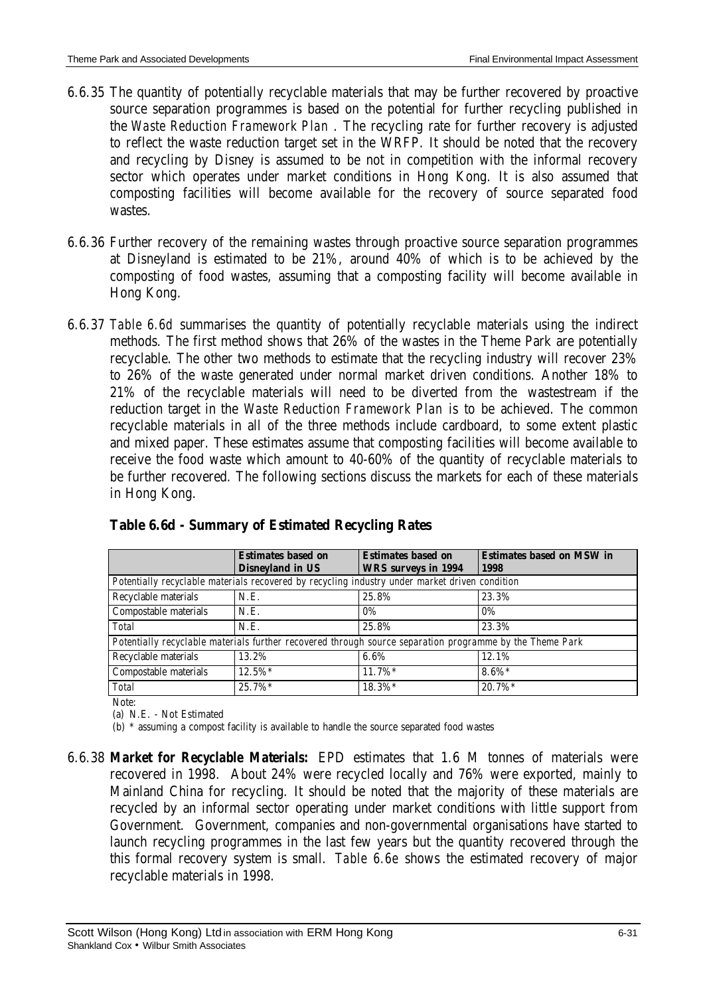- 6.6.35 The quantity of potentially recyclable materials that may be further recovered by proactive source separation programmes is based on the potential for further recycling published in the *Waste Reduction Framework Plan* . The recycling rate for further recovery is adjusted to reflect the waste reduction target set in the WRFP. It should be noted that the recovery and recycling by Disney is assumed to be not in competition with the informal recovery sector which operates under market conditions in Hong Kong. It is also assumed that composting facilities will become available for the recovery of source separated food wastes.
- 6.6.36 Further recovery of the remaining wastes through proactive source separation programmes at Disneyland is estimated to be 21%, around 40% of which is to be achieved by the composting of food wastes, assuming that a composting facility will become available in Hong Kong.
- 6.6.37 *Table 6.6d* summarises the quantity of potentially recyclable materials using the indirect methods. The first method shows that 26% of the wastes in the Theme Park are potentially recyclable. The other two methods to estimate that the recycling industry will recover 23% to 26% of the waste generated under normal market driven conditions. Another 18% to 21% of the recyclable materials will need to be diverted from the wastestream if the reduction target in the *Waste Reduction Framework Plan* is to be achieved. The common recyclable materials in all of the three methods include cardboard, to some extent plastic and mixed paper. These estimates assume that composting facilities will become available to receive the food waste which amount to 40-60% of the quantity of recyclable materials to be further recovered. The following sections discuss the markets for each of these materials in Hong Kong.

|                       | <b>Estimates based on</b>                                                                                | <b>Estimates based on</b>  | <b>Estimates based on MSW in</b> |  |  |  |
|-----------------------|----------------------------------------------------------------------------------------------------------|----------------------------|----------------------------------|--|--|--|
|                       | <b>Disneyland in US</b>                                                                                  | <b>WRS</b> surveys in 1994 | 1998                             |  |  |  |
|                       | Potentially recyclable materials recovered by recycling industry under market driven condition           |                            |                                  |  |  |  |
| Recyclable materials  | N.E.                                                                                                     | 25.8%                      | 23.3%                            |  |  |  |
| Compostable materials | N.E.                                                                                                     | $0\%$                      | $0\%$                            |  |  |  |
| <b>Total</b>          | N.E.                                                                                                     | 25.8%                      | 23.3%                            |  |  |  |
|                       | Potentially recyclable materials further recovered through source separation programme by the Theme Park |                            |                                  |  |  |  |
| Recyclable materials  | 13.2%                                                                                                    | 6.6%                       | 12.1%                            |  |  |  |
| Compostable materials | $12.5\%*$                                                                                                | $11.7\%*$                  | $8.6\%*$                         |  |  |  |
| <b>Total</b>          | 25.7%*                                                                                                   | 18.3%*                     | $20.7\%*$                        |  |  |  |

# **Table 6.6d - Summary of Estimated Recycling Rates**

Note: (a) N.E. - Not Estimated

(b) \* assuming a compost facility is available to handle the source separated food wastes

6.6.38 *Market for Recyclable Materials:* EPD estimates that 1.6 M tonnes of materials were recovered in 1998. About 24% were recycled locally and 76% were exported, mainly to Mainland China for recycling. It should be noted that the majority of these materials are recycled by an informal sector operating under market conditions with little support from Government. Government, companies and non-governmental organisations have started to launch recycling programmes in the last few years but the quantity recovered through the this formal recovery system is small. *Table 6.6e* shows the estimated recovery of major recyclable materials in 1998.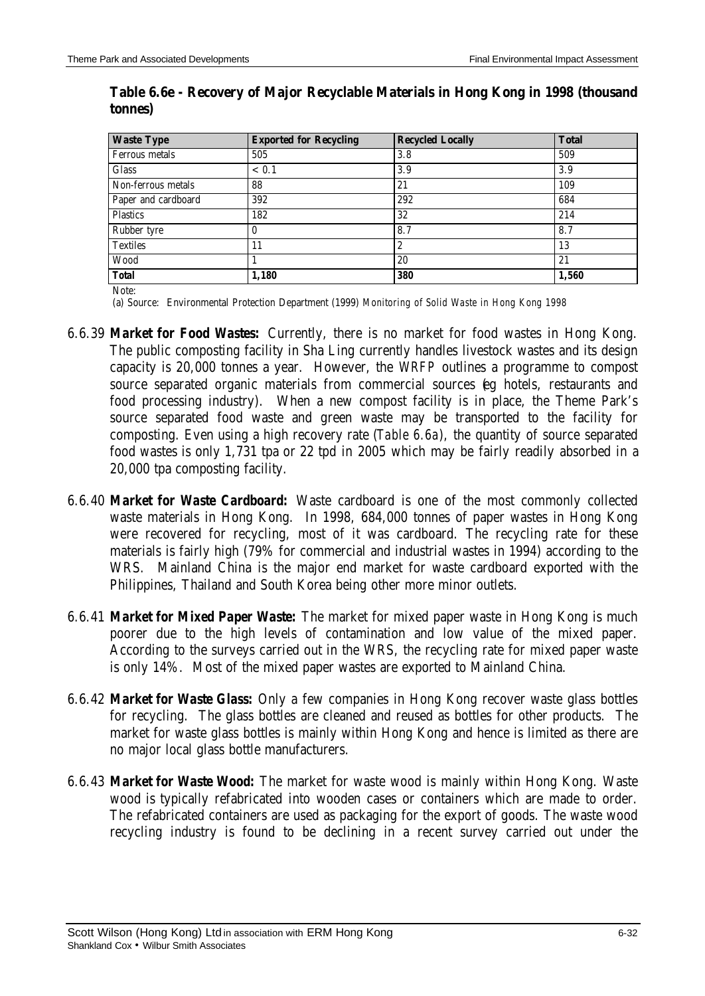| <b>Waste Type</b>     | <b>Exported for Recycling</b> | <b>Recycled Locally</b> | <b>Total</b> |
|-----------------------|-------------------------------|-------------------------|--------------|
| <b>Ferrous metals</b> | 505                           | 3.8                     | 509          |
| <b>Glass</b>          | < 0.1                         | 3.9                     | 3.9          |
| Non-ferrous metals    | 88                            | 21                      | 109          |
| Paper and cardboard   | 392                           | 292                     | 684          |
| <b>Plastics</b>       | 182                           | 32                      | 214          |
| Rubber tyre           | 0                             | 8.7                     | 8.7          |
| <b>Textiles</b>       | 11                            | 2                       | 13           |
| Wood                  |                               | 20                      | 21           |
| <b>Total</b>          | 1,180                         | 380                     | 1,560        |

### **Table 6.6e - Recovery of Major Recyclable Materials in Hong Kong in 1998 (thousand tonnes)**

Note:

(a) Source: Environmental Protection Department (1999) *Monitoring of Solid Waste in Hong Kong 1998*

- 6.6.39 *Market for Food Wastes:* Currently, there is no market for food wastes in Hong Kong. The public composting facility in Sha Ling currently handles livestock wastes and its design capacity is 20,000 tonnes a year. However, the *WRFP* outlines a programme to compost source separated organic materials from commercial sources (eg hotels, restaurants and food processing industry). When a new compost facility is in place, the Theme Park's source separated food waste and green waste may be transported to the facility for composting. Even using a high recovery rate (*Table 6.6a*), the quantity of source separated food wastes is only 1,731 tpa or 22 tpd in 2005 which may be fairly readily absorbed in a 20,000 tpa composting facility.
- 6.6.40 *Market for Waste Cardboard:* Waste cardboard is one of the most commonly collected waste materials in Hong Kong. In 1998, 684,000 tonnes of paper wastes in Hong Kong were recovered for recycling, most of it was cardboard. The recycling rate for these materials is fairly high (79% for commercial and industrial wastes in 1994) according to the WRS. Mainland China is the major end market for waste cardboard exported with the Philippines, Thailand and South Korea being other more minor outlets.
- 6.6.41 *Market for Mixed Paper Waste:* The market for mixed paper waste in Hong Kong is much poorer due to the high levels of contamination and low value of the mixed paper. According to the surveys carried out in the WRS, the recycling rate for mixed paper waste is only 14%. Most of the mixed paper wastes are exported to Mainland China.
- 6.6.42 *Market for Waste Glass:* Only a few companies in Hong Kong recover waste glass bottles for recycling. The glass bottles are cleaned and reused as bottles for other products. The market for waste glass bottles is mainly within Hong Kong and hence is limited as there are no major local glass bottle manufacturers.
- 6.6.43 *Market for Waste Wood:* The market for waste wood is mainly within Hong Kong. Waste wood is typically refabricated into wooden cases or containers which are made to order. The refabricated containers are used as packaging for the export of goods. The waste wood recycling industry is found to be declining in a recent survey carried out under the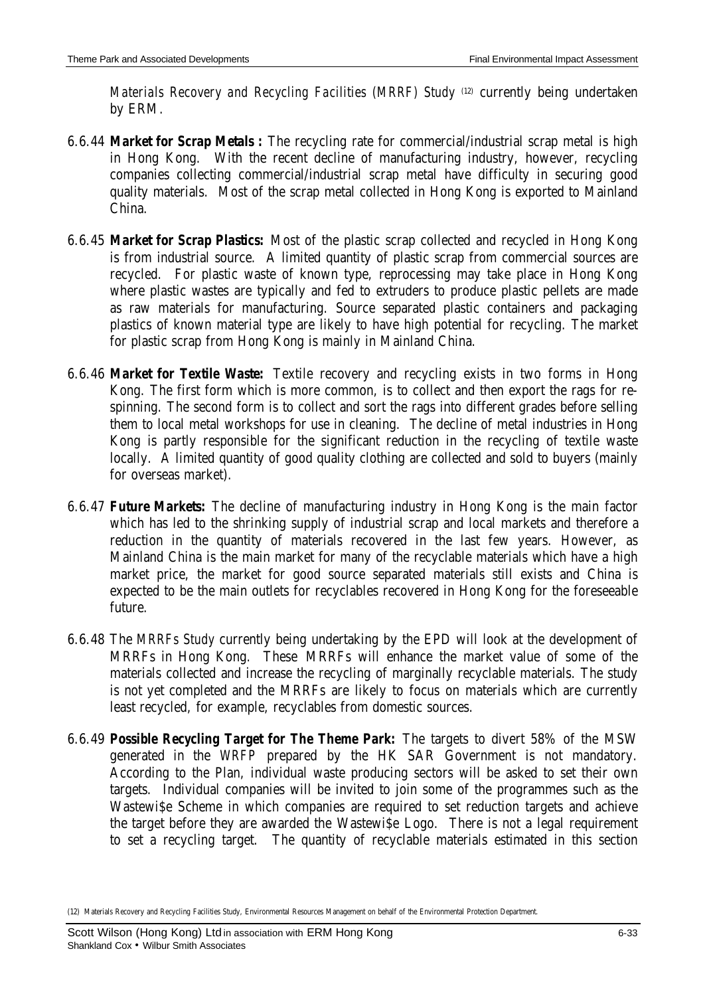*Materials Recovery and Recycling Facilities (MRRF) Study* (12) currently being undertaken by ERM.

- 6.6.44 *Market for Scrap Metals :* The recycling rate for commercial/industrial scrap metal is high in Hong Kong. With the recent decline of manufacturing industry, however, recycling companies collecting commercial/industrial scrap metal have difficulty in securing good quality materials. Most of the scrap metal collected in Hong Kong is exported to Mainland China.
- 6.6.45 *Market for Scrap Plastics:* Most of the plastic scrap collected and recycled in Hong Kong is from industrial source. A limited quantity of plastic scrap from commercial sources are recycled. For plastic waste of known type, reprocessing may take place in Hong Kong where plastic wastes are typically and fed to extruders to produce plastic pellets are made as raw materials for manufacturing. Source separated plastic containers and packaging plastics of known material type are likely to have high potential for recycling. The market for plastic scrap from Hong Kong is mainly in Mainland China.
- 6.6.46 *Market for Textile Waste:* Textile recovery and recycling exists in two forms in Hong Kong. The first form which is more common, is to collect and then export the rags for respinning. The second form is to collect and sort the rags into different grades before selling them to local metal workshops for use in cleaning. The decline of metal industries in Hong Kong is partly responsible for the significant reduction in the recycling of textile waste locally. A limited quantity of good quality clothing are collected and sold to buyers (mainly for overseas market).
- 6.6.47 *Future Markets:* The decline of manufacturing industry in Hong Kong is the main factor which has led to the shrinking supply of industrial scrap and local markets and therefore a reduction in the quantity of materials recovered in the last few years. However, as Mainland China is the main market for many of the recyclable materials which have a high market price, the market for good source separated materials still exists and China is expected to be the main outlets for recyclables recovered in Hong Kong for the foreseeable future.
- 6.6.48 The *MRRFs Study* currently being undertaking by the EPD will look at the development of MRRFs in Hong Kong. These MRRFs will enhance the market value of some of the materials collected and increase the recycling of marginally recyclable materials. The study is not yet completed and the MRRFs are likely to focus on materials which are currently least recycled, for example, recyclables from domestic sources.
- 6.6.49 *Possible Recycling Target for The Theme Park:* The targets to divert 58% of the MSW generated in the *WRFP* prepared by the HK SAR Government is not mandatory. According to the Plan, individual waste producing sectors will be asked to set their own targets. Individual companies will be invited to join some of the programmes such as the Wastewi\$e Scheme in which companies are required to set reduction targets and achieve the target before they are awarded the Wastewi\$e Logo. There is not a legal requirement to set a recycling target. The quantity of recyclable materials estimated in this section

<sup>(12)</sup> Materials Recovery and Recycling Facilities Study, Environmental Resources Management on behalf of the Environmental Protection Department.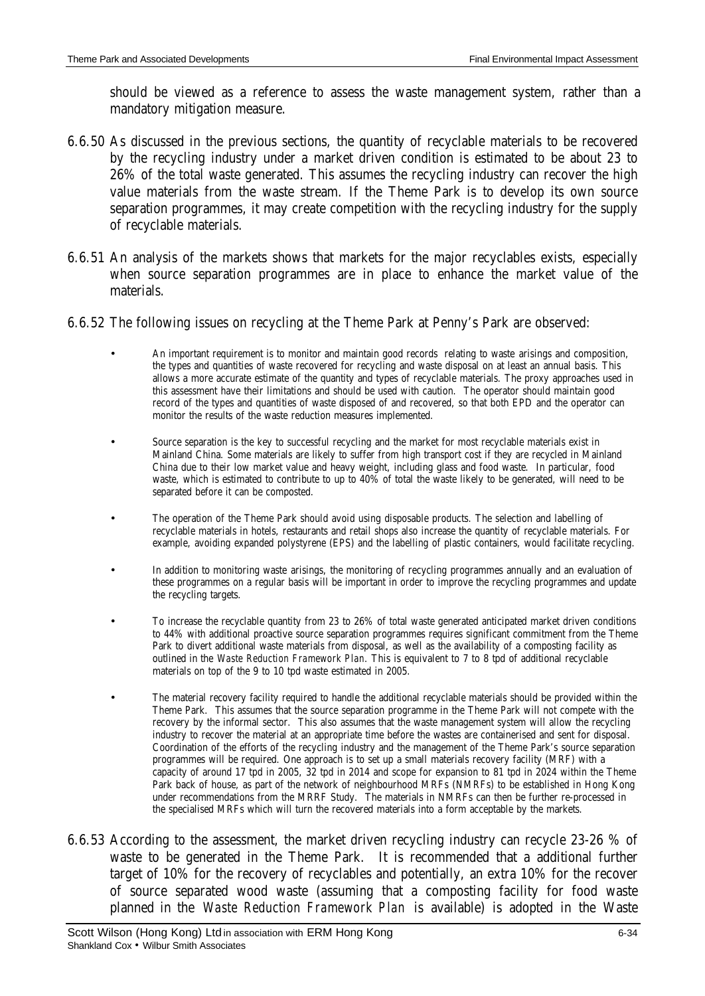should be viewed as a reference to assess the waste management system, rather than a mandatory mitigation measure.

- 6.6.50 As discussed in the previous sections, the quantity of recyclable materials to be recovered by the recycling industry under a market driven condition is estimated to be about 23 to 26% of the total waste generated. This assumes the recycling industry can recover the high value materials from the waste stream. If the Theme Park is to develop its own source separation programmes, it may create competition with the recycling industry for the supply of recyclable materials.
- 6.6.51 An analysis of the markets shows that markets for the major recyclables exists, especially when source separation programmes are in place to enhance the market value of the materials.
- 6.6.52 The following issues on recycling at the Theme Park at Penny's Park are observed:
	- An important requirement is to monitor and maintain good records relating to waste arisings and composition, the types and quantities of waste recovered for recycling and waste disposal on at least an annual basis. This allows a more accurate estimate of the quantity and types of recyclable materials. The proxy approaches used in this assessment have their limitations and should be used with caution. The operator should maintain good record of the types and quantities of waste disposed of and recovered, so that both EPD and the operator can monitor the results of the waste reduction measures implemented.
	- Source separation is the key to successful recycling and the market for most recyclable materials exist in Mainland China. Some materials are likely to suffer from high transport cost if they are recycled in Mainland China due to their low market value and heavy weight, including glass and food waste. In particular, food waste, which is estimated to contribute to up to 40% of total the waste likely to be generated, will need to be separated before it can be composted.
	- The operation of the Theme Park should avoid using disposable products. The selection and labelling of recyclable materials in hotels, restaurants and retail shops also increase the quantity of recyclable materials. For example, avoiding expanded polystyrene (EPS) and the labelling of plastic containers, would facilitate recycling.
	- In addition to monitoring waste arisings, the monitoring of recycling programmes annually and an evaluation of these programmes on a regular basis will be important in order to improve the recycling programmes and update the recycling targets.
	- To increase the recyclable quantity from 23 to 26% of total waste generated anticipated market driven conditions to 44% with additional proactive source separation programmes requires significant commitment from the Theme Park to divert additional waste materials from disposal, as well as the availability of a composting facility as outlined in the *Waste Reduction Framework Plan*. This is equivalent to 7 to 8 tpd of additional recyclable materials on top of the 9 to 10 tpd waste estimated in 2005.
	- The material recovery facility required to handle the additional recyclable materials should be provided within the Theme Park. This assumes that the source separation programme in the Theme Park will not compete with the recovery by the informal sector. This also assumes that the waste management system will allow the recycling industry to recover the material at an appropriate time before the wastes are containerised and sent for disposal. Coordination of the efforts of the recycling industry and the management of the Theme Park's source separation programmes will be required. One approach is to set up a small materials recovery facility (MRF) with a capacity of around 17 tpd in 2005, 32 tpd in 2014 and scope for expansion to 81 tpd in 2024 within the Theme Park back of house, as part of the network of neighbourhood MRFs (NMRFs) to be established in Hong Kong under recommendations from the MRRF Study. The materials in NMRFs can then be further re-processed in the specialised MRFs which will turn the recovered materials into a form acceptable by the markets.
- 6.6.53 According to the assessment, the market driven recycling industry can recycle 23-26 % of waste to be generated in the Theme Park. It is recommended that a additional further target of 10% for the recovery of recyclables and potentially, an extra 10% for the recover of source separated wood waste (assuming that a composting facility for food waste planned in the *Waste Reduction Framework Plan* is available) is adopted in the Waste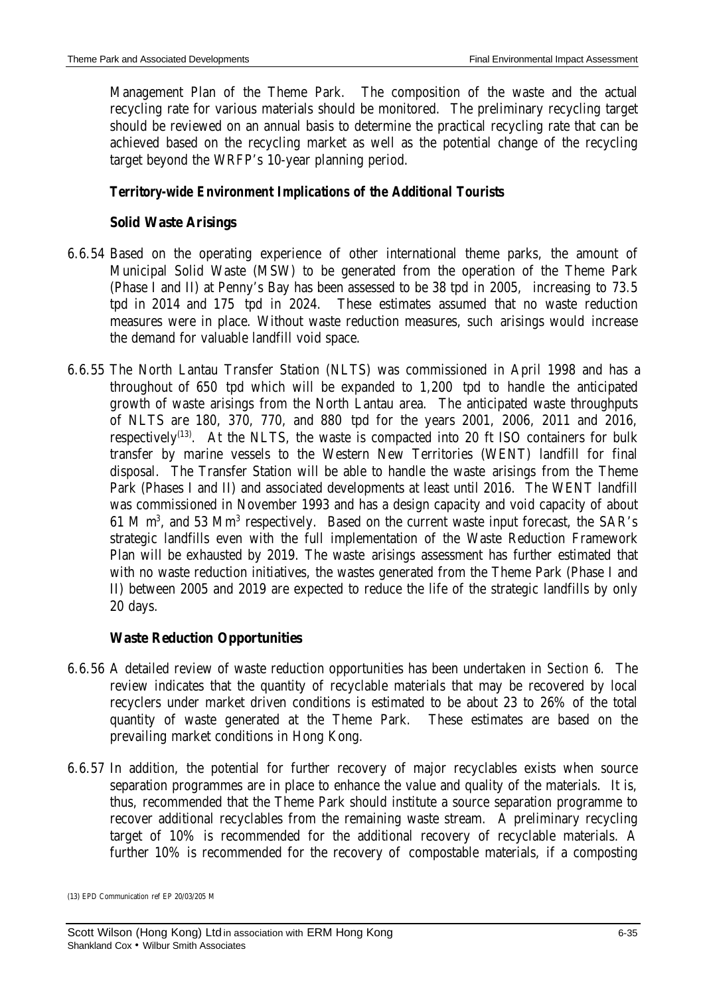Management Plan of the Theme Park. The composition of the waste and the actual recycling rate for various materials should be monitored. The preliminary recycling target should be reviewed on an annual basis to determine the practical recycling rate that can be achieved based on the recycling market as well as the potential change of the recycling target beyond the WRFP's 10-year planning period.

# *Territory-wide Environment Implications of the Additional Tourists*

# **Solid Waste Arisings**

- 6.6.54 Based on the operating experience of other international theme parks, the amount of Municipal Solid Waste (MSW) to be generated from the operation of the Theme Park (Phase I and II) at Penny's Bay has been assessed to be 38 tpd in 2005, increasing to 73.5 tpd in 2014 and 175 tpd in 2024. These estimates assumed that no waste reduction measures were in place. Without waste reduction measures, such arisings would increase the demand for valuable landfill void space.
- 6.6.55 The North Lantau Transfer Station (NLTS) was commissioned in April 1998 and has a throughout of 650 tpd which will be expanded to 1,200 tpd to handle the anticipated growth of waste arisings from the North Lantau area. The anticipated waste throughputs of NLTS are 180, 370, 770, and 880 tpd for the years 2001, 2006, 2011 and 2016, respectively<sup>(13)</sup>. At the NLTS, the waste is compacted into 20 ft ISO containers for bulk transfer by marine vessels to the Western New Territories (WENT) landfill for final disposal. The Transfer Station will be able to handle the waste arisings from the Theme Park (Phases I and II) and associated developments at least until 2016. The WENT landfill was commissioned in November 1993 and has a design capacity and void capacity of about 61 M m<sup>3</sup>, and 53 Mm<sup>3</sup> respectively. Based on the current waste input forecast, the SAR's strategic landfills even with the full implementation of the Waste Reduction Framework Plan will be exhausted by 2019. The waste arisings assessment has further estimated that with no waste reduction initiatives, the wastes generated from the Theme Park (Phase I and II) between 2005 and 2019 are expected to reduce the life of the strategic landfills by only 20 days.

# **Waste Reduction Opportunities**

- 6.6.56 A detailed review of waste reduction opportunities has been undertaken in *Section 6*. The review indicates that the quantity of recyclable materials that may be recovered by local recyclers under market driven conditions is estimated to be about 23 to 26% of the total quantity of waste generated at the Theme Park. These estimates are based on the prevailing market conditions in Hong Kong.
- 6.6.57 In addition, the potential for further recovery of major recyclables exists when source separation programmes are in place to enhance the value and quality of the materials. It is, thus, recommended that the Theme Park should institute a source separation programme to recover additional recyclables from the remaining waste stream. A preliminary recycling target of 10% is recommended for the additional recovery of recyclable materials. A further 10% is recommended for the recovery of compostable materials, if a composting

<sup>(13)</sup> EPD Communication ref EP 20/03/205 M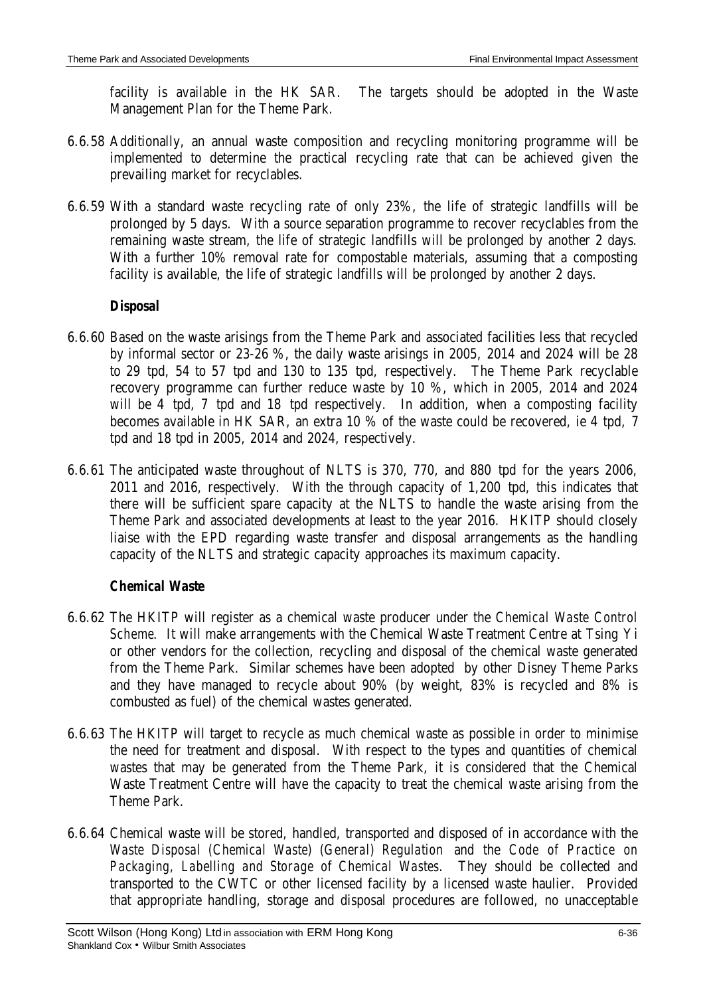facility is available in the HK SAR. The targets should be adopted in the Waste Management Plan for the Theme Park.

- 6.6.58 Additionally, an annual waste composition and recycling monitoring programme will be implemented to determine the practical recycling rate that can be achieved given the prevailing market for recyclables.
- 6.6.59 With a standard waste recycling rate of only 23%, the life of strategic landfills will be prolonged by 5 days. With a source separation programme to recover recyclables from the remaining waste stream, the life of strategic landfills will be prolonged by another 2 days. With a further 10% removal rate for compostable materials, assuming that a composting facility is available, the life of strategic landfills will be prolonged by another 2 days.

### *Disposal*

- 6.6.60 Based on the waste arisings from the Theme Park and associated facilities less that recycled by informal sector or 23-26 %, the daily waste arisings in 2005, 2014 and 2024 will be 28 to 29 tpd, 54 to 57 tpd and 130 to 135 tpd, respectively. The Theme Park recyclable recovery programme can further reduce waste by 10 %, which in 2005, 2014 and 2024 will be 4 tpd, 7 tpd and 18 tpd respectively. In addition, when a composting facility becomes available in HK SAR, an extra 10 % of the waste could be recovered, ie 4 tpd, 7 tpd and 18 tpd in 2005, 2014 and 2024, respectively.
- 6.6.61 The anticipated waste throughout of NLTS is 370, 770, and 880 tpd for the years 2006, 2011 and 2016, respectively. With the through capacity of 1,200 tpd, this indicates that there will be sufficient spare capacity at the NLTS to handle the waste arising from the Theme Park and associated developments at least to the year 2016. HKITP should closely liaise with the EPD regarding waste transfer and disposal arrangements as the handling capacity of the NLTS and strategic capacity approaches its maximum capacity.

# *Chemical Waste*

- 6.6.62 The HKITP will register as a chemical waste producer under the *Chemical Waste Control Scheme*. It will make arrangements with the Chemical Waste Treatment Centre at Tsing Yi or other vendors for the collection, recycling and disposal of the chemical waste generated from the Theme Park. Similar schemes have been adopted by other Disney Theme Parks and they have managed to recycle about 90% (by weight, 83% is recycled and 8% is combusted as fuel) of the chemical wastes generated.
- 6.6.63 The HKITP will target to recycle as much chemical waste as possible in order to minimise the need for treatment and disposal. With respect to the types and quantities of chemical wastes that may be generated from the Theme Park, it is considered that the Chemical Waste Treatment Centre will have the capacity to treat the chemical waste arising from the Theme Park.
- 6.6.64 Chemical waste will be stored, handled, transported and disposed of in accordance with the *Waste Disposal (Chemical Waste) (General) Regulation* and the *Code of Practice on Packaging, Labelling and Storage of Chemical Wastes*. They should be collected and transported to the CWTC or other licensed facility by a licensed waste haulier. Provided that appropriate handling, storage and disposal procedures are followed, no unacceptable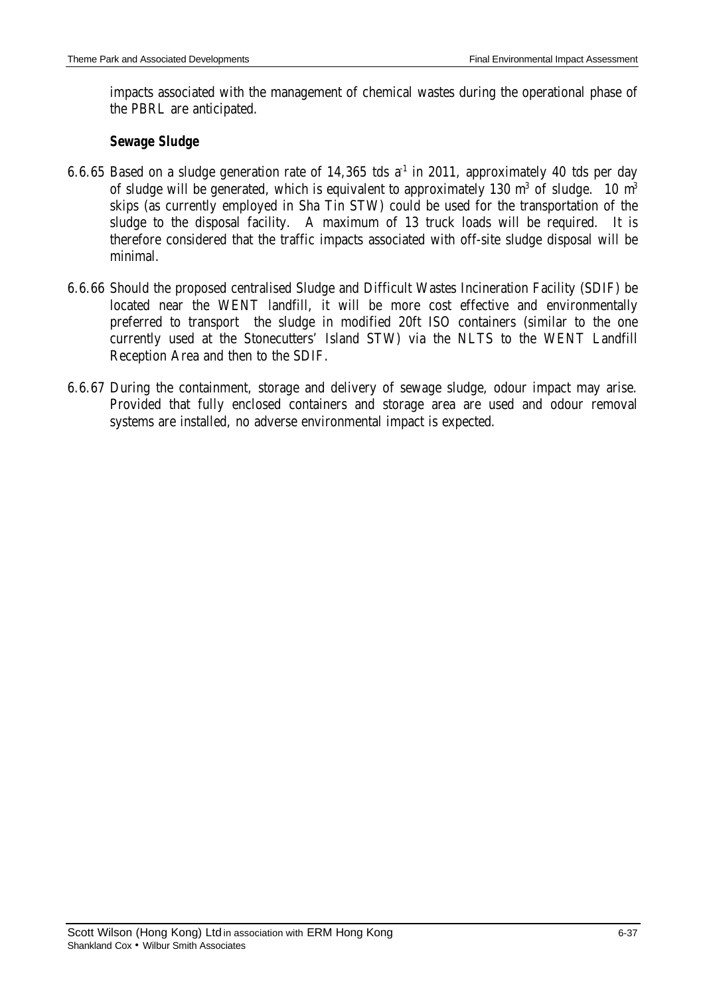impacts associated with the management of chemical wastes during the operational phase of the PBRL are anticipated.

# *Sewage Sludge*

- 6.6.65 Based on a sludge generation rate of 14,365 tds  $a<sup>-1</sup>$  in 2011, approximately 40 tds per day of sludge will be generated, which is equivalent to approximately 130  $m^3$  of sludge. 10  $m^3$ skips (as currently employed in Sha Tin STW) could be used for the transportation of the sludge to the disposal facility. A maximum of 13 truck loads will be required. It is therefore considered that the traffic impacts associated with off-site sludge disposal will be minimal.
- 6.6.66 Should the proposed centralised Sludge and Difficult Wastes Incineration Facility (SDIF) be located near the WENT landfill, it will be more cost effective and environmentally preferred to transport the sludge in modified 20ft ISO containers (similar to the one currently used at the Stonecutters' Island STW) via the NLTS to the WENT Landfill Reception Area and then to the SDIF.
- 6.6.67 During the containment, storage and delivery of sewage sludge, odour impact may arise. Provided that fully enclosed containers and storage area are used and odour removal systems are installed, no adverse environmental impact is expected.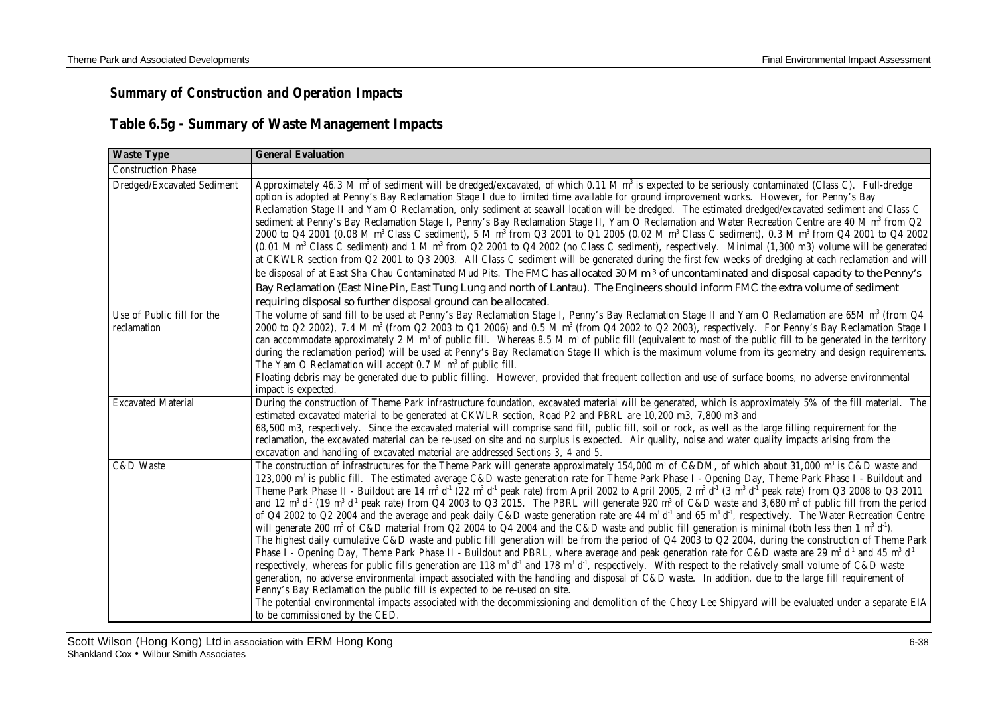# *Summary of Construction and Operation Impacts*

# **Table 6.5g - Summary of Waste Management Impacts**

| <b>Waste Type</b>                         | <b>General Evaluation</b>                                                                                                                                                                                                                                                                                                                                                                                                                                                                                                                                                                                                                                                                                                                                                                                                                                                                                                                                                                                                                                                                                                                                                                                                                                                                                                                                                                                                                                                                                                                                                                                                                                                                                                                                                                                                                                                                                                                                                                                                                                                          |
|-------------------------------------------|------------------------------------------------------------------------------------------------------------------------------------------------------------------------------------------------------------------------------------------------------------------------------------------------------------------------------------------------------------------------------------------------------------------------------------------------------------------------------------------------------------------------------------------------------------------------------------------------------------------------------------------------------------------------------------------------------------------------------------------------------------------------------------------------------------------------------------------------------------------------------------------------------------------------------------------------------------------------------------------------------------------------------------------------------------------------------------------------------------------------------------------------------------------------------------------------------------------------------------------------------------------------------------------------------------------------------------------------------------------------------------------------------------------------------------------------------------------------------------------------------------------------------------------------------------------------------------------------------------------------------------------------------------------------------------------------------------------------------------------------------------------------------------------------------------------------------------------------------------------------------------------------------------------------------------------------------------------------------------------------------------------------------------------------------------------------------------|
| <b>Construction Phase</b>                 |                                                                                                                                                                                                                                                                                                                                                                                                                                                                                                                                                                                                                                                                                                                                                                                                                                                                                                                                                                                                                                                                                                                                                                                                                                                                                                                                                                                                                                                                                                                                                                                                                                                                                                                                                                                                                                                                                                                                                                                                                                                                                    |
| Dredged/Excavated Sediment                | Approximately 46.3 M m <sup>3</sup> of sediment will be dredged/excavated, of which $0.11$ M m <sup>3</sup> is expected to be seriously contaminated (Class C). Full-dredge<br>option is adopted at Penny's Bay Reclamation Stage I due to limited time available for ground improvement works. However, for Penny's Bay<br>Reclamation Stage II and Yam O Reclamation, only sediment at seawall location will be dredged. The estimated dredged/excavated sediment and Class C<br>sediment at Penny's Bay Reclamation Stage I, Penny's Bay Reclamation Stage II, Yam O Reclamation and Water Recreation Centre are 40 M m <sup>3</sup> from Q2<br>2000 to Q4 2001 (0.08 M m <sup>3</sup> Class C sediment), 5 M m <sup>3</sup> from Q3 2001 to Q1 2005 (0.02 M m <sup>3</sup> Class C sediment), 0.3 M m <sup>3</sup> from Q4 2001 to Q4 2002<br>$(0.01 \text{ M m}^3 \text{ Class C sediment})$ and 1 M m <sup>3</sup> from Q2 2001 to Q4 2002 (no Class C sediment), respectively. Minimal $(1,300 \text{ m}^3)$ volume will be generated<br>at CKWLR section from Q2 2001 to Q3 2003. All Class C sediment will be generated during the first few weeks of dredging at each reclamation and will<br>be disposal of at East Sha Chau Contaminated Mud Pits. The FMC has allocated 30 M m <sup>3</sup> of uncontaminated and disposal capacity to the Penny's<br>Bay Reclamation (East Nine Pin, East Tung Lung and north of Lantau). The Engineers should inform FMC the extra volume of sediment<br>requiring disposal so further disposal ground can be allocated.                                                                                                                                                                                                                                                                                                                                                                                                                                                                                                            |
| Use of Public fill for the<br>reclamation | The volume of sand fill to be used at Penny's Bay Reclamation Stage I, Penny's Bay Reclamation Stage II and Yam O Reclamation are 65M m <sup>3</sup> (from Q4<br>2000 to Q2 2002), 7.4 M m <sup>3</sup> (from Q2 2003 to Q1 2006) and 0.5 M m <sup>3</sup> (from Q4 2002 to Q2 2003), respectively. For Penny's Bay Reclamation Stage I<br>can accommodate approximately 2 M $m3$ of public fill. Whereas 8.5 M $m3$ of public fill (equivalent to most of the public fill to be generated in the territory<br>during the reclamation period) will be used at Penny's Bay Reclamation Stage II which is the maximum volume from its geometry and design requirements.<br>The Yam O Reclamation will accept 0.7 M m <sup>3</sup> of public fill.<br>Floating debris may be generated due to public filling. However, provided that frequent collection and use of surface booms, no adverse environmental<br>impact is expected.                                                                                                                                                                                                                                                                                                                                                                                                                                                                                                                                                                                                                                                                                                                                                                                                                                                                                                                                                                                                                                                                                                                                                    |
| <b>Excavated Material</b>                 | During the construction of Theme Park infrastructure foundation, excavated material will be generated, which is approximately 5% of the fill material. The<br>estimated excavated material to be generated at CKWLR section, Road P2 and PBRL are 10,200 m3, 7,800 m3 and<br>68,500 m3, respectively. Since the excavated material will comprise sand fill, public fill, soil or rock, as well as the large filling requirement for the<br>reclamation, the excavated material can be re-used on site and no surplus is expected. Air quality, noise and water quality impacts arising from the<br>excavation and handling of excavated material are addressed Sections 3, 4 and 5.                                                                                                                                                                                                                                                                                                                                                                                                                                                                                                                                                                                                                                                                                                                                                                                                                                                                                                                                                                                                                                                                                                                                                                                                                                                                                                                                                                                                |
| C&D Waste                                 | The construction of infrastructures for the Theme Park will generate approximately 154,000 m <sup>3</sup> of C&DM, of which about 31,000 m <sup>3</sup> is C&D waste and<br>123,000 m <sup>3</sup> is public fill. The estimated average C&D waste generation rate for Theme Park Phase I - Opening Day, Theme Park Phase I - Buildout and<br>Theme Park Phase II - Buildout are 14 m <sup>3</sup> d <sup>-1</sup> (22 m <sup>3</sup> d <sup>-1</sup> peak rate) from April 2002 to April 2005, 2 m <sup>3</sup> d <sup>-1</sup> (3 m <sup>3</sup> d <sup>-1</sup> peak rate) from Q3 2008 to Q3 2011<br>and 12 $m^3 d^1$ (19 $m^3 d^1$ peak rate) from Q4 2003 to Q3 2015. The PBRL will generate 920 $m^3$ of C&D waste and 3,680 $m^3$ of public fill from the period<br>of Q4 2002 to Q2 2004 and the average and peak daily C&D waste generation rate are 44 $m^3$ d <sup>-1</sup> and 65 $m^3$ d <sup>-1</sup> , respectively. The Water Recreation Centre<br>will generate 200 m <sup>3</sup> of C&D material from Q2 2004 to Q4 2004 and the C&D waste and public fill generation is minimal (both less then 1 m <sup>3</sup> d <sup>-1</sup> ).<br>The highest daily cumulative C&D waste and public fill generation will be from the period of Q4 2003 to Q2 2004, during the construction of Theme Park<br>Phase I - Opening Day, Theme Park Phase II - Buildout and PBRL, where average and peak generation rate for C&D waste are 29 $m^3 d^1$ and 45 $m^3 d^1$<br>respectively, whereas for public fills generation are 118 $m^3 d^1$ and 178 $m^3 d^1$ , respectively. With respect to the relatively small volume of C&D waste<br>generation, no adverse environmental impact associated with the handling and disposal of C&D waste. In addition, due to the large fill requirement of<br>Penny's Bay Reclamation the public fill is expected to be re-used on site.<br>The potential environmental impacts associated with the decommissioning and demolition of the Cheoy Lee Shipyard will be evaluated under a separate EIA<br>to be commissioned by the CED. |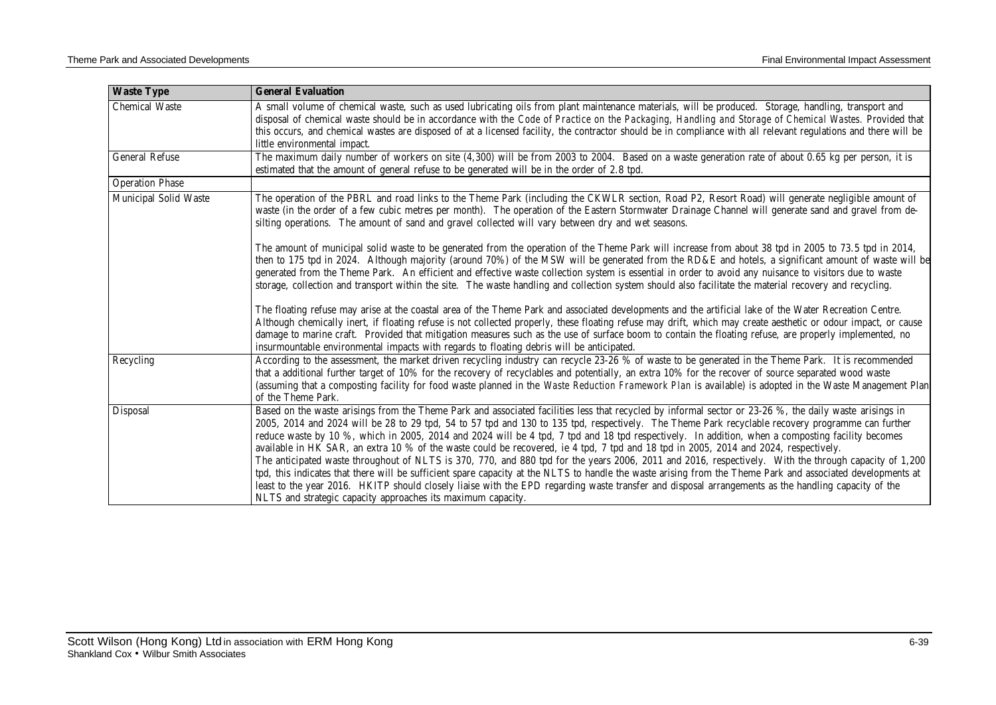| <b>Waste Type</b>      | <b>General Evaluation</b>                                                                                                                                                                                                                                                                                                                                                                                                                                                                                                                                                                                                                                                                                                                                                                                                                                                                                                                                                                                                                                                                                                                               |
|------------------------|---------------------------------------------------------------------------------------------------------------------------------------------------------------------------------------------------------------------------------------------------------------------------------------------------------------------------------------------------------------------------------------------------------------------------------------------------------------------------------------------------------------------------------------------------------------------------------------------------------------------------------------------------------------------------------------------------------------------------------------------------------------------------------------------------------------------------------------------------------------------------------------------------------------------------------------------------------------------------------------------------------------------------------------------------------------------------------------------------------------------------------------------------------|
| <b>Chemical Waste</b>  | A small volume of chemical waste, such as used lubricating oils from plant maintenance materials, will be produced. Storage, handling, transport and<br>disposal of chemical waste should be in accordance with the Code of Practice on the Packaging, Handling and Storage of Chemical Wastes. Provided that<br>this occurs, and chemical wastes are disposed of at a licensed facility, the contractor should be in compliance with all relevant regulations and there will be<br>little environmental impact.                                                                                                                                                                                                                                                                                                                                                                                                                                                                                                                                                                                                                                        |
| <b>General Refuse</b>  | The maximum daily number of workers on site (4,300) will be from 2003 to 2004. Based on a waste generation rate of about 0.65 kg per person, it is<br>estimated that the amount of general refuse to be generated will be in the order of 2.8 tpd.                                                                                                                                                                                                                                                                                                                                                                                                                                                                                                                                                                                                                                                                                                                                                                                                                                                                                                      |
| <b>Operation Phase</b> |                                                                                                                                                                                                                                                                                                                                                                                                                                                                                                                                                                                                                                                                                                                                                                                                                                                                                                                                                                                                                                                                                                                                                         |
| Municipal Solid Waste  | The operation of the PBRL and road links to the Theme Park (including the CKWLR section, Road P2, Resort Road) will generate negligible amount of<br>waste (in the order of a few cubic metres per month). The operation of the Eastern Stormwater Drainage Channel will generate sand and gravel from de-<br>silting operations. The amount of sand and gravel collected will vary between dry and wet seasons.<br>The amount of municipal solid waste to be generated from the operation of the Theme Park will increase from about 38 tpd in 2005 to 73.5 tpd in 2014,<br>then to 175 tpd in 2024. Although majority (around 70%) of the MSW will be generated from the RD&E and hotels, a significant amount of waste will be                                                                                                                                                                                                                                                                                                                                                                                                                       |
|                        | generated from the Theme Park. An efficient and effective waste collection system is essential in order to avoid any nuisance to visitors due to waste<br>storage, collection and transport within the site. The waste handling and collection system should also facilitate the material recovery and recycling.<br>The floating refuse may arise at the coastal area of the Theme Park and associated developments and the artificial lake of the Water Recreation Centre.<br>Although chemically inert, if floating refuse is not collected properly, these floating refuse may drift, which may create aesthetic or odour impact, or cause<br>damage to marine craft. Provided that mitigation measures such as the use of surface boom to contain the floating refuse, are properly implemented, no                                                                                                                                                                                                                                                                                                                                                |
|                        | insurmountable environmental impacts with regards to floating debris will be anticipated.                                                                                                                                                                                                                                                                                                                                                                                                                                                                                                                                                                                                                                                                                                                                                                                                                                                                                                                                                                                                                                                               |
| Recycling              | According to the assessment, the market driven recycling industry can recycle 23-26 % of waste to be generated in the Theme Park. It is recommended<br>that a additional further target of 10% for the recovery of recyclables and potentially, an extra 10% for the recover of source separated wood waste<br>(assuming that a composting facility for food waste planned in the Waste Reduction Framework Plan is available) is adopted in the Waste Management Plan<br>of the Theme Park.                                                                                                                                                                                                                                                                                                                                                                                                                                                                                                                                                                                                                                                            |
| Disposal               | Based on the waste arisings from the Theme Park and associated facilities less that recycled by informal sector or 23-26 %, the daily waste arisings in<br>2005, 2014 and 2024 will be 28 to 29 tpd, 54 to 57 tpd and 130 to 135 tpd, respectively. The Theme Park recyclable recovery programme can further<br>reduce waste by 10 %, which in 2005, 2014 and 2024 will be 4 tpd, 7 tpd and 18 tpd respectively. In addition, when a composting facility becomes<br>available in HK SAR, an extra 10 % of the waste could be recovered, ie 4 tpd, 7 tpd and 18 tpd in 2005, 2014 and 2024, respectively.<br>The anticipated waste throughout of NLTS is 370, 770, and 880 tpd for the years 2006, 2011 and 2016, respectively. With the through capacity of 1,200<br>tpd, this indicates that there will be sufficient spare capacity at the NLTS to handle the waste arising from the Theme Park and associated developments at<br>least to the year 2016. HKITP should closely liaise with the EPD regarding waste transfer and disposal arrangements as the handling capacity of the<br>NLTS and strategic capacity approaches its maximum capacity. |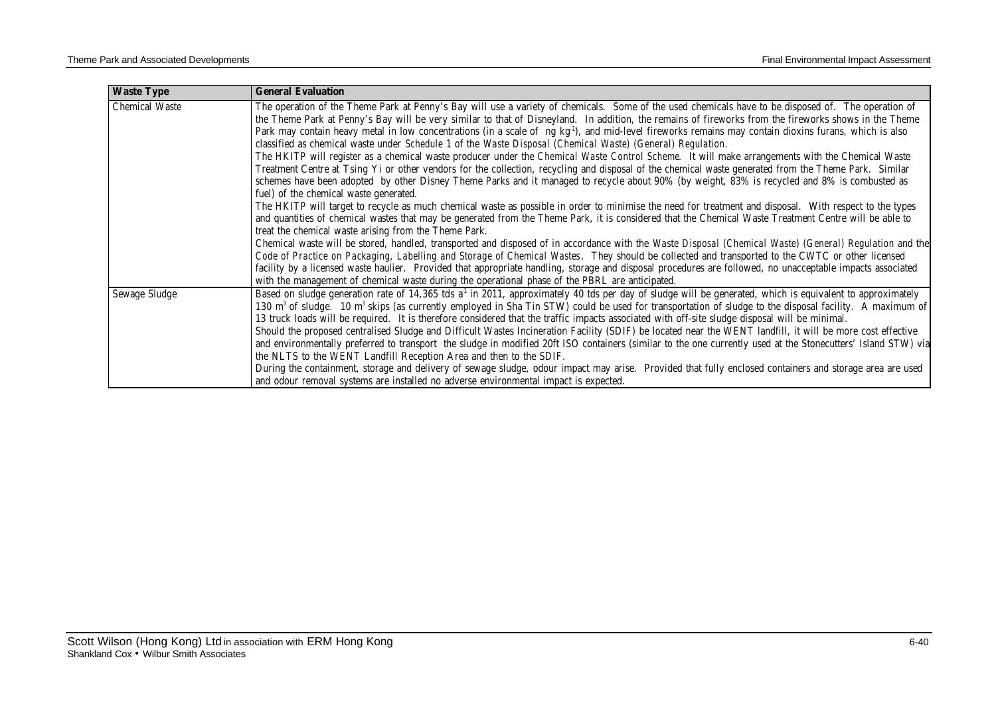| <b>Waste Type</b>     | <b>General Evaluation</b>                                                                                                                                                                                                                                                                                    |
|-----------------------|--------------------------------------------------------------------------------------------------------------------------------------------------------------------------------------------------------------------------------------------------------------------------------------------------------------|
| <b>Chemical Waste</b> | The operation of the Theme Park at Penny's Bay will use a variety of chemicals. Some of the used chemicals have to be disposed of. The operation of<br>the Theme Park at Penny's Bay will be very similar to that of Disneyland. In addition, the remains of fireworks from the fireworks shows in the Theme |
|                       | Park may contain heavy metal in low concentrations (in a scale of ng $kg-1$ ), and mid-level fireworks remains may contain dioxins furans, which is also                                                                                                                                                     |
|                       | classified as chemical waste under Schedule 1 of the Waste Disposal (Chemical Waste) (General) Regulation.                                                                                                                                                                                                   |
|                       | The HKITP will register as a chemical waste producer under the Chemical Waste Control Scheme. It will make arrangements with the Chemical Waste                                                                                                                                                              |
|                       | Treatment Centre at Tsing Yi or other vendors for the collection, recycling and disposal of the chemical waste generated from the Theme Park. Similar                                                                                                                                                        |
|                       | schemes have been adopted by other Disney Theme Parks and it managed to recycle about 90% (by weight, 83% is recycled and 8% is combusted as                                                                                                                                                                 |
|                       | fuel) of the chemical waste generated.                                                                                                                                                                                                                                                                       |
|                       | The HKITP will target to recycle as much chemical waste as possible in order to minimise the need for treatment and disposal. With respect to the types                                                                                                                                                      |
|                       | and quantities of chemical wastes that may be generated from the Theme Park, it is considered that the Chemical Waste Treatment Centre will be able to                                                                                                                                                       |
|                       | treat the chemical waste arising from the Theme Park.                                                                                                                                                                                                                                                        |
|                       | Chemical waste will be stored, handled, transported and disposed of in accordance with the Waste Disposal (Chemical Waste) (General) Regulation and the                                                                                                                                                      |
|                       | Code of Practice on Packaging, Labelling and Storage of Chemical Wastes. They should be collected and transported to the CWTC or other licensed                                                                                                                                                              |
|                       | facility by a licensed waste haulier. Provided that appropriate handling, storage and disposal procedures are followed, no unacceptable impacts associated<br>with the management of chemical waste during the operational phase of the PBRL are anticipated.                                                |
| Sewage Sludge         | Based on sludge generation rate of 14,365 tds a <sup>1</sup> in 2011, approximately 40 tds per day of sludge will be generated, which is equivalent to approximately                                                                                                                                         |
|                       | 130 m <sup>3</sup> of sludge. 10 m <sup>3</sup> skips (as currently employed in Sha Tin STW) could be used for transportation of sludge to the disposal facility. A maximum of                                                                                                                               |
|                       | 13 truck loads will be required. It is therefore considered that the traffic impacts associated with off-site sludge disposal will be minimal.                                                                                                                                                               |
|                       | Should the proposed centralised Sludge and Difficult Wastes Incineration Facility (SDIF) be located near the WENT landfill, it will be more cost effective                                                                                                                                                   |
|                       | and environmentally preferred to transport the sludge in modified 20ft ISO containers (similar to the one currently used at the Stonecutters' Island STW) via                                                                                                                                                |
|                       | the NLTS to the WENT Landfill Reception Area and then to the SDIF.                                                                                                                                                                                                                                           |
|                       | During the containment, storage and delivery of sewage sludge, odour impact may arise. Provided that fully enclosed containers and storage area are used                                                                                                                                                     |
|                       | and odour removal systems are installed no adverse environmental impact is expected.                                                                                                                                                                                                                         |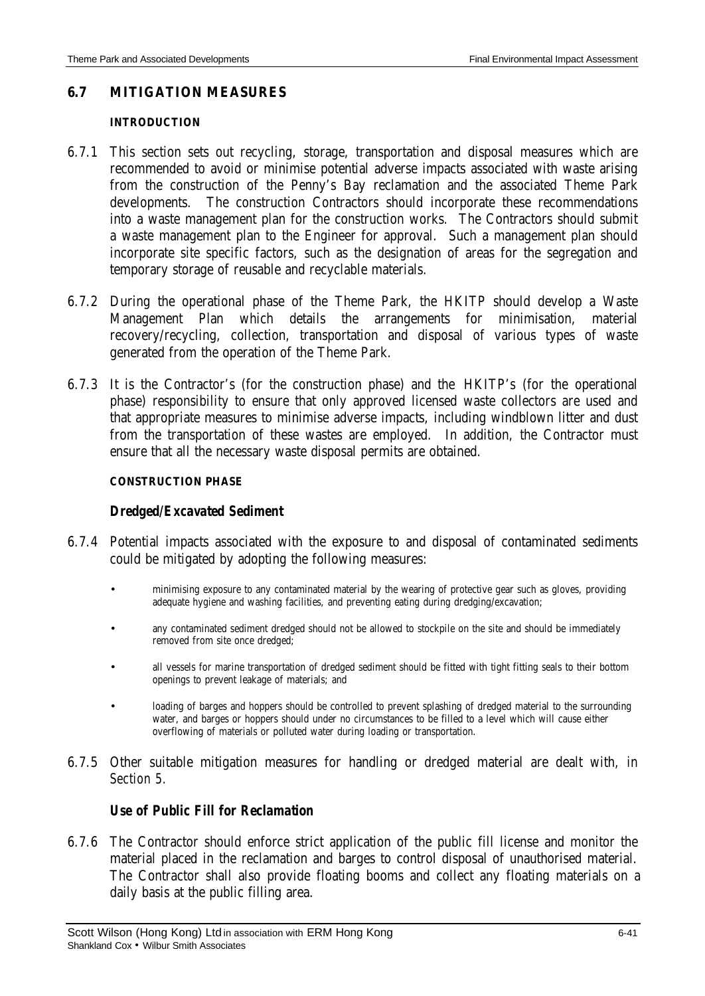### **6.7 MITIGATION MEASURES**

#### **INTRODUCTION**

- 6.7.1 This section sets out recycling, storage, transportation and disposal measures which are recommended to avoid or minimise potential adverse impacts associated with waste arising from the construction of the Penny's Bay reclamation and the associated Theme Park developments. The construction Contractors should incorporate these recommendations into a waste management plan for the construction works. The Contractors should submit a waste management plan to the Engineer for approval. Such a management plan should incorporate site specific factors, such as the designation of areas for the segregation and temporary storage of reusable and recyclable materials.
- 6.7.2 During the operational phase of the Theme Park, the HKITP should develop a Waste Management Plan which details the arrangements for minimisation, material recovery/recycling, collection, transportation and disposal of various types of waste generated from the operation of the Theme Park.
- 6.7.3 It is the Contractor's (for the construction phase) and the HKITP's (for the operational phase) responsibility to ensure that only approved licensed waste collectors are used and that appropriate measures to minimise adverse impacts, including windblown litter and dust from the transportation of these wastes are employed. In addition, the Contractor must ensure that all the necessary waste disposal permits are obtained.

#### **CONSTRUCTION PHASE**

### *Dredged/Excavated Sediment*

- 6.7.4 Potential impacts associated with the exposure to and disposal of contaminated sediments could be mitigated by adopting the following measures:
	- minimising exposure to any contaminated material by the wearing of protective gear such as gloves, providing adequate hygiene and washing facilities, and preventing eating during dredging/excavation;
	- any contaminated sediment dredged should not be allowed to stockpile on the site and should be immediately removed from site once dredged;
	- all vessels for marine transportation of dredged sediment should be fitted with tight fitting seals to their bottom openings to prevent leakage of materials; and
	- loading of barges and hoppers should be controlled to prevent splashing of dredged material to the surrounding water, and barges or hoppers should under no circumstances to be filled to a level which will cause either overflowing of materials or polluted water during loading or transportation.
- 6.7.5 Other suitable mitigation measures for handling or dredged material are dealt with, in *Section 5*.

### *Use of Public Fill for Reclamation*

6.7.6 The Contractor should enforce strict application of the public fill license and monitor the material placed in the reclamation and barges to control disposal of unauthorised material. The Contractor shall also provide floating booms and collect any floating materials on a daily basis at the public filling area.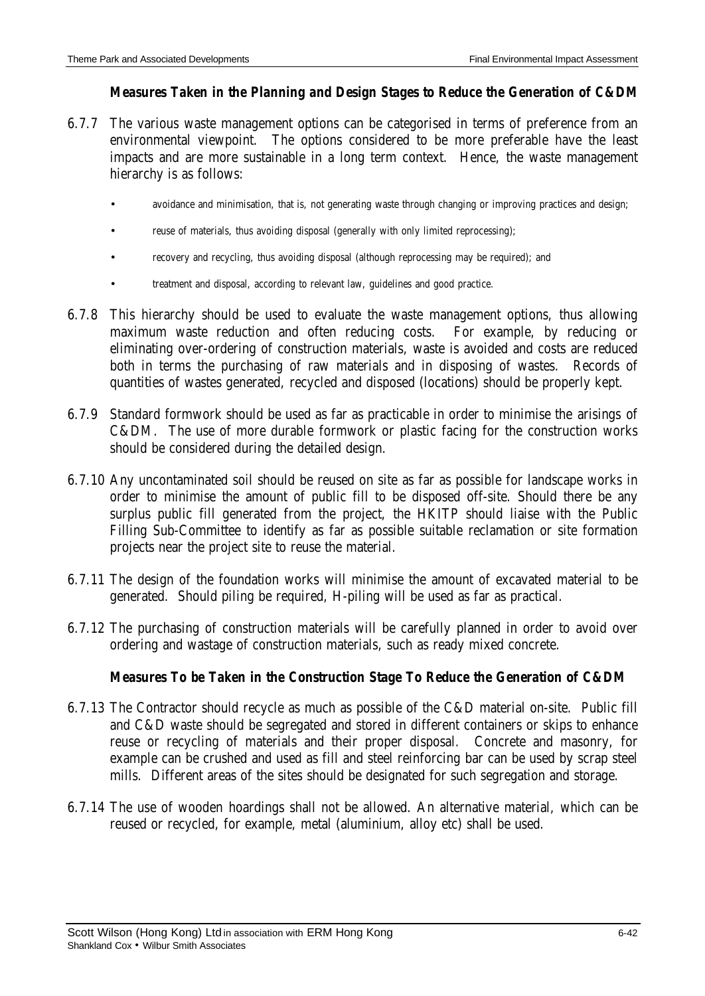# *Measures Taken in the Planning and Design Stages to Reduce the Generation of C&DM*

- 6.7.7 The various waste management options can be categorised in terms of preference from an environmental viewpoint. The options considered to be more preferable have the least impacts and are more sustainable in a long term context. Hence, the waste management hierarchy is as follows:
	- avoidance and minimisation, that is, not generating waste through changing or improving practices and design;
	- reuse of materials, thus avoiding disposal (generally with only limited reprocessing);
	- recovery and recycling, thus avoiding disposal (although reprocessing may be required); and
	- treatment and disposal, according to relevant law, guidelines and good practice.
- 6.7.8 This hierarchy should be used to evaluate the waste management options, thus allowing maximum waste reduction and often reducing costs. For example, by reducing or eliminating over-ordering of construction materials, waste is avoided and costs are reduced both in terms the purchasing of raw materials and in disposing of wastes. Records of quantities of wastes generated, recycled and disposed (locations) should be properly kept.
- 6.7.9 Standard formwork should be used as far as practicable in order to minimise the arisings of C&DM. The use of more durable formwork or plastic facing for the construction works should be considered during the detailed design.
- 6.7.10 Any uncontaminated soil should be reused on site as far as possible for landscape works in order to minimise the amount of public fill to be disposed off-site. Should there be any surplus public fill generated from the project, the HKITP should liaise with the Public Filling Sub-Committee to identify as far as possible suitable reclamation or site formation projects near the project site to reuse the material.
- 6.7.11 The design of the foundation works will minimise the amount of excavated material to be generated. Should piling be required, H-piling will be used as far as practical.
- 6.7.12 The purchasing of construction materials will be carefully planned in order to avoid over ordering and wastage of construction materials, such as ready mixed concrete.

# *Measures To be Taken in the Construction Stage To Reduce the Generation of C&DM*

- 6.7.13 The Contractor should recycle as much as possible of the C&D material on-site. Public fill and C&D waste should be segregated and stored in different containers or skips to enhance reuse or recycling of materials and their proper disposal. Concrete and masonry, for example can be crushed and used as fill and steel reinforcing bar can be used by scrap steel mills. Different areas of the sites should be designated for such segregation and storage.
- 6.7.14 The use of wooden hoardings shall not be allowed. An alternative material, which can be reused or recycled, for example, metal (aluminium, alloy etc) shall be used.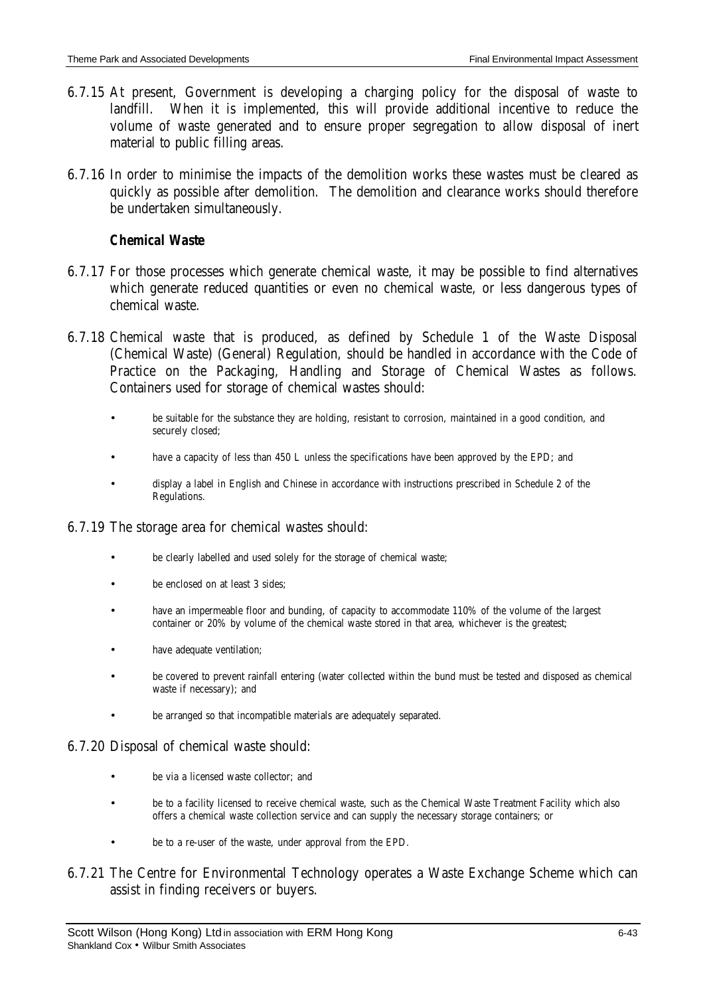- 6.7.15 At present, Government is developing a charging policy for the disposal of waste to landfill. When it is implemented, this will provide additional incentive to reduce the volume of waste generated and to ensure proper segregation to allow disposal of inert material to public filling areas.
- 6.7.16 In order to minimise the impacts of the demolition works these wastes must be cleared as quickly as possible after demolition. The demolition and clearance works should therefore be undertaken simultaneously.

# *Chemical Waste*

- 6.7.17 For those processes which generate chemical waste, it may be possible to find alternatives which generate reduced quantities or even no chemical waste, or less dangerous types of chemical waste.
- 6.7.18 Chemical waste that is produced, as defined by Schedule 1 of the Waste Disposal (Chemical Waste) (General) Regulation, should be handled in accordance with the Code of Practice on the Packaging, Handling and Storage of Chemical Wastes as follows. Containers used for storage of chemical wastes should:
	- be suitable for the substance they are holding, resistant to corrosion, maintained in a good condition, and securely closed;
	- have a capacity of less than 450 L unless the specifications have been approved by the EPD; and
	- display a label in English and Chinese in accordance with instructions prescribed in Schedule 2 of the Regulations.

### 6.7.19 The storage area for chemical wastes should:

- be clearly labelled and used solely for the storage of chemical waste;
- be enclosed on at least 3 sides;
- have an impermeable floor and bunding, of capacity to accommodate 110% of the volume of the largest container or 20% by volume of the chemical waste stored in that area, whichever is the greatest;
- have adequate ventilation;
- be covered to prevent rainfall entering (water collected within the bund must be tested and disposed as chemical waste if necessary); and
- be arranged so that incompatible materials are adequately separated.

### 6.7.20 Disposal of chemical waste should:

- be via a licensed waste collector; and
- be to a facility licensed to receive chemical waste, such as the Chemical Waste Treatment Facility which also offers a chemical waste collection service and can supply the necessary storage containers; or
- be to a re-user of the waste, under approval from the EPD.
- 6.7.21 The Centre for Environmental Technology operates a Waste Exchange Scheme which can assist in finding receivers or buyers.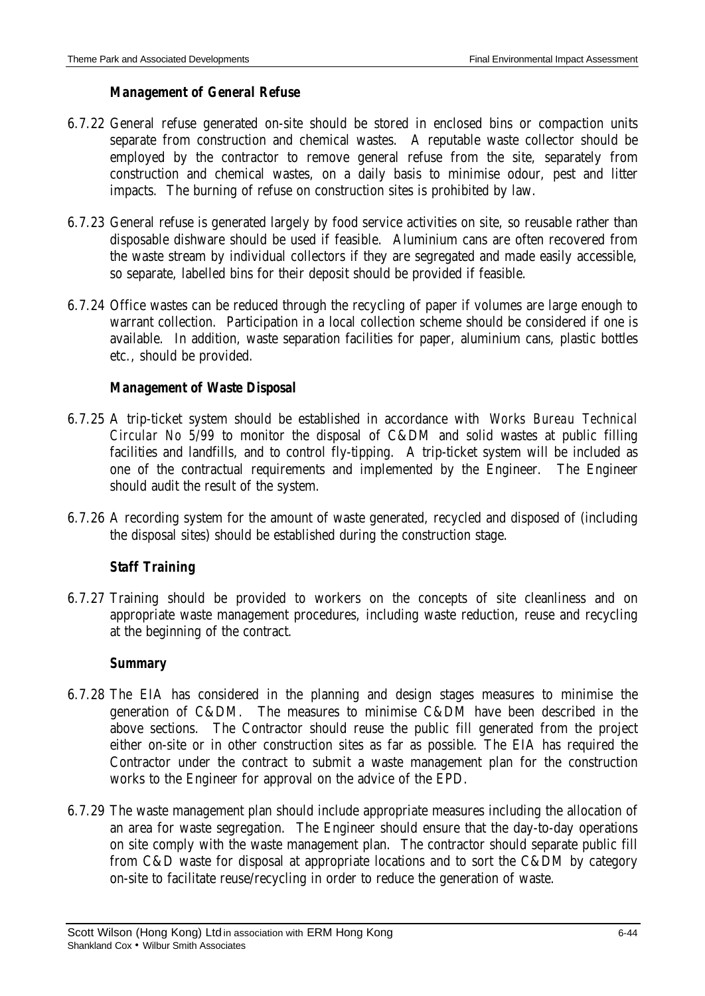# *Management of General Refuse*

- 6.7.22 General refuse generated on-site should be stored in enclosed bins or compaction units separate from construction and chemical wastes. A reputable waste collector should be employed by the contractor to remove general refuse from the site, separately from construction and chemical wastes, on a daily basis to minimise odour, pest and litter impacts. The burning of refuse on construction sites is prohibited by law.
- 6.7.23 General refuse is generated largely by food service activities on site, so reusable rather than disposable dishware should be used if feasible. Aluminium cans are often recovered from the waste stream by individual collectors if they are segregated and made easily accessible, so separate, labelled bins for their deposit should be provided if feasible.
- 6.7.24 Office wastes can be reduced through the recycling of paper if volumes are large enough to warrant collection. Participation in a local collection scheme should be considered if one is available. In addition, waste separation facilities for paper, aluminium cans, plastic bottles etc., should be provided.

# *Management of Waste Disposal*

- 6.7.25 A trip-ticket system should be established in accordance with *Works Bureau Technical Circular No 5/99* to monitor the disposal of C&DM and solid wastes at public filling facilities and landfills, and to control fly-tipping. A trip-ticket system will be included as one of the contractual requirements and implemented by the Engineer. The Engineer should audit the result of the system.
- 6.7.26 A recording system for the amount of waste generated, recycled and disposed of (including the disposal sites) should be established during the construction stage.

# *Staff Training*

6.7.27 Training should be provided to workers on the concepts of site cleanliness and on appropriate waste management procedures, including waste reduction, reuse and recycling at the beginning of the contract.

### *Summary*

- 6.7.28 The EIA has considered in the planning and design stages measures to minimise the generation of C&DM. The measures to minimise C&DM have been described in the above sections. The Contractor should reuse the public fill generated from the project either on-site or in other construction sites as far as possible. The EIA has required the Contractor under the contract to submit a waste management plan for the construction works to the Engineer for approval on the advice of the EPD.
- 6.7.29 The waste management plan should include appropriate measures including the allocation of an area for waste segregation. The Engineer should ensure that the day-to-day operations on site comply with the waste management plan. The contractor should separate public fill from C&D waste for disposal at appropriate locations and to sort the C&DM by category on-site to facilitate reuse/recycling in order to reduce the generation of waste.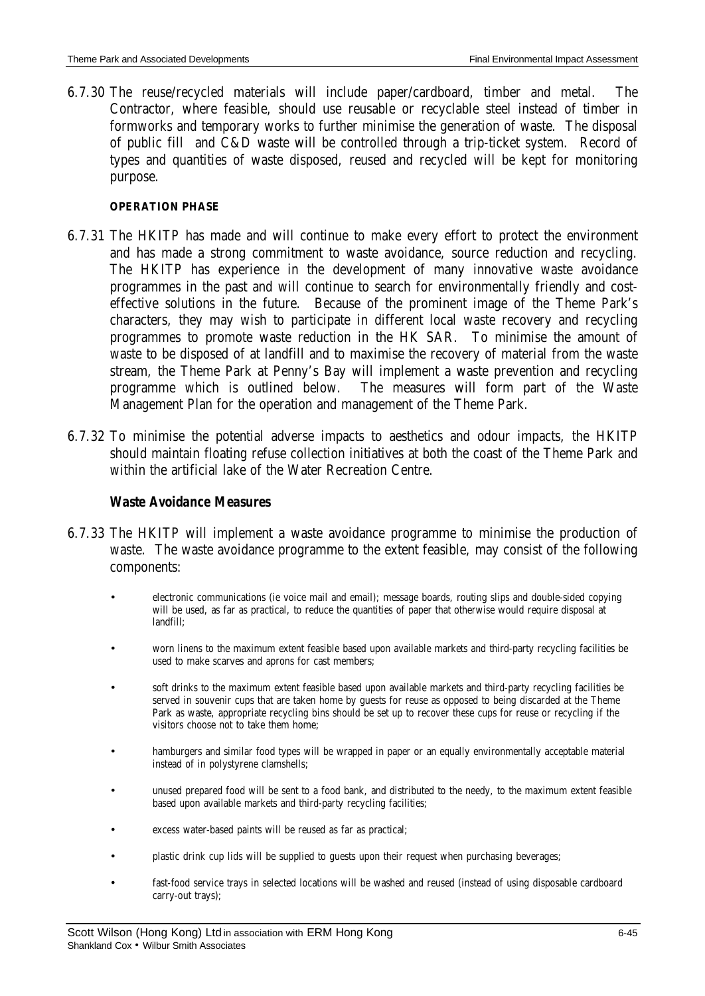6.7.30 The reuse/recycled materials will include paper/cardboard, timber and metal. The Contractor, where feasible, should use reusable or recyclable steel instead of timber in formworks and temporary works to further minimise the generation of waste. The disposal of public fill and C&D waste will be controlled through a trip-ticket system. Record of types and quantities of waste disposed, reused and recycled will be kept for monitoring purpose.

#### **OPERATION PHASE**

- 6.7.31 The HKITP has made and will continue to make every effort to protect the environment and has made a strong commitment to waste avoidance, source reduction and recycling. The HKITP has experience in the development of many innovative waste avoidance programmes in the past and will continue to search for environmentally friendly and costeffective solutions in the future. Because of the prominent image of the Theme Park's characters, they may wish to participate in different local waste recovery and recycling programmes to promote waste reduction in the HK SAR. To minimise the amount of waste to be disposed of at landfill and to maximise the recovery of material from the waste stream, the Theme Park at Penny's Bay will implement a waste prevention and recycling programme which is outlined below. The measures will form part of the Waste Management Plan for the operation and management of the Theme Park.
- 6.7.32 To minimise the potential adverse impacts to aesthetics and odour impacts, the HKITP should maintain floating refuse collection initiatives at both the coast of the Theme Park and within the artificial lake of the Water Recreation Centre.

#### *Waste Avoidance Measures*

- 6.7.33 The HKITP will implement a waste avoidance programme to minimise the production of waste. The waste avoidance programme to the extent feasible, may consist of the following components:
	- electronic communications (ie voice mail and email); message boards, routing slips and double-sided copying will be used, as far as practical, to reduce the quantities of paper that otherwise would require disposal at landfill;
	- worn linens to the maximum extent feasible based upon available markets and third-party recycling facilities be used to make scarves and aprons for cast members;
	- soft drinks to the maximum extent feasible based upon available markets and third-party recycling facilities be served in souvenir cups that are taken home by guests for reuse as opposed to being discarded at the Theme Park as waste, appropriate recycling bins should be set up to recover these cups for reuse or recycling if the visitors choose not to take them home;
	- hamburgers and similar food types will be wrapped in paper or an equally environmentally acceptable material instead of in polystyrene clamshells;
	- unused prepared food will be sent to a food bank, and distributed to the needy, to the maximum extent feasible based upon available markets and third-party recycling facilities;
	- excess water-based paints will be reused as far as practical;
	- plastic drink cup lids will be supplied to guests upon their request when purchasing beverages;
	- fast-food service trays in selected locations will be washed and reused (instead of using disposable cardboard carry-out trays);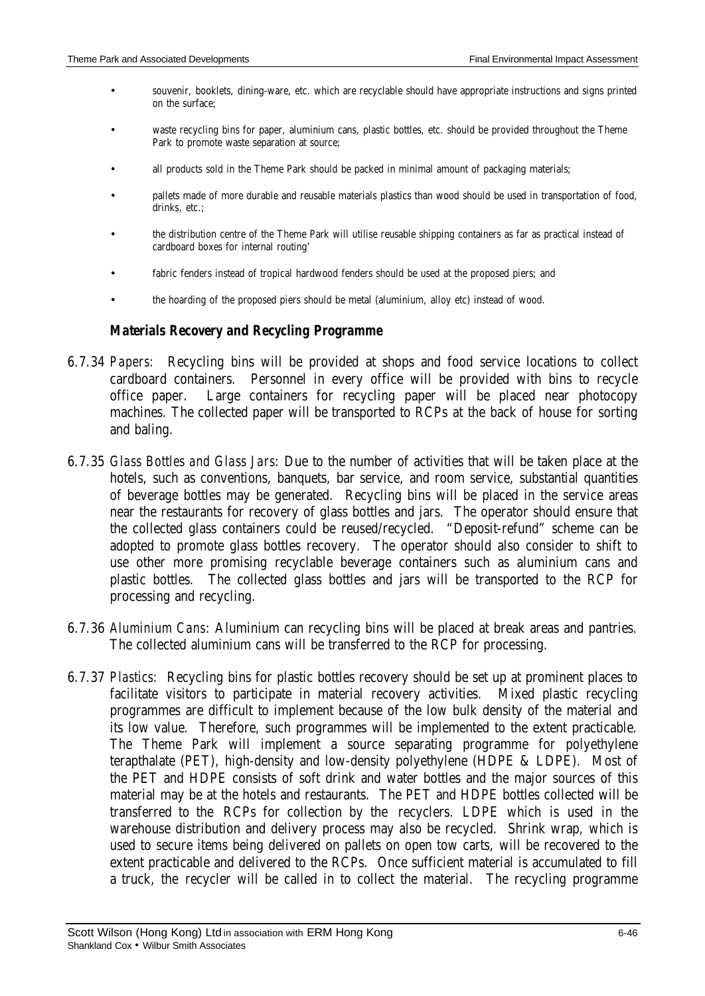- souvenir, booklets, dining-ware, etc. which are recyclable should have appropriate instructions and signs printed on the surface;
- waste recycling bins for paper, aluminium cans, plastic bottles, etc. should be provided throughout the Theme Park to promote waste separation at source;
- all products sold in the Theme Park should be packed in minimal amount of packaging materials;
- pallets made of more durable and reusable materials plastics than wood should be used in transportation of food, drinks, etc.;
- the distribution centre of the Theme Park will utilise reusable shipping containers as far as practical instead of cardboard boxes for internal routing'
- fabric fenders instead of tropical hardwood fenders should be used at the proposed piers; and
- the hoarding of the proposed piers should be metal (aluminium, alloy etc) instead of wood.

### *Materials Recovery and Recycling Programme*

- 6.7.34 *Papers:* Recycling bins will be provided at shops and food service locations to collect cardboard containers. Personnel in every office will be provided with bins to recycle office paper. Large containers for recycling paper will be placed near photocopy machines. The collected paper will be transported to RCPs at the back of house for sorting and baling.
- 6.7.35 *Glass Bottles and Glass Jars*: Due to the number of activities that will be taken place at the hotels, such as conventions, banquets, bar service, and room service, substantial quantities of beverage bottles may be generated. Recycling bins will be placed in the service areas near the restaurants for recovery of glass bottles and jars. The operator should ensure that the collected glass containers could be reused/recycled. "Deposit-refund" scheme can be adopted to promote glass bottles recovery. The operator should also consider to shift to use other more promising recyclable beverage containers such as aluminium cans and plastic bottles. The collected glass bottles and jars will be transported to the RCP for processing and recycling.
- 6.7.36 *Aluminium Cans*: Aluminium can recycling bins will be placed at break areas and pantries. The collected aluminium cans will be transferred to the RCP for processing.
- 6.7.37 *Plastics:* Recycling bins for plastic bottles recovery should be set up at prominent places to facilitate visitors to participate in material recovery activities. Mixed plastic recycling programmes are difficult to implement because of the low bulk density of the material and its low value. Therefore, such programmes will be implemented to the extent practicable. The Theme Park will implement a source separating programme for polyethylene terapthalate (PET), high-density and low-density polyethylene (HDPE & LDPE). Most of the PET and HDPE consists of soft drink and water bottles and the major sources of this material may be at the hotels and restaurants. The PET and HDPE bottles collected will be transferred to the RCPs for collection by the recyclers. LDPE which is used in the warehouse distribution and delivery process may also be recycled. Shrink wrap, which is used to secure items being delivered on pallets on open tow carts, will be recovered to the extent practicable and delivered to the RCPs. Once sufficient material is accumulated to fill a truck, the recycler will be called in to collect the material. The recycling programme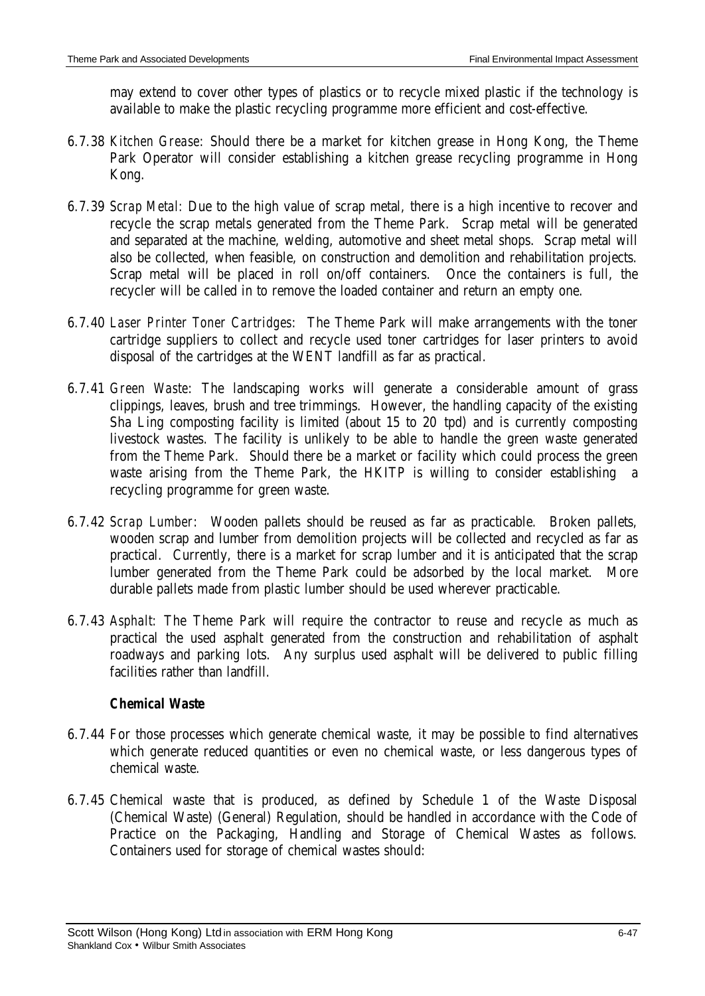may extend to cover other types of plastics or to recycle mixed plastic if the technology is available to make the plastic recycling programme more efficient and cost-effective.

- 6.7.38 *Kitchen Grease*: Should there be a market for kitchen grease in Hong Kong, the Theme Park Operator will consider establishing a kitchen grease recycling programme in Hong Kong.
- 6.7.39 *Scrap Metal:* Due to the high value of scrap metal, there is a high incentive to recover and recycle the scrap metals generated from the Theme Park. Scrap metal will be generated and separated at the machine, welding, automotive and sheet metal shops. Scrap metal will also be collected, when feasible, on construction and demolition and rehabilitation projects. Scrap metal will be placed in roll on/off containers. Once the containers is full, the recycler will be called in to remove the loaded container and return an empty one.
- 6.7.40 *Laser Printer Toner Cartridges*: The Theme Park will make arrangements with the toner cartridge suppliers to collect and recycle used toner cartridges for laser printers to avoid disposal of the cartridges at the WENT landfill as far as practical.
- 6.7.41 *Green Waste*: The landscaping works will generate a considerable amount of grass clippings, leaves, brush and tree trimmings. However, the handling capacity of the existing Sha Ling composting facility is limited (about 15 to 20 tpd) and is currently composting livestock wastes. The facility is unlikely to be able to handle the green waste generated from the Theme Park. Should there be a market or facility which could process the green waste arising from the Theme Park, the HKITP is willing to consider establishing a recycling programme for green waste.
- 6.7.42 *Scrap Lumber*: Wooden pallets should be reused as far as practicable. Broken pallets, wooden scrap and lumber from demolition projects will be collected and recycled as far as practical. Currently, there is a market for scrap lumber and it is anticipated that the scrap lumber generated from the Theme Park could be adsorbed by the local market. More durable pallets made from plastic lumber should be used wherever practicable.
- 6.7.43 *Asphalt:* The Theme Park will require the contractor to reuse and recycle as much as practical the used asphalt generated from the construction and rehabilitation of asphalt roadways and parking lots. Any surplus used asphalt will be delivered to public filling facilities rather than landfill.

# *Chemical Waste*

- 6.7.44 For those processes which generate chemical waste, it may be possible to find alternatives which generate reduced quantities or even no chemical waste, or less dangerous types of chemical waste.
- 6.7.45 Chemical waste that is produced, as defined by Schedule 1 of the Waste Disposal (Chemical Waste) (General) Regulation, should be handled in accordance with the Code of Practice on the Packaging, Handling and Storage of Chemical Wastes as follows. Containers used for storage of chemical wastes should: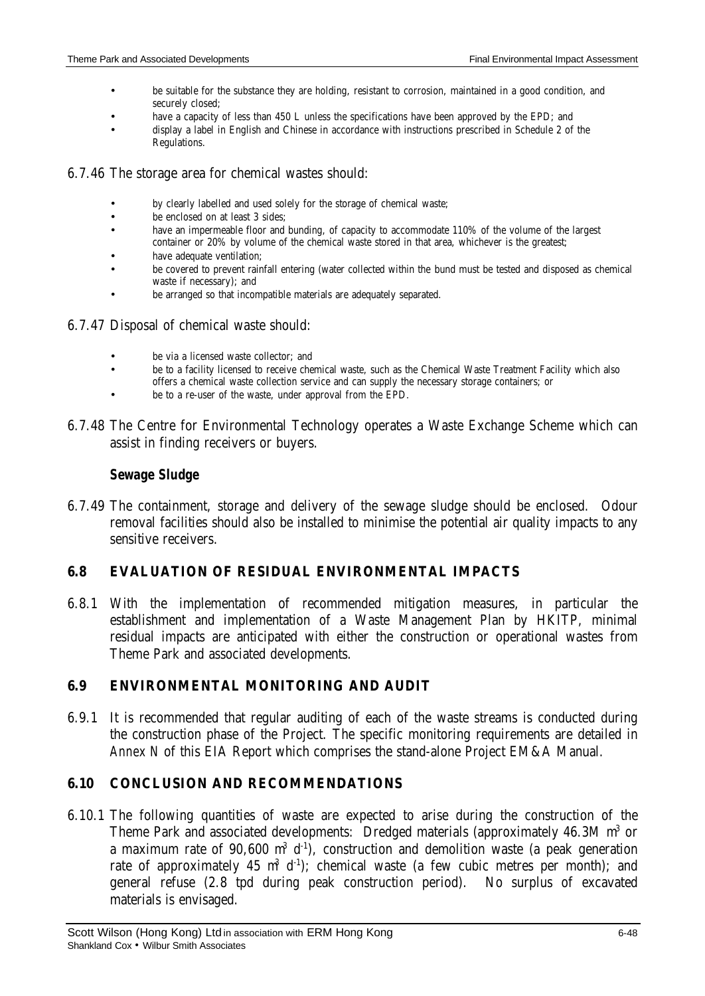- be suitable for the substance they are holding, resistant to corrosion, maintained in a good condition, and securely closed;
- have a capacity of less than 450 L unless the specifications have been approved by the EPD; and
- display a label in English and Chinese in accordance with instructions prescribed in Schedule 2 of the Regulations.
- 6.7.46 The storage area for chemical wastes should:
	- by clearly labelled and used solely for the storage of chemical waste;
	- be enclosed on at least 3 sides:
	- have an impermeable floor and bunding, of capacity to accommodate 110% of the volume of the largest container or 20% by volume of the chemical waste stored in that area, whichever is the greatest;
	- have adequate ventilation:
	- be covered to prevent rainfall entering (water collected within the bund must be tested and disposed as chemical waste if necessary); and
	- be arranged so that incompatible materials are adequately separated.
- 6.7.47 Disposal of chemical waste should:
	- be via a licensed waste collector; and
	- be to a facility licensed to receive chemical waste, such as the Chemical Waste Treatment Facility which also offers a chemical waste collection service and can supply the necessary storage containers; or
	- be to a re-user of the waste, under approval from the EPD.
- 6.7.48 The Centre for Environmental Technology operates a Waste Exchange Scheme which can assist in finding receivers or buyers.

# *Sewage Sludge*

6.7.49 The containment, storage and delivery of the sewage sludge should be enclosed. Odour removal facilities should also be installed to minimise the potential air quality impacts to any sensitive receivers.

# **6.8 EVALUATION OF RESIDUAL ENVIRONMENTAL IMPACTS**

6.8.1 With the implementation of recommended mitigation measures, in particular the establishment and implementation of a Waste Management Plan by HKITP, minimal residual impacts are anticipated with either the construction or operational wastes from Theme Park and associated developments.

# **6.9 ENVIRONMENTAL MONITORING AND AUDIT**

6.9.1 It is recommended that regular auditing of each of the waste streams is conducted during the construction phase of the Project. The specific monitoring requirements are detailed in *Annex N* of this EIA Report which comprises the stand-alone Project EM&A Manual.

# **6.10 CONCLUSION AND RECOMMENDATIONS**

6.10.1 The following quantities of waste are expected to arise during the construction of the Theme Park and associated developments: Dredged materials (approximately 46.3M m<sup>3</sup> or a maximum rate of 90,600  $m^3$  d<sup>-1</sup>), construction and demolition waste (a peak generation rate of approximately 45  $m^3$  d<sup>-1</sup>); chemical waste (a few cubic metres per month); and general refuse (2.8 tpd during peak construction period). No surplus of excavated materials is envisaged.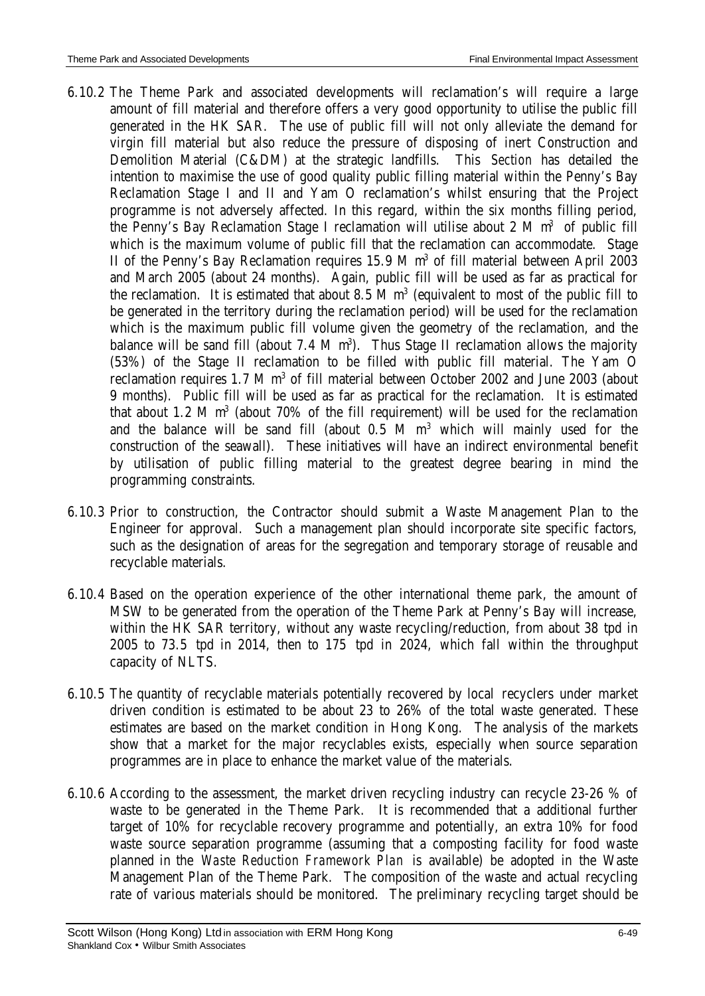- 6.10.2 The Theme Park and associated developments will reclamation's will require a large amount of fill material and therefore offers a very good opportunity to utilise the public fill generated in the HK SAR. The use of public fill will not only alleviate the demand for virgin fill material but also reduce the pressure of disposing of inert Construction and Demolition Material (C&DM) at the strategic landfills. This *Section* has detailed the intention to maximise the use of good quality public filling material within the Penny's Bay Reclamation Stage I and II and Yam O reclamation's whilst ensuring that the Project programme is not adversely affected. In this regard, within the six months filling period, the Penny's Bay Reclamation Stage I reclamation will utilise about 2 M  $m^3$  of public fill which is the maximum volume of public fill that the reclamation can accommodate. Stage II of the Penny's Bay Reclamation requires 15.9 M m<sup>3</sup> of fill material between April 2003 and March 2005 (about 24 months). Again, public fill will be used as far as practical for the reclamation. It is estimated that about 8.5 M  $m<sup>3</sup>$  (equivalent to most of the public fill to be generated in the territory during the reclamation period) will be used for the reclamation which is the maximum public fill volume given the geometry of the reclamation, and the balance will be sand fill (about  $7.4 \text{ M m}^3$ ). Thus Stage II reclamation allows the majority (53%) of the Stage II reclamation to be filled with public fill material. The Yam O reclamation requires 1.7 M m<sup>3</sup> of fill material between October 2002 and June 2003 (about 9 months). Public fill will be used as far as practical for the reclamation. It is estimated that about 1.2 M  $m<sup>3</sup>$  (about 70% of the fill requirement) will be used for the reclamation and the balance will be sand fill (about  $0.5$  M  $m<sup>3</sup>$  which will mainly used for the construction of the seawall). These initiatives will have an indirect environmental benefit by utilisation of public filling material to the greatest degree bearing in mind the programming constraints.
- 6.10.3 Prior to construction, the Contractor should submit a Waste Management Plan to the Engineer for approval. Such a management plan should incorporate site specific factors, such as the designation of areas for the segregation and temporary storage of reusable and recyclable materials.
- 6.10.4 Based on the operation experience of the other international theme park, the amount of MSW to be generated from the operation of the Theme Park at Penny's Bay will increase, within the HK SAR territory, without any waste recycling/reduction, from about 38 tpd in 2005 to 73.5 tpd in 2014, then to 175 tpd in 2024, which fall within the throughput capacity of NLTS.
- 6.10.5 The quantity of recyclable materials potentially recovered by local recyclers under market driven condition is estimated to be about 23 to 26% of the total waste generated. These estimates are based on the market condition in Hong Kong. The analysis of the markets show that a market for the major recyclables exists, especially when source separation programmes are in place to enhance the market value of the materials.
- 6.10.6 According to the assessment, the market driven recycling industry can recycle 23-26 % of waste to be generated in the Theme Park. It is recommended that a additional further target of 10% for recyclable recovery programme and potentially, an extra 10% for food waste source separation programme (assuming that a composting facility for food waste planned in the *Waste Reduction Framework Plan* is available) be adopted in the Waste Management Plan of the Theme Park. The composition of the waste and actual recycling rate of various materials should be monitored. The preliminary recycling target should be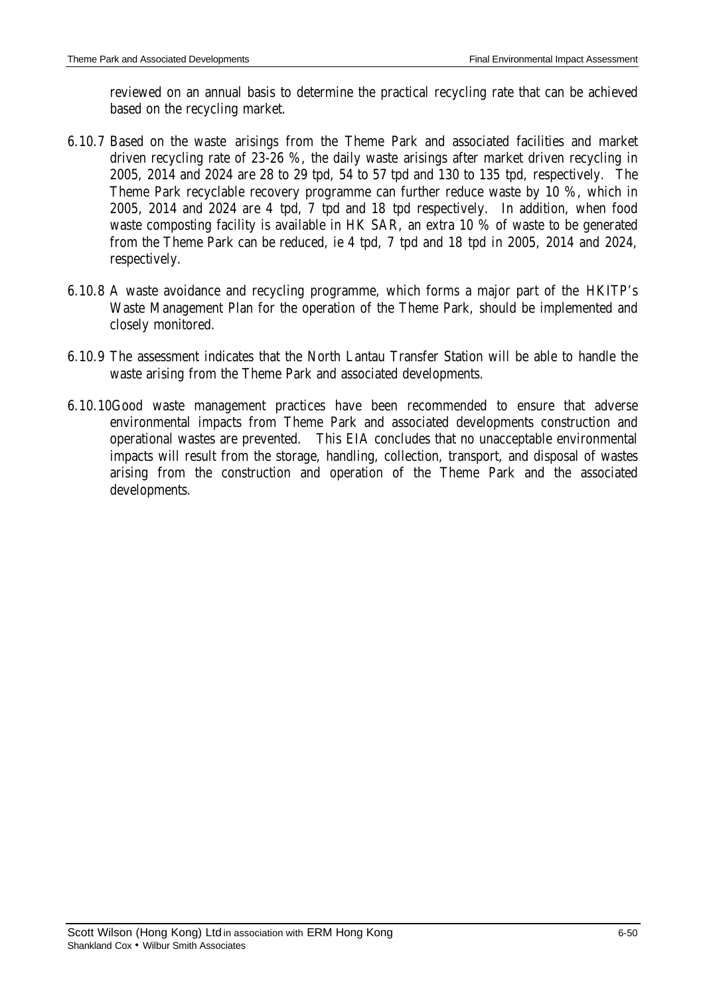reviewed on an annual basis to determine the practical recycling rate that can be achieved based on the recycling market.

- 6.10.7 Based on the waste arisings from the Theme Park and associated facilities and market driven recycling rate of 23-26 %, the daily waste arisings after market driven recycling in 2005, 2014 and 2024 are 28 to 29 tpd, 54 to 57 tpd and 130 to 135 tpd, respectively. The Theme Park recyclable recovery programme can further reduce waste by 10 %, which in 2005, 2014 and 2024 are 4 tpd, 7 tpd and 18 tpd respectively. In addition, when food waste composting facility is available in HK SAR, an extra 10 % of waste to be generated from the Theme Park can be reduced, ie 4 tpd, 7 tpd and 18 tpd in 2005, 2014 and 2024, respectively.
- 6.10.8 A waste avoidance and recycling programme, which forms a major part of the HKITP's Waste Management Plan for the operation of the Theme Park, should be implemented and closely monitored.
- 6.10.9 The assessment indicates that the North Lantau Transfer Station will be able to handle the waste arising from the Theme Park and associated developments.
- 6.10.10 Good waste management practices have been recommended to ensure that adverse environmental impacts from Theme Park and associated developments construction and operational wastes are prevented. This EIA concludes that no unacceptable environmental impacts will result from the storage, handling, collection, transport, and disposal of wastes arising from the construction and operation of the Theme Park and the associated developments.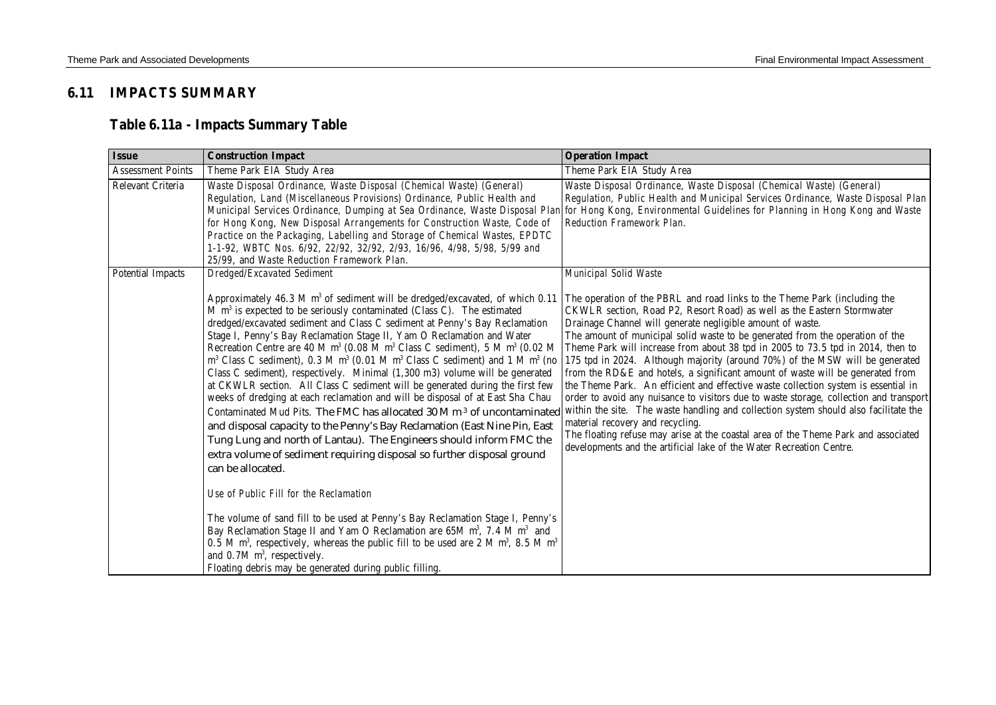# **6.11 IMPACTS SUMMARY**

# **Table 6.11a - Impacts Summary Table**

| <b>Issue</b>             | <b>Construction Impact</b>                                                                                                                                                                                                                                                                                                                                                                                                                                                                                                                                                                                                                                                                                                                                                                                                                                                                                                                                                                                                                                                                                                                                                                                                                                                                                                                                                                                                                                                                                                                                                                                                                | <b>Operation Impact</b>                                                                                                                                                                                                                                                                                                                                                                                                                                                                                                                                                                                                                                                                                                                                                                                                                                                                                                                                                                                                                                    |
|--------------------------|-------------------------------------------------------------------------------------------------------------------------------------------------------------------------------------------------------------------------------------------------------------------------------------------------------------------------------------------------------------------------------------------------------------------------------------------------------------------------------------------------------------------------------------------------------------------------------------------------------------------------------------------------------------------------------------------------------------------------------------------------------------------------------------------------------------------------------------------------------------------------------------------------------------------------------------------------------------------------------------------------------------------------------------------------------------------------------------------------------------------------------------------------------------------------------------------------------------------------------------------------------------------------------------------------------------------------------------------------------------------------------------------------------------------------------------------------------------------------------------------------------------------------------------------------------------------------------------------------------------------------------------------|------------------------------------------------------------------------------------------------------------------------------------------------------------------------------------------------------------------------------------------------------------------------------------------------------------------------------------------------------------------------------------------------------------------------------------------------------------------------------------------------------------------------------------------------------------------------------------------------------------------------------------------------------------------------------------------------------------------------------------------------------------------------------------------------------------------------------------------------------------------------------------------------------------------------------------------------------------------------------------------------------------------------------------------------------------|
| <b>Assessment Points</b> | Theme Park EIA Study Area                                                                                                                                                                                                                                                                                                                                                                                                                                                                                                                                                                                                                                                                                                                                                                                                                                                                                                                                                                                                                                                                                                                                                                                                                                                                                                                                                                                                                                                                                                                                                                                                                 | Theme Park EIA Study Area                                                                                                                                                                                                                                                                                                                                                                                                                                                                                                                                                                                                                                                                                                                                                                                                                                                                                                                                                                                                                                  |
| Relevant Criteria        | Waste Disposal Ordinance, Waste Disposal (Chemical Waste) (General)<br>Regulation, Land (Miscellaneous Provisions) Ordinance, Public Health and<br>Municipal Services Ordinance, Dumping at Sea Ordinance, Waste Disposal Plan<br>for Hong Kong, New Disposal Arrangements for Construction Waste, Code of<br>Practice on the Packaging, Labelling and Storage of Chemical Wastes, EPDTC<br>1-1-92, WBTC Nos. 6/92, 22/92, 32/92, 2/93, 16/96, 4/98, 5/98, 5/99 and<br>25/99, and Waste Reduction Framework Plan.                                                                                                                                                                                                                                                                                                                                                                                                                                                                                                                                                                                                                                                                                                                                                                                                                                                                                                                                                                                                                                                                                                                         | Waste Disposal Ordinance, Waste Disposal (Chemical Waste) (General)<br>Regulation, Public Health and Municipal Services Ordinance, Waste Disposal Plan<br>for Hong Kong, Environmental Guidelines for Planning in Hong Kong and Waste<br><b>Reduction Framework Plan.</b>                                                                                                                                                                                                                                                                                                                                                                                                                                                                                                                                                                                                                                                                                                                                                                                  |
| <b>Potential Impacts</b> | Dredged/Excavated Sediment<br>Approximately 46.3 M m <sup>3</sup> of sediment will be dredged/excavated, of which 0.11<br>M m <sup>3</sup> is expected to be seriously contaminated (Class C). The estimated<br>dredged/excavated sediment and Class C sediment at Penny's Bay Reclamation<br>Stage I, Penny's Bay Reclamation Stage II, Yam O Reclamation and Water<br>Recreation Centre are 40 M m <sup>3</sup> (0.08 M m <sup>3</sup> Class C sediment), 5 M m <sup>3</sup> (0.02 M<br>$m3$ Class C sediment), 0.3 M $m3$ (0.01 M $m3$ Class C sediment) and 1 M $m3$ (no<br>Class C sediment), respectively. Minimal (1,300 m3) volume will be generated<br>at CKWLR section. All Class C sediment will be generated during the first few<br>weeks of dredging at each reclamation and will be disposal of at East Sha Chau<br>Contaminated Mud Pits. The FMC has allocated 30 M m <sup>3</sup> of uncontaminated<br>and disposal capacity to the Penny's Bay Reclamation (East Nine Pin, East<br>Tung Lung and north of Lantau). The Engineers should inform FMC the<br>extra volume of sediment requiring disposal so further disposal ground<br>can be allocated.<br>Use of Public Fill for the Reclamation<br>The volume of sand fill to be used at Penny's Bay Reclamation Stage I, Penny's<br>Bay Reclamation Stage II and Yam O Reclamation are 65M m <sup>3</sup> , 7.4 M m <sup>3</sup> and<br>0.5 M m <sup>3</sup> , respectively, whereas the public fill to be used are 2 M m <sup>3</sup> , 8.5 M m <sup>3</sup><br>and $0.7M$ m <sup>3</sup> , respectively.<br>Floating debris may be generated during public filling. | Municipal Solid Waste<br>The operation of the PBRL and road links to the Theme Park (including the<br>CKWLR section, Road P2, Resort Road) as well as the Eastern Stormwater<br>Drainage Channel will generate negligible amount of waste.<br>The amount of municipal solid waste to be generated from the operation of the<br>Theme Park will increase from about 38 tpd in 2005 to 73.5 tpd in 2014, then to<br>175 tpd in 2024. Although majority (around 70%) of the MSW will be generated<br>from the RD&E and hotels, a significant amount of waste will be generated from<br>the Theme Park. An efficient and effective waste collection system is essential in<br>order to avoid any nuisance to visitors due to waste storage, collection and transport<br>within the site. The waste handling and collection system should also facilitate the<br>material recovery and recycling.<br>The floating refuse may arise at the coastal area of the Theme Park and associated<br>developments and the artificial lake of the Water Recreation Centre. |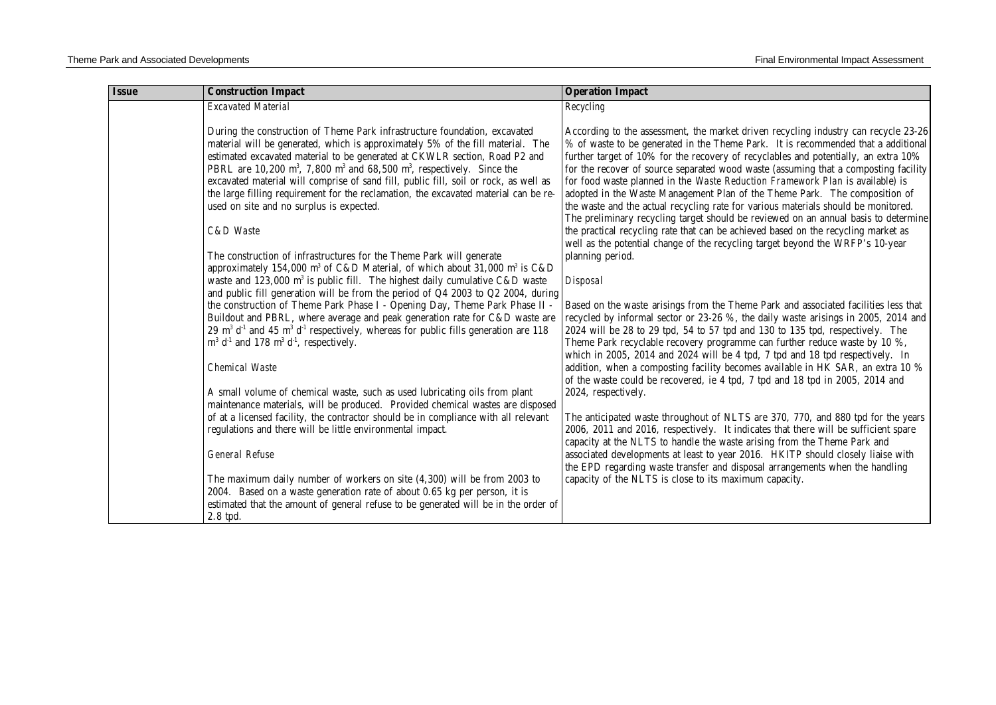| <b>Issue</b> | <b>Construction Impact</b>                                                                                                        | <b>Operation Impact</b>                                                                                                                                                   |
|--------------|-----------------------------------------------------------------------------------------------------------------------------------|---------------------------------------------------------------------------------------------------------------------------------------------------------------------------|
|              | <b>Excavated Material</b>                                                                                                         | Recycling                                                                                                                                                                 |
|              |                                                                                                                                   |                                                                                                                                                                           |
|              | During the construction of Theme Park infrastructure foundation, excavated                                                        | According to the assessment, the market driven recycling industry can recycle 23-26                                                                                       |
|              | material will be generated, which is approximately 5% of the fill material. The                                                   | % of waste to be generated in the Theme Park. It is recommended that a additional                                                                                         |
|              | estimated excavated material to be generated at CKWLR section, Road P2 and                                                        | further target of 10% for the recovery of recyclables and potentially, an extra 10%                                                                                       |
|              | PBRL are 10,200 m <sup>3</sup> , 7,800 m <sup>3</sup> and 68,500 m <sup>3</sup> , respectively. Since the                         | for the recover of source separated wood waste (assuming that a composting facility                                                                                       |
|              | excavated material will comprise of sand fill, public fill, soil or rock, as well as                                              | for food waste planned in the Waste Reduction Framework Plan is available) is                                                                                             |
|              | the large filling requirement for the reclamation, the excavated material can be re-                                              | adopted in the Waste Management Plan of the Theme Park. The composition of                                                                                                |
|              | used on site and no surplus is expected.                                                                                          | the waste and the actual recycling rate for various materials should be monitored.                                                                                        |
|              | C&D Waste                                                                                                                         | The preliminary recycling target should be reviewed on an annual basis to determine<br>the practical recycling rate that can be achieved based on the recycling market as |
|              |                                                                                                                                   | well as the potential change of the recycling target beyond the WRFP's 10-year                                                                                            |
|              | The construction of infrastructures for the Theme Park will generate                                                              | planning period.                                                                                                                                                          |
|              | approximately 154,000 m <sup>3</sup> of C&D Material, of which about 31,000 m <sup>3</sup> is C&D                                 |                                                                                                                                                                           |
|              | waste and 123,000 $m^3$ is public fill. The highest daily cumulative C&D waste                                                    | <b>Disposal</b>                                                                                                                                                           |
|              | and public fill generation will be from the period of Q4 2003 to Q2 2004, during                                                  |                                                                                                                                                                           |
|              | the construction of Theme Park Phase I - Opening Day, Theme Park Phase II -                                                       | Based on the waste arisings from the Theme Park and associated facilities less that                                                                                       |
|              | Buildout and PBRL, where average and peak generation rate for C&D waste are                                                       | recycled by informal sector or 23-26 %, the daily waste arisings in 2005, 2014 and                                                                                        |
|              | 29 m <sup>3</sup> d <sup>-1</sup> and 45 m <sup>3</sup> d <sup>-1</sup> respectively, whereas for public fills generation are 118 | 2024 will be 28 to 29 tpd, 54 to 57 tpd and 130 to 135 tpd, respectively. The                                                                                             |
|              | $m^3$ d <sup>-1</sup> and 178 m <sup>3</sup> d <sup>-1</sup> , respectively.                                                      | Theme Park recyclable recovery programme can further reduce waste by 10 %,                                                                                                |
|              |                                                                                                                                   | which in 2005, 2014 and 2024 will be 4 tpd, 7 tpd and 18 tpd respectively. In                                                                                             |
|              | <b>Chemical Waste</b>                                                                                                             | addition, when a composting facility becomes available in HK SAR, an extra 10 %                                                                                           |
|              |                                                                                                                                   | of the waste could be recovered, ie 4 tpd, 7 tpd and 18 tpd in 2005, 2014 and                                                                                             |
|              | A small volume of chemical waste, such as used lubricating oils from plant                                                        | 2024, respectively.                                                                                                                                                       |
|              | maintenance materials, will be produced. Provided chemical wastes are disposed                                                    |                                                                                                                                                                           |
|              | of at a licensed facility, the contractor should be in compliance with all relevant                                               | The anticipated waste throughout of NLTS are 370, 770, and 880 tpd for the years                                                                                          |
|              | regulations and there will be little environmental impact.                                                                        | 2006, 2011 and 2016, respectively. It indicates that there will be sufficient spare                                                                                       |
|              |                                                                                                                                   | capacity at the NLTS to handle the waste arising from the Theme Park and                                                                                                  |
|              | <b>General Refuse</b>                                                                                                             | associated developments at least to year 2016. HKITP should closely liaise with                                                                                           |
|              |                                                                                                                                   | the EPD regarding waste transfer and disposal arrangements when the handling                                                                                              |
|              | The maximum daily number of workers on site (4,300) will be from 2003 to                                                          | capacity of the NLTS is close to its maximum capacity.                                                                                                                    |
|              | 2004. Based on a waste generation rate of about 0.65 kg per person, it is                                                         |                                                                                                                                                                           |
|              | estimated that the amount of general refuse to be generated will be in the order of<br>2.8 tpd.                                   |                                                                                                                                                                           |
|              |                                                                                                                                   |                                                                                                                                                                           |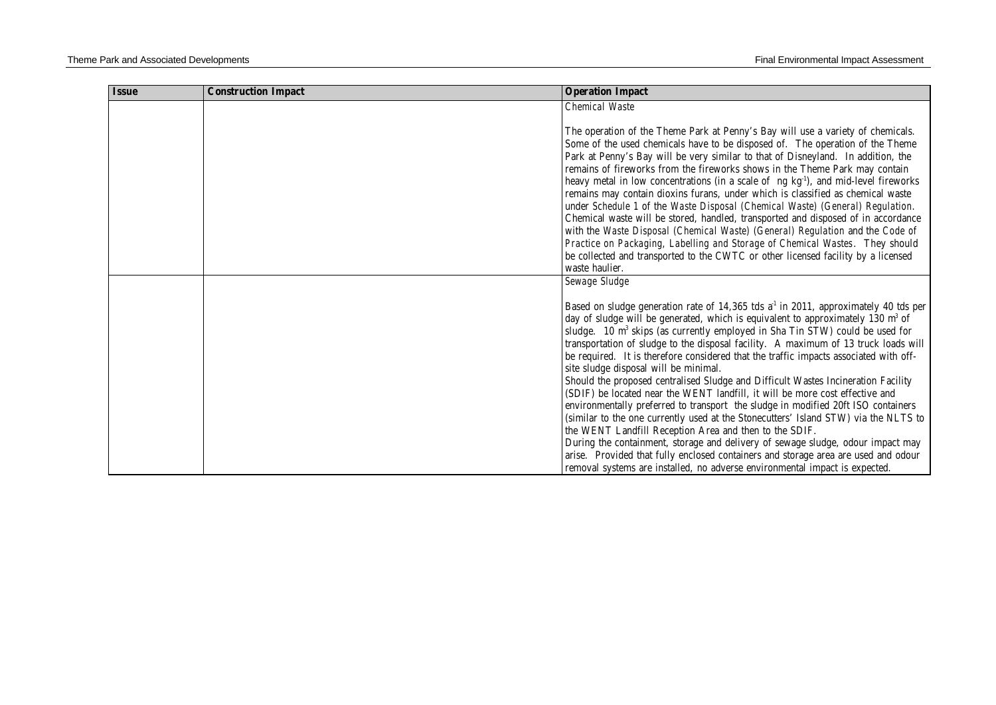| <b>Issue</b> | <b>Construction Impact</b> | <b>Operation Impact</b>                                                                                                                                         |
|--------------|----------------------------|-----------------------------------------------------------------------------------------------------------------------------------------------------------------|
|              |                            | <b>Chemical Waste</b>                                                                                                                                           |
|              |                            |                                                                                                                                                                 |
|              |                            | The operation of the Theme Park at Penny's Bay will use a variety of chemicals.                                                                                 |
|              |                            | Some of the used chemicals have to be disposed of. The operation of the Theme                                                                                   |
|              |                            | Park at Penny's Bay will be very similar to that of Disneyland. In addition, the<br>remains of fireworks from the fireworks shows in the Theme Park may contain |
|              |                            | heavy metal in low concentrations (in a scale of ng kg <sup>1</sup> ), and mid-level fireworks                                                                  |
|              |                            | remains may contain dioxins furans, under which is classified as chemical waste                                                                                 |
|              |                            | under Schedule 1 of the Waste Disposal (Chemical Waste) (General) Regulation.                                                                                   |
|              |                            | Chemical waste will be stored, handled, transported and disposed of in accordance                                                                               |
|              |                            | with the Waste Disposal (Chemical Waste) (General) Regulation and the Code of                                                                                   |
|              |                            | Practice on Packaging, Labelling and Storage of Chemical Wastes. They should                                                                                    |
|              |                            | be collected and transported to the CWTC or other licensed facility by a licensed                                                                               |
|              |                            | waste haulier.                                                                                                                                                  |
|              |                            | Sewage Sludge                                                                                                                                                   |
|              |                            | Based on sludge generation rate of 14,365 tds a <sup>1</sup> in 2011, approximately 40 tds per                                                                  |
|              |                            | day of sludge will be generated, which is equivalent to approximately 130 m <sup>3</sup> of                                                                     |
|              |                            | sludge. 10 m <sup>3</sup> skips (as currently employed in Sha Tin STW) could be used for                                                                        |
|              |                            | transportation of sludge to the disposal facility. A maximum of 13 truck loads will                                                                             |
|              |                            | be required. It is therefore considered that the traffic impacts associated with off-                                                                           |
|              |                            | site sludge disposal will be minimal.                                                                                                                           |
|              |                            | Should the proposed centralised Sludge and Difficult Wastes Incineration Facility                                                                               |
|              |                            | (SDIF) be located near the WENT landfill, it will be more cost effective and                                                                                    |
|              |                            | environmentally preferred to transport the sludge in modified 20ft ISO containers                                                                               |
|              |                            | (similar to the one currently used at the Stonecutters' Island STW) via the NLTS to                                                                             |
|              |                            | the WENT Landfill Reception Area and then to the SDIF.<br>During the containment, storage and delivery of sewage sludge, odour impact may                       |
|              |                            | arise. Provided that fully enclosed containers and storage area are used and odour                                                                              |
|              |                            | removal systems are installed, no adverse environmental impact is expected.                                                                                     |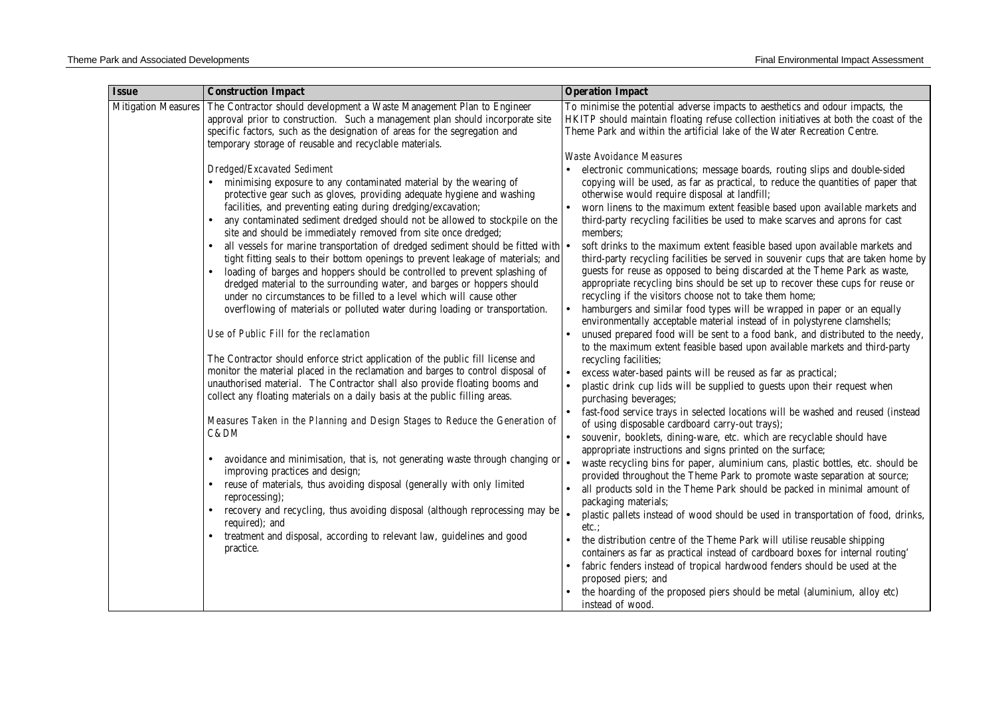| <b>Issue</b>               | <b>Construction Impact</b>                                                                                                                                                                                                                                                                                                                                                                                                                                                                                                                                                                                                                                                                                                                                                                                                                                                                                                                                                                                                                                                                                                                                                                                                                                                                                                                                                                                                                                                                                                                                                                                                                                                                                                                                                                                                                       | <b>Operation Impact</b>                                                                                                                                                                                                                                                                                                                                                                                                                                                                                                                                                                                                                                                                                                                                                                                                                                                                                                                                                                                                                                                                                                                                                                                                                                                                                                                                                                                                                                                                                                                                                                                                                                                                                                                                                                                                                                                                                                                                                                                                                                                                                                                                                                                             |
|----------------------------|--------------------------------------------------------------------------------------------------------------------------------------------------------------------------------------------------------------------------------------------------------------------------------------------------------------------------------------------------------------------------------------------------------------------------------------------------------------------------------------------------------------------------------------------------------------------------------------------------------------------------------------------------------------------------------------------------------------------------------------------------------------------------------------------------------------------------------------------------------------------------------------------------------------------------------------------------------------------------------------------------------------------------------------------------------------------------------------------------------------------------------------------------------------------------------------------------------------------------------------------------------------------------------------------------------------------------------------------------------------------------------------------------------------------------------------------------------------------------------------------------------------------------------------------------------------------------------------------------------------------------------------------------------------------------------------------------------------------------------------------------------------------------------------------------------------------------------------------------|---------------------------------------------------------------------------------------------------------------------------------------------------------------------------------------------------------------------------------------------------------------------------------------------------------------------------------------------------------------------------------------------------------------------------------------------------------------------------------------------------------------------------------------------------------------------------------------------------------------------------------------------------------------------------------------------------------------------------------------------------------------------------------------------------------------------------------------------------------------------------------------------------------------------------------------------------------------------------------------------------------------------------------------------------------------------------------------------------------------------------------------------------------------------------------------------------------------------------------------------------------------------------------------------------------------------------------------------------------------------------------------------------------------------------------------------------------------------------------------------------------------------------------------------------------------------------------------------------------------------------------------------------------------------------------------------------------------------------------------------------------------------------------------------------------------------------------------------------------------------------------------------------------------------------------------------------------------------------------------------------------------------------------------------------------------------------------------------------------------------------------------------------------------------------------------------------------------------|
| <b>Mitigation Measures</b> | The Contractor should development a Waste Management Plan to Engineer<br>approval prior to construction. Such a management plan should incorporate site<br>specific factors, such as the designation of areas for the segregation and<br>temporary storage of reusable and recyclable materials.                                                                                                                                                                                                                                                                                                                                                                                                                                                                                                                                                                                                                                                                                                                                                                                                                                                                                                                                                                                                                                                                                                                                                                                                                                                                                                                                                                                                                                                                                                                                                 | To minimise the potential adverse impacts to aesthetics and odour impacts, the<br>HKITP should maintain floating refuse collection initiatives at both the coast of the<br>Theme Park and within the artificial lake of the Water Recreation Centre.                                                                                                                                                                                                                                                                                                                                                                                                                                                                                                                                                                                                                                                                                                                                                                                                                                                                                                                                                                                                                                                                                                                                                                                                                                                                                                                                                                                                                                                                                                                                                                                                                                                                                                                                                                                                                                                                                                                                                                |
|                            |                                                                                                                                                                                                                                                                                                                                                                                                                                                                                                                                                                                                                                                                                                                                                                                                                                                                                                                                                                                                                                                                                                                                                                                                                                                                                                                                                                                                                                                                                                                                                                                                                                                                                                                                                                                                                                                  | <b>Waste Avoidance Measures</b>                                                                                                                                                                                                                                                                                                                                                                                                                                                                                                                                                                                                                                                                                                                                                                                                                                                                                                                                                                                                                                                                                                                                                                                                                                                                                                                                                                                                                                                                                                                                                                                                                                                                                                                                                                                                                                                                                                                                                                                                                                                                                                                                                                                     |
|                            | Dredged/Excavated Sediment<br>minimising exposure to any contaminated material by the wearing of<br>protective gear such as gloves, providing adequate hygiene and washing<br>facilities, and preventing eating during dredging/excavation;<br>any contaminated sediment dredged should not be allowed to stockpile on the<br>$\bullet$<br>site and should be immediately removed from site once dredged;<br>all vessels for marine transportation of dredged sediment should be fitted with $\bullet$<br>$\bullet$<br>tight fitting seals to their bottom openings to prevent leakage of materials; and<br>loading of barges and hoppers should be controlled to prevent splashing of<br>dredged material to the surrounding water, and barges or hoppers should<br>under no circumstances to be filled to a level which will cause other<br>overflowing of materials or polluted water during loading or transportation.<br>Use of Public Fill for the reclamation<br>The Contractor should enforce strict application of the public fill license and<br>monitor the material placed in the reclamation and barges to control disposal of<br>unauthorised material. The Contractor shall also provide floating booms and<br>collect any floating materials on a daily basis at the public filling areas.<br>Measures Taken in the Planning and Design Stages to Reduce the Generation of<br>C&DM<br>avoidance and minimisation, that is, not generating waste through changing or $\bullet$<br>improving practices and design;<br>reuse of materials, thus avoiding disposal (generally with only limited<br>$\bullet$<br>reprocessing);<br>recovery and recycling, thus avoiding disposal (although reprocessing may be<br>$\bullet$<br>required); and<br>treatment and disposal, according to relevant law, guidelines and good<br>practice. | electronic communications; message boards, routing slips and double-sided<br>copying will be used, as far as practical, to reduce the quantities of paper that<br>otherwise would require disposal at landfill;<br>worn linens to the maximum extent feasible based upon available markets and<br>third-party recycling facilities be used to make scarves and aprons for cast<br>members;<br>soft drinks to the maximum extent feasible based upon available markets and<br>third-party recycling facilities be served in souvenir cups that are taken home by<br>guests for reuse as opposed to being discarded at the Theme Park as waste,<br>appropriate recycling bins should be set up to recover these cups for reuse or<br>recycling if the visitors choose not to take them home;<br>hamburgers and similar food types will be wrapped in paper or an equally<br>environmentally acceptable material instead of in polystyrene clamshells;<br>unused prepared food will be sent to a food bank, and distributed to the needy,<br>to the maximum extent feasible based upon available markets and third-party<br>recycling facilities;<br>excess water-based paints will be reused as far as practical;<br>plastic drink cup lids will be supplied to guests upon their request when<br>purchasing beverages;<br>fast-food service trays in selected locations will be washed and reused (instead<br>of using disposable cardboard carry-out trays);<br>souvenir, booklets, dining-ware, etc. which are recyclable should have<br>appropriate instructions and signs printed on the surface;<br>waste recycling bins for paper, aluminium cans, plastic bottles, etc. should be<br>provided throughout the Theme Park to promote waste separation at source;<br>all products sold in the Theme Park should be packed in minimal amount of<br>packaging materials;<br>plastic pallets instead of wood should be used in transportation of food, drinks,<br>etc.:<br>the distribution centre of the Theme Park will utilise reusable shipping<br>containers as far as practical instead of cardboard boxes for internal routing'<br>fabric fenders instead of tropical hardwood fenders should be used at the |
|                            |                                                                                                                                                                                                                                                                                                                                                                                                                                                                                                                                                                                                                                                                                                                                                                                                                                                                                                                                                                                                                                                                                                                                                                                                                                                                                                                                                                                                                                                                                                                                                                                                                                                                                                                                                                                                                                                  | proposed piers; and<br>the hoarding of the proposed piers should be metal (aluminium, alloy etc)                                                                                                                                                                                                                                                                                                                                                                                                                                                                                                                                                                                                                                                                                                                                                                                                                                                                                                                                                                                                                                                                                                                                                                                                                                                                                                                                                                                                                                                                                                                                                                                                                                                                                                                                                                                                                                                                                                                                                                                                                                                                                                                    |
|                            |                                                                                                                                                                                                                                                                                                                                                                                                                                                                                                                                                                                                                                                                                                                                                                                                                                                                                                                                                                                                                                                                                                                                                                                                                                                                                                                                                                                                                                                                                                                                                                                                                                                                                                                                                                                                                                                  | instead of wood.                                                                                                                                                                                                                                                                                                                                                                                                                                                                                                                                                                                                                                                                                                                                                                                                                                                                                                                                                                                                                                                                                                                                                                                                                                                                                                                                                                                                                                                                                                                                                                                                                                                                                                                                                                                                                                                                                                                                                                                                                                                                                                                                                                                                    |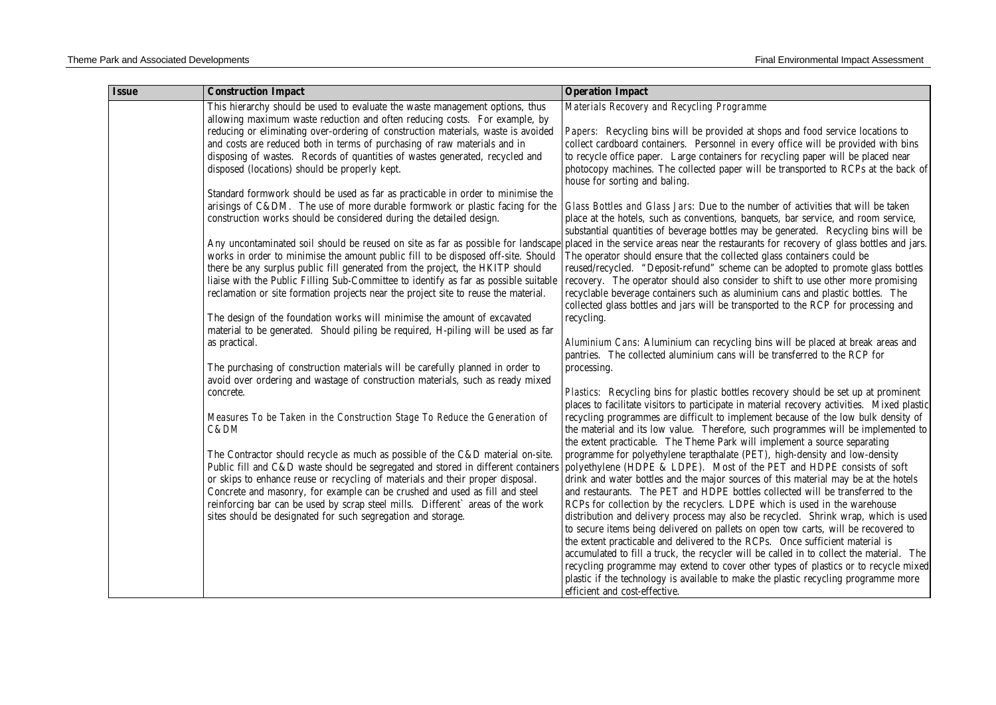| Materials Recovery and Recycling Programme<br>This hierarchy should be used to evaluate the waste management options, thus                                                                                                                                                                                                             |  |
|----------------------------------------------------------------------------------------------------------------------------------------------------------------------------------------------------------------------------------------------------------------------------------------------------------------------------------------|--|
| allowing maximum waste reduction and often reducing costs. For example, by                                                                                                                                                                                                                                                             |  |
| reducing or eliminating over-ordering of construction materials, waste is avoided<br>Papers: Recycling bins will be provided at shops and food service locations to<br>and costs are reduced both in terms of purchasing of raw materials and in<br>collect cardboard containers. Personnel in every office will be provided with bins |  |
| disposing of wastes. Records of quantities of wastes generated, recycled and<br>to recycle office paper. Large containers for recycling paper will be placed near                                                                                                                                                                      |  |
| photocopy machines. The collected paper will be transported to RCPs at the back of<br>disposed (locations) should be properly kept.<br>house for sorting and baling.                                                                                                                                                                   |  |
| Standard formwork should be used as far as practicable in order to minimise the                                                                                                                                                                                                                                                        |  |
| arisings of C&DM. The use of more durable formwork or plastic facing for the<br>Glass Bottles and Glass Jars: Due to the number of activities that will be taken                                                                                                                                                                       |  |
| construction works should be considered during the detailed design.<br>place at the hotels, such as conventions, banquets, bar service, and room service,<br>substantial quantities of beverage bottles may be generated. Recycling bins will be                                                                                       |  |
| placed in the service areas near the restaurants for recovery of glass bottles and jars.<br>Any uncontaminated soil should be reused on site as far as possible for landscape                                                                                                                                                          |  |
| works in order to minimise the amount public fill to be disposed off-site. Should<br>The operator should ensure that the collected glass containers could be                                                                                                                                                                           |  |
| there be any surplus public fill generated from the project, the HKITP should<br>reused/recycled. "Deposit-refund" scheme can be adopted to promote glass bottles                                                                                                                                                                      |  |
| liaise with the Public Filling Sub-Committee to identify as far as possible suitable<br>recovery. The operator should also consider to shift to use other more promising                                                                                                                                                               |  |
| reclamation or site formation projects near the project site to reuse the material.<br>recyclable beverage containers such as aluminium cans and plastic bottles. The<br>collected glass bottles and jars will be transported to the RCP for processing and                                                                            |  |
| The design of the foundation works will minimise the amount of excavated<br>recycling.                                                                                                                                                                                                                                                 |  |
| material to be generated. Should piling be required, H-piling will be used as far                                                                                                                                                                                                                                                      |  |
| Aluminium Cans: Aluminium can recycling bins will be placed at break areas and<br>as practical.                                                                                                                                                                                                                                        |  |
| pantries. The collected aluminium cans will be transferred to the RCP for                                                                                                                                                                                                                                                              |  |
| The purchasing of construction materials will be carefully planned in order to<br>processing.                                                                                                                                                                                                                                          |  |
| avoid over ordering and wastage of construction materials, such as ready mixed                                                                                                                                                                                                                                                         |  |
| Plastics: Recycling bins for plastic bottles recovery should be set up at prominent<br>concrete.                                                                                                                                                                                                                                       |  |
| places to facilitate visitors to participate in material recovery activities. Mixed plastic                                                                                                                                                                                                                                            |  |
| recycling programmes are difficult to implement because of the low bulk density of<br>Measures To be Taken in the Construction Stage To Reduce the Generation of<br>the material and its low value. Therefore, such programmes will be implemented to<br>C&DM                                                                          |  |
| the extent practicable. The Theme Park will implement a source separating                                                                                                                                                                                                                                                              |  |
| The Contractor should recycle as much as possible of the C&D material on-site.<br>programme for polyethylene terapthalate (PET), high-density and low-density                                                                                                                                                                          |  |
| Public fill and C&D waste should be segregated and stored in different containers<br>polyethylene (HDPE & LDPE). Most of the PET and HDPE consists of soft                                                                                                                                                                             |  |
| or skips to enhance reuse or recycling of materials and their proper disposal.<br>drink and water bottles and the major sources of this material may be at the hotels                                                                                                                                                                  |  |
| Concrete and masonry, for example can be crushed and used as fill and steel<br>and restaurants. The PET and HDPE bottles collected will be transferred to the                                                                                                                                                                          |  |
| reinforcing bar can be used by scrap steel mills. Different` areas of the work<br>RCPs for collection by the recyclers. LDPE which is used in the warehouse                                                                                                                                                                            |  |
| sites should be designated for such segregation and storage.<br>distribution and delivery process may also be recycled. Shrink wrap, which is used                                                                                                                                                                                     |  |
| to secure items being delivered on pallets on open tow carts, will be recovered to                                                                                                                                                                                                                                                     |  |
| the extent practicable and delivered to the RCPs. Once sufficient material is<br>accumulated to fill a truck, the recycler will be called in to collect the material. The                                                                                                                                                              |  |
| recycling programme may extend to cover other types of plastics or to recycle mixed                                                                                                                                                                                                                                                    |  |
| plastic if the technology is available to make the plastic recycling programme more                                                                                                                                                                                                                                                    |  |
| efficient and cost-effective.                                                                                                                                                                                                                                                                                                          |  |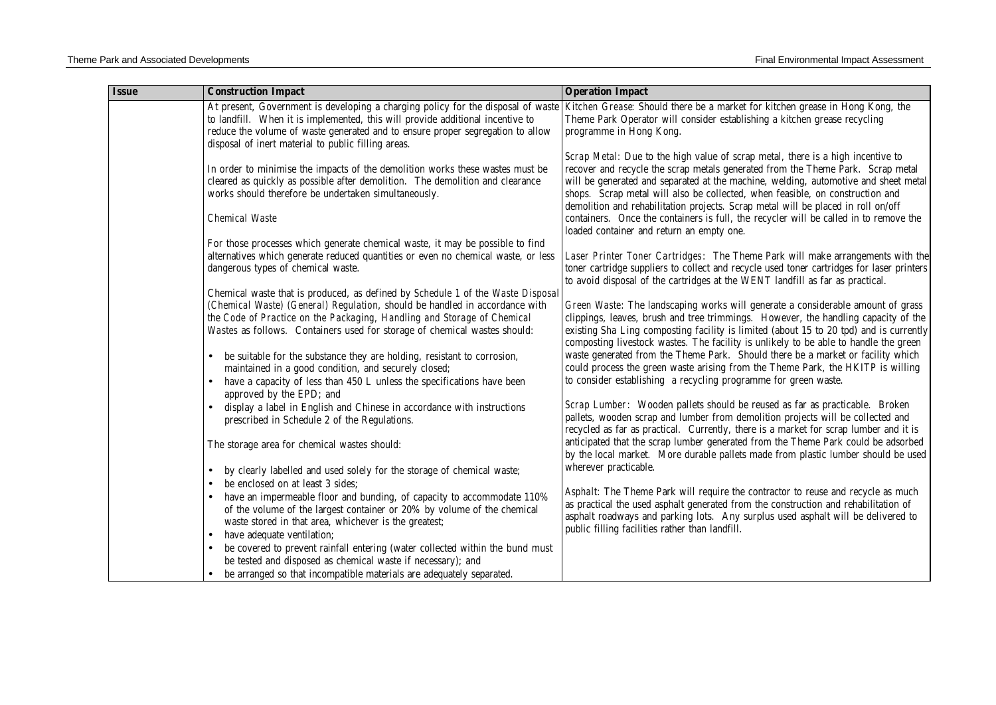| <b>Issue</b> | <b>Construction Impact</b>                                                                                                                                                                                                                                                                                  | <b>Operation Impact</b>                                                                                                                                                                                                                                                                                                                                                                                                                                                                                                                                               |
|--------------|-------------------------------------------------------------------------------------------------------------------------------------------------------------------------------------------------------------------------------------------------------------------------------------------------------------|-----------------------------------------------------------------------------------------------------------------------------------------------------------------------------------------------------------------------------------------------------------------------------------------------------------------------------------------------------------------------------------------------------------------------------------------------------------------------------------------------------------------------------------------------------------------------|
|              | At present, Government is developing a charging policy for the disposal of waste<br>to landfill. When it is implemented, this will provide additional incentive to<br>reduce the volume of waste generated and to ensure proper segregation to allow<br>disposal of inert material to public filling areas. | Kitchen Grease: Should there be a market for kitchen grease in Hong Kong, the<br>Theme Park Operator will consider establishing a kitchen grease recycling<br>programme in Hong Kong.                                                                                                                                                                                                                                                                                                                                                                                 |
|              | In order to minimise the impacts of the demolition works these wastes must be<br>cleared as quickly as possible after demolition. The demolition and clearance<br>works should therefore be undertaken simultaneously.<br><b>Chemical Waste</b>                                                             | Scrap Metal: Due to the high value of scrap metal, there is a high incentive to<br>recover and recycle the scrap metals generated from the Theme Park. Scrap metal<br>will be generated and separated at the machine, welding, automotive and sheet metal<br>shops. Scrap metal will also be collected, when feasible, on construction and<br>demolition and rehabilitation projects. Scrap metal will be placed in roll on/off<br>containers. Once the containers is full, the recycler will be called in to remove the<br>loaded container and return an empty one. |
|              | For those processes which generate chemical waste, it may be possible to find<br>alternatives which generate reduced quantities or even no chemical waste, or less<br>dangerous types of chemical waste.<br>Chemical waste that is produced, as defined by Schedule 1 of the Waste Disposal                 | Laser Printer Toner Cartridges: The Theme Park will make arrangements with the<br>toner cartridge suppliers to collect and recycle used toner cartridges for laser printers<br>to avoid disposal of the cartridges at the WENT landfill as far as practical.                                                                                                                                                                                                                                                                                                          |
|              | (Chemical Waste) (General) Regulation, should be handled in accordance with<br>the Code of Practice on the Packaging, Handling and Storage of Chemical<br>Wastes as follows. Containers used for storage of chemical wastes should:                                                                         | Green Waste: The landscaping works will generate a considerable amount of grass<br>clippings, leaves, brush and tree trimmings. However, the handling capacity of the<br>existing Sha Ling composting facility is limited (about 15 to 20 tpd) and is currently<br>composting livestock wastes. The facility is unlikely to be able to handle the green                                                                                                                                                                                                               |
|              | be suitable for the substance they are holding, resistant to corrosion,<br>$\bullet$<br>maintained in a good condition, and securely closed;<br>have a capacity of less than 450 L unless the specifications have been                                                                                      | waste generated from the Theme Park. Should there be a market or facility which<br>could process the green waste arising from the Theme Park, the HKITP is willing<br>to consider establishing a recycling programme for green waste.                                                                                                                                                                                                                                                                                                                                 |
|              | approved by the EPD; and<br>display a label in English and Chinese in accordance with instructions<br>prescribed in Schedule 2 of the Regulations.                                                                                                                                                          | Scrap Lumber: Wooden pallets should be reused as far as practicable. Broken<br>pallets, wooden scrap and lumber from demolition projects will be collected and<br>recycled as far as practical. Currently, there is a market for scrap lumber and it is                                                                                                                                                                                                                                                                                                               |
|              | The storage area for chemical wastes should:<br>by clearly labelled and used solely for the storage of chemical waste;<br>$\bullet$                                                                                                                                                                         | anticipated that the scrap lumber generated from the Theme Park could be adsorbed<br>by the local market. More durable pallets made from plastic lumber should be used<br>wherever practicable.                                                                                                                                                                                                                                                                                                                                                                       |
|              | be enclosed on at least 3 sides;<br>have an impermeable floor and bunding, of capacity to accommodate 110%<br>of the volume of the largest container or 20% by volume of the chemical<br>waste stored in that area, whichever is the greatest;<br>have adequate ventilation;<br>$\bullet$                   | Asphalt: The Theme Park will require the contractor to reuse and recycle as much<br>as practical the used asphalt generated from the construction and rehabilitation of<br>asphalt roadways and parking lots. Any surplus used asphalt will be delivered to<br>public filling facilities rather than landfill.                                                                                                                                                                                                                                                        |
|              | be covered to prevent rainfall entering (water collected within the bund must<br>be tested and disposed as chemical waste if necessary); and<br>be arranged so that incompatible materials are adequately separated.                                                                                        |                                                                                                                                                                                                                                                                                                                                                                                                                                                                                                                                                                       |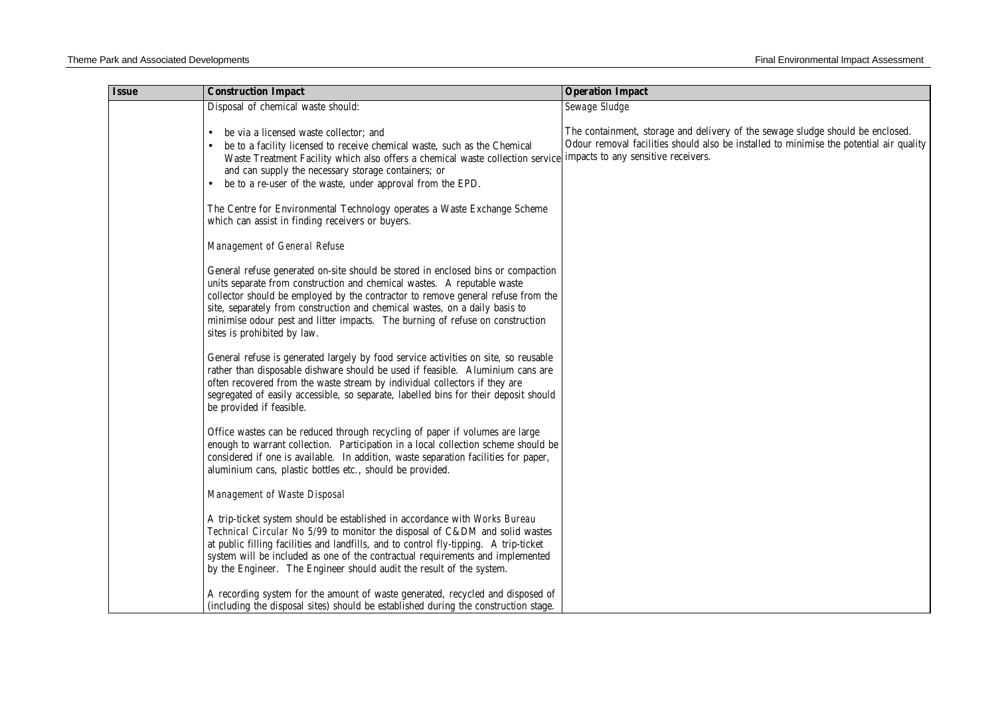| <b>Issue</b> | <b>Construction Impact</b>                                                                                                                                                                                                                                                                                                                                                                                                                     | <b>Operation Impact</b>                                                                                                                                                                                          |
|--------------|------------------------------------------------------------------------------------------------------------------------------------------------------------------------------------------------------------------------------------------------------------------------------------------------------------------------------------------------------------------------------------------------------------------------------------------------|------------------------------------------------------------------------------------------------------------------------------------------------------------------------------------------------------------------|
|              | Disposal of chemical waste should:                                                                                                                                                                                                                                                                                                                                                                                                             | Sewage Sludge                                                                                                                                                                                                    |
|              | be via a licensed waste collector; and<br>be to a facility licensed to receive chemical waste, such as the Chemical<br>$\bullet$<br>Waste Treatment Facility which also offers a chemical waste collection service<br>and can supply the necessary storage containers; or<br>be to a re-user of the waste, under approval from the EPD.<br>$\bullet$                                                                                           | The containment, storage and delivery of the sewage sludge should be enclosed.<br>Odour removal facilities should also be installed to minimise the potential air quality<br>impacts to any sensitive receivers. |
|              | The Centre for Environmental Technology operates a Waste Exchange Scheme<br>which can assist in finding receivers or buyers.                                                                                                                                                                                                                                                                                                                   |                                                                                                                                                                                                                  |
|              | Management of General Refuse                                                                                                                                                                                                                                                                                                                                                                                                                   |                                                                                                                                                                                                                  |
|              | General refuse generated on-site should be stored in enclosed bins or compaction<br>units separate from construction and chemical wastes. A reputable waste<br>collector should be employed by the contractor to remove general refuse from the<br>site, separately from construction and chemical wastes, on a daily basis to<br>minimise odour pest and litter impacts. The burning of refuse on construction<br>sites is prohibited by law. |                                                                                                                                                                                                                  |
|              | General refuse is generated largely by food service activities on site, so reusable<br>rather than disposable dishware should be used if feasible. Aluminium cans are<br>often recovered from the waste stream by individual collectors if they are<br>segregated of easily accessible, so separate, labelled bins for their deposit should<br>be provided if feasible.                                                                        |                                                                                                                                                                                                                  |
|              | Office wastes can be reduced through recycling of paper if volumes are large<br>enough to warrant collection. Participation in a local collection scheme should be<br>considered if one is available. In addition, waste separation facilities for paper,<br>aluminium cans, plastic bottles etc., should be provided.                                                                                                                         |                                                                                                                                                                                                                  |
|              | Management of Waste Disposal                                                                                                                                                                                                                                                                                                                                                                                                                   |                                                                                                                                                                                                                  |
|              | A trip-ticket system should be established in accordance with Works Bureau<br>Technical Circular No 5/99 to monitor the disposal of C&DM and solid wastes<br>at public filling facilities and landfills, and to control fly-tipping. A trip-ticket<br>system will be included as one of the contractual requirements and implemented<br>by the Engineer. The Engineer should audit the result of the system.                                   |                                                                                                                                                                                                                  |
|              | A recording system for the amount of waste generated, recycled and disposed of<br>(including the disposal sites) should be established during the construction stage.                                                                                                                                                                                                                                                                          |                                                                                                                                                                                                                  |